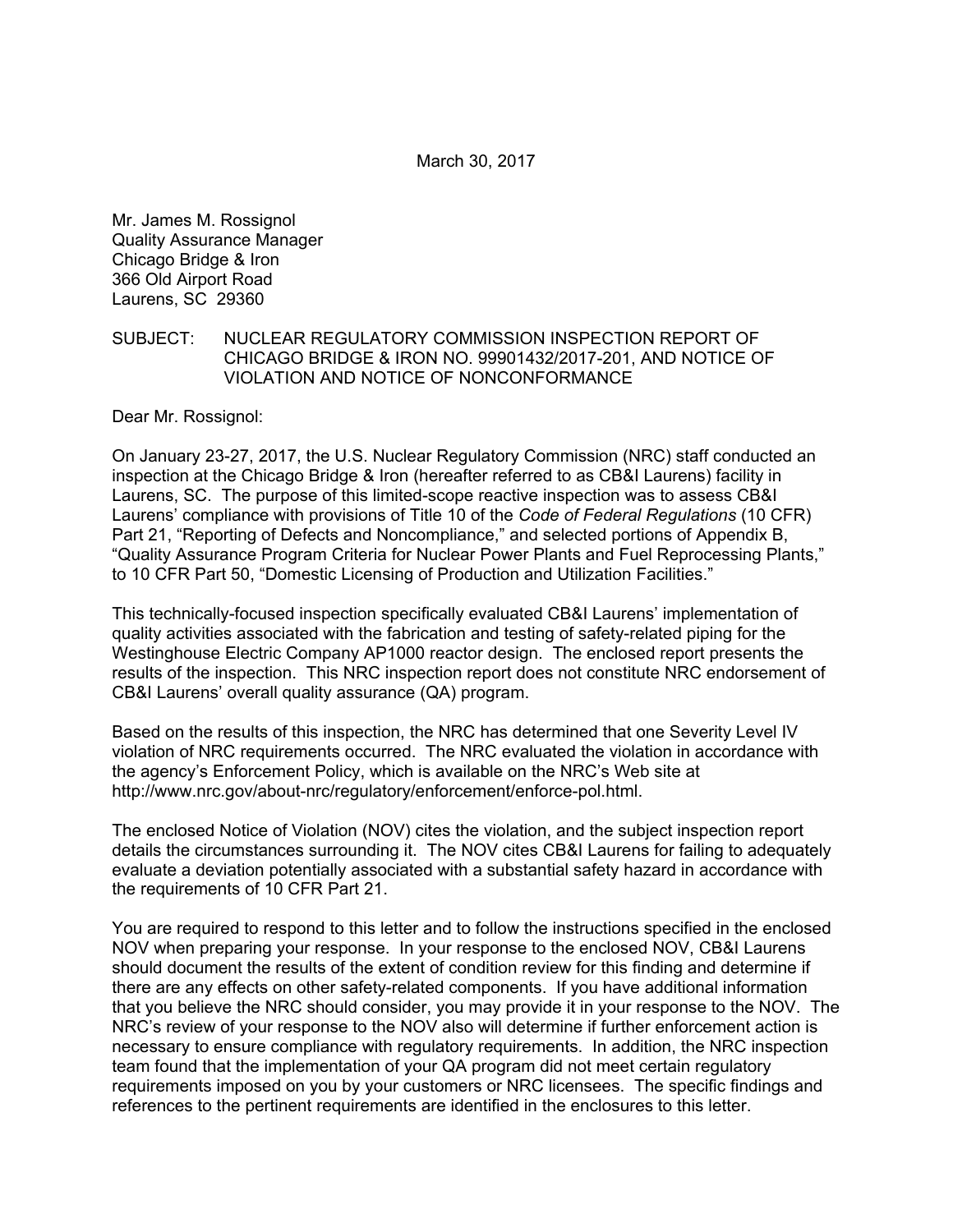Mr. James M. Rossignol Quality Assurance Manager Chicago Bridge & Iron 366 Old Airport Road Laurens, SC 29360

#### SUBJECT: NUCLEAR REGULATORY COMMISSION INSPECTION REPORT OF CHICAGO BRIDGE & IRON NO. 99901432/2017-201, AND NOTICE OF VIOLATION AND NOTICE OF NONCONFORMANCE

Dear Mr. Rossignol:

On January 23-27, 2017, the U.S. Nuclear Regulatory Commission (NRC) staff conducted an inspection at the Chicago Bridge & Iron (hereafter referred to as CB&I Laurens) facility in Laurens, SC. The purpose of this limited-scope reactive inspection was to assess CB&I Laurens' compliance with provisions of Title 10 of the *Code of Federal Regulations* (10 CFR) Part 21, "Reporting of Defects and Noncompliance," and selected portions of Appendix B, "Quality Assurance Program Criteria for Nuclear Power Plants and Fuel Reprocessing Plants," to 10 CFR Part 50, "Domestic Licensing of Production and Utilization Facilities."

This technically-focused inspection specifically evaluated CB&I Laurens' implementation of quality activities associated with the fabrication and testing of safety-related piping for the Westinghouse Electric Company AP1000 reactor design. The enclosed report presents the results of the inspection. This NRC inspection report does not constitute NRC endorsement of CB&I Laurens' overall quality assurance (QA) program.

Based on the results of this inspection, the NRC has determined that one Severity Level IV violation of NRC requirements occurred. The NRC evaluated the violation in accordance with the agency's Enforcement Policy, which is available on the NRC's Web site at http://www.nrc.gov/about-nrc/regulatory/enforcement/enforce-pol.html.

The enclosed Notice of Violation (NOV) cites the violation, and the subject inspection report details the circumstances surrounding it. The NOV cites CB&I Laurens for failing to adequately evaluate a deviation potentially associated with a substantial safety hazard in accordance with the requirements of 10 CFR Part 21.

You are required to respond to this letter and to follow the instructions specified in the enclosed NOV when preparing your response. In your response to the enclosed NOV, CB&I Laurens should document the results of the extent of condition review for this finding and determine if there are any effects on other safety-related components. If you have additional information that you believe the NRC should consider, you may provide it in your response to the NOV. The NRC's review of your response to the NOV also will determine if further enforcement action is necessary to ensure compliance with regulatory requirements. In addition, the NRC inspection team found that the implementation of your QA program did not meet certain regulatory requirements imposed on you by your customers or NRC licensees. The specific findings and references to the pertinent requirements are identified in the enclosures to this letter.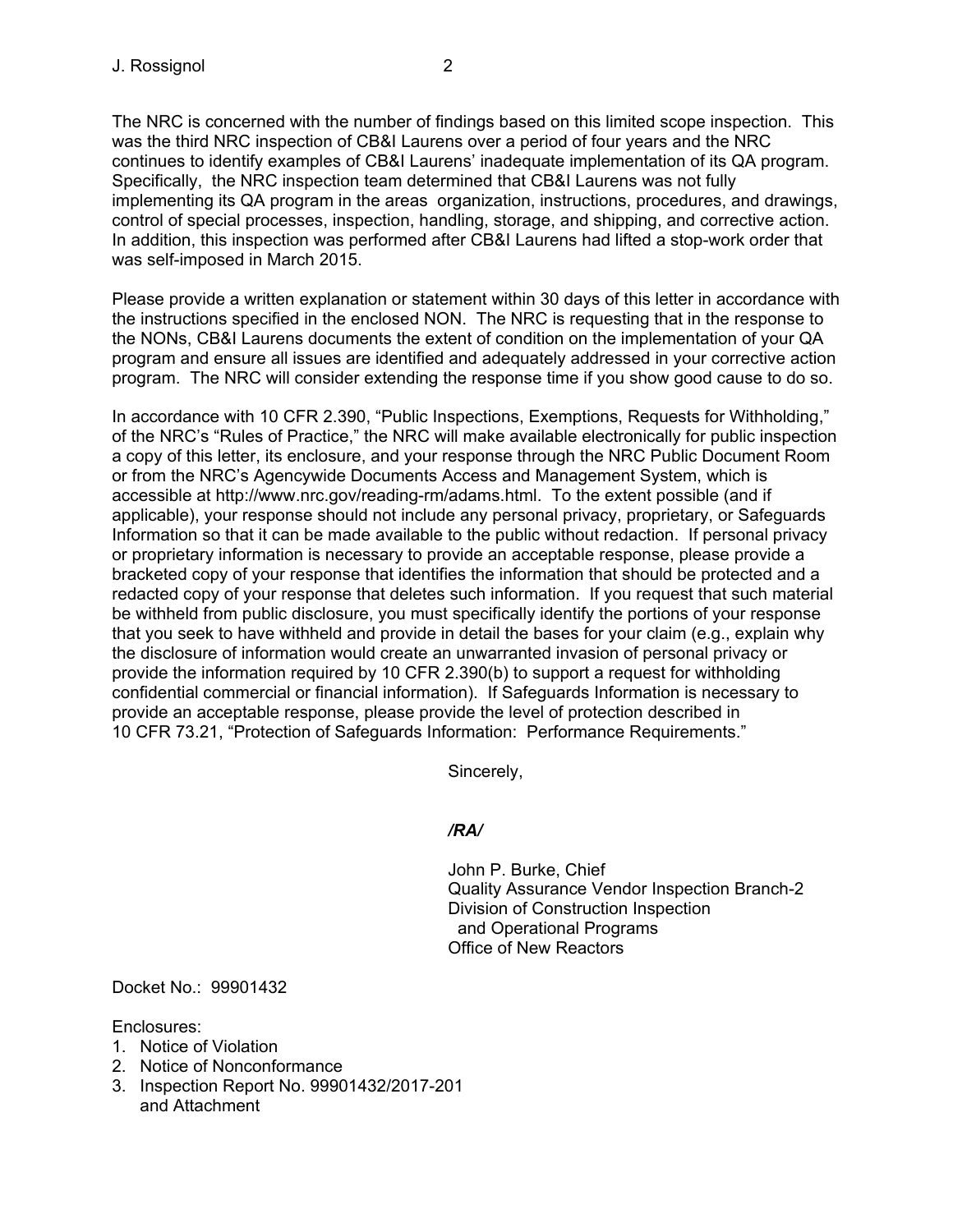The NRC is concerned with the number of findings based on this limited scope inspection. This was the third NRC inspection of CB&I Laurens over a period of four years and the NRC continues to identify examples of CB&I Laurens' inadequate implementation of its QA program. Specifically, the NRC inspection team determined that CB&I Laurens was not fully implementing its QA program in the areas organization, instructions, procedures, and drawings, control of special processes, inspection, handling, storage, and shipping, and corrective action. In addition, this inspection was performed after CB&I Laurens had lifted a stop-work order that was self-imposed in March 2015.

Please provide a written explanation or statement within 30 days of this letter in accordance with the instructions specified in the enclosed NON. The NRC is requesting that in the response to the NONs, CB&I Laurens documents the extent of condition on the implementation of your QA program and ensure all issues are identified and adequately addressed in your corrective action program. The NRC will consider extending the response time if you show good cause to do so.

In accordance with 10 CFR 2.390, "Public Inspections, Exemptions, Requests for Withholding," of the NRC's "Rules of Practice," the NRC will make available electronically for public inspection a copy of this letter, its enclosure, and your response through the NRC Public Document Room or from the NRC's Agencywide Documents Access and Management System, which is accessible at http://www.nrc.gov/reading-rm/adams.html. To the extent possible (and if applicable), your response should not include any personal privacy, proprietary, or Safeguards Information so that it can be made available to the public without redaction. If personal privacy or proprietary information is necessary to provide an acceptable response, please provide a bracketed copy of your response that identifies the information that should be protected and a redacted copy of your response that deletes such information. If you request that such material be withheld from public disclosure, you must specifically identify the portions of your response that you seek to have withheld and provide in detail the bases for your claim (e.g., explain why the disclosure of information would create an unwarranted invasion of personal privacy or provide the information required by 10 CFR 2.390(b) to support a request for withholding confidential commercial or financial information). If Safeguards Information is necessary to provide an acceptable response, please provide the level of protection described in 10 CFR 73.21, "Protection of Safeguards Information: Performance Requirements."

Sincerely,

# */RA/*

John P. Burke, Chief Quality Assurance Vendor Inspection Branch-2 Division of Construction Inspection and Operational Programs Office of New Reactors

Docket No.: 99901432

Enclosures:

- 1. Notice of Violation
- 2. Notice of Nonconformance
- 3. Inspection Report No. 99901432/2017-201 and Attachment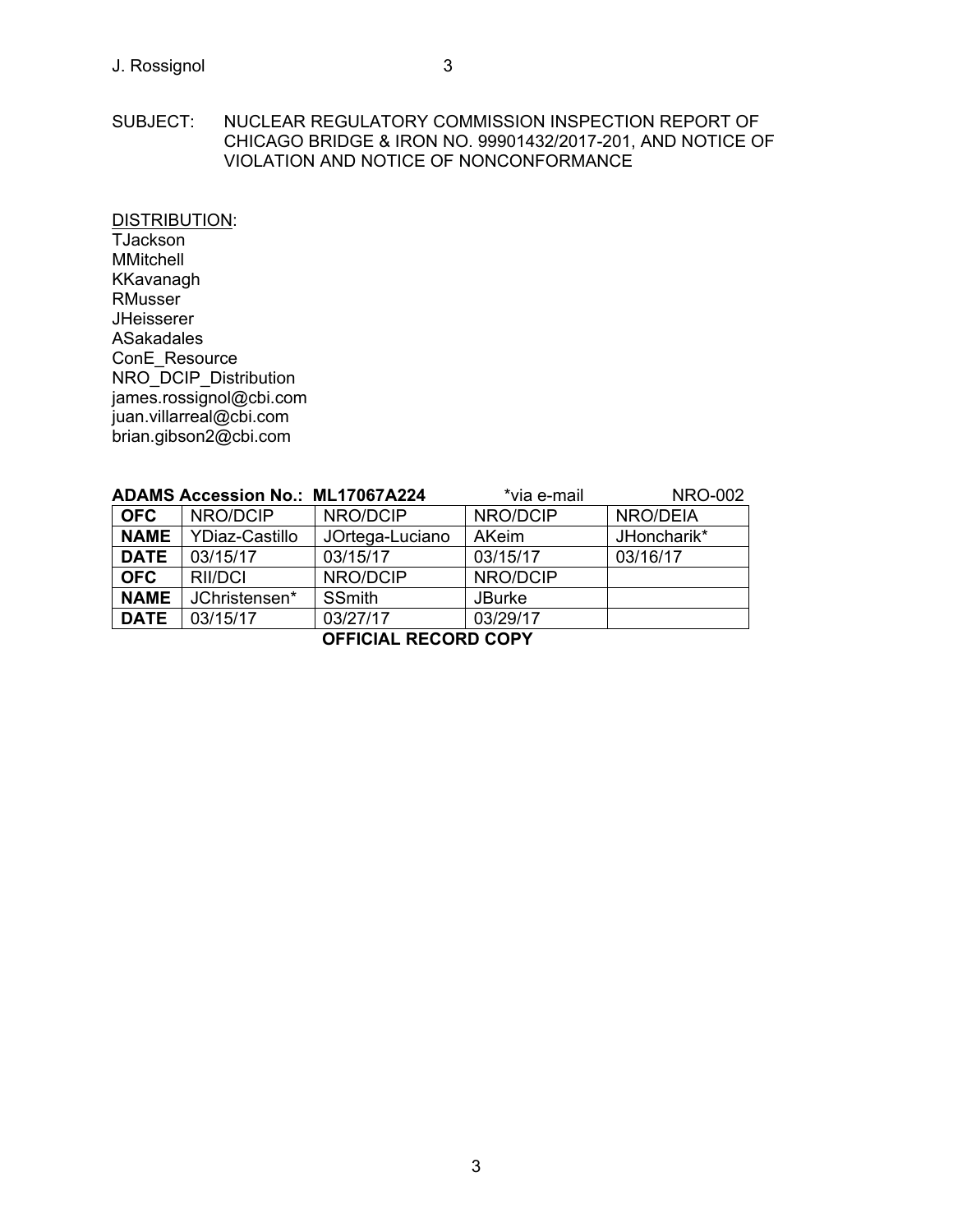## SUBJECT: NUCLEAR REGULATORY COMMISSION INSPECTION REPORT OF CHICAGO BRIDGE & IRON NO. 99901432/2017-201, AND NOTICE OF VIOLATION AND NOTICE OF NONCONFORMANCE

DISTRIBUTION:

**TJackson** MMitchell KKavanagh RMusser JHeisserer ASakadales ConE\_Resource NRO\_DCIP\_Distribution james.rossignol@cbi.com juan.villarreal@cbi.com brian.gibson2@cbi.com

| <b>ADAMS Accession No.: ML17067A224</b> |                       |                 | *via e-mail   | <b>NRO-002</b> |  |
|-----------------------------------------|-----------------------|-----------------|---------------|----------------|--|
| <b>OFC</b>                              | NRO/DCIP              | NRO/DCIP        | NRO/DCIP      | NRO/DEIA       |  |
| <b>NAME</b>                             | <b>YDiaz-Castillo</b> | JOrtega-Luciano | <b>AKeim</b>  | JHoncharik*    |  |
| <b>DATE</b>                             | 03/15/17              | 03/15/17        | 03/15/17      | 03/16/17       |  |
| <b>OFC</b>                              | RII/DCI               | NRO/DCIP        | NRO/DCIP      |                |  |
| <b>NAME</b>                             | JChristensen*         | <b>SSmith</b>   | <b>JBurke</b> |                |  |
| <b>DATE</b>                             | 03/15/17              | 03/27/17        | 03/29/17      |                |  |
| <b>OFFICIAL RECORD COPY</b>             |                       |                 |               |                |  |

3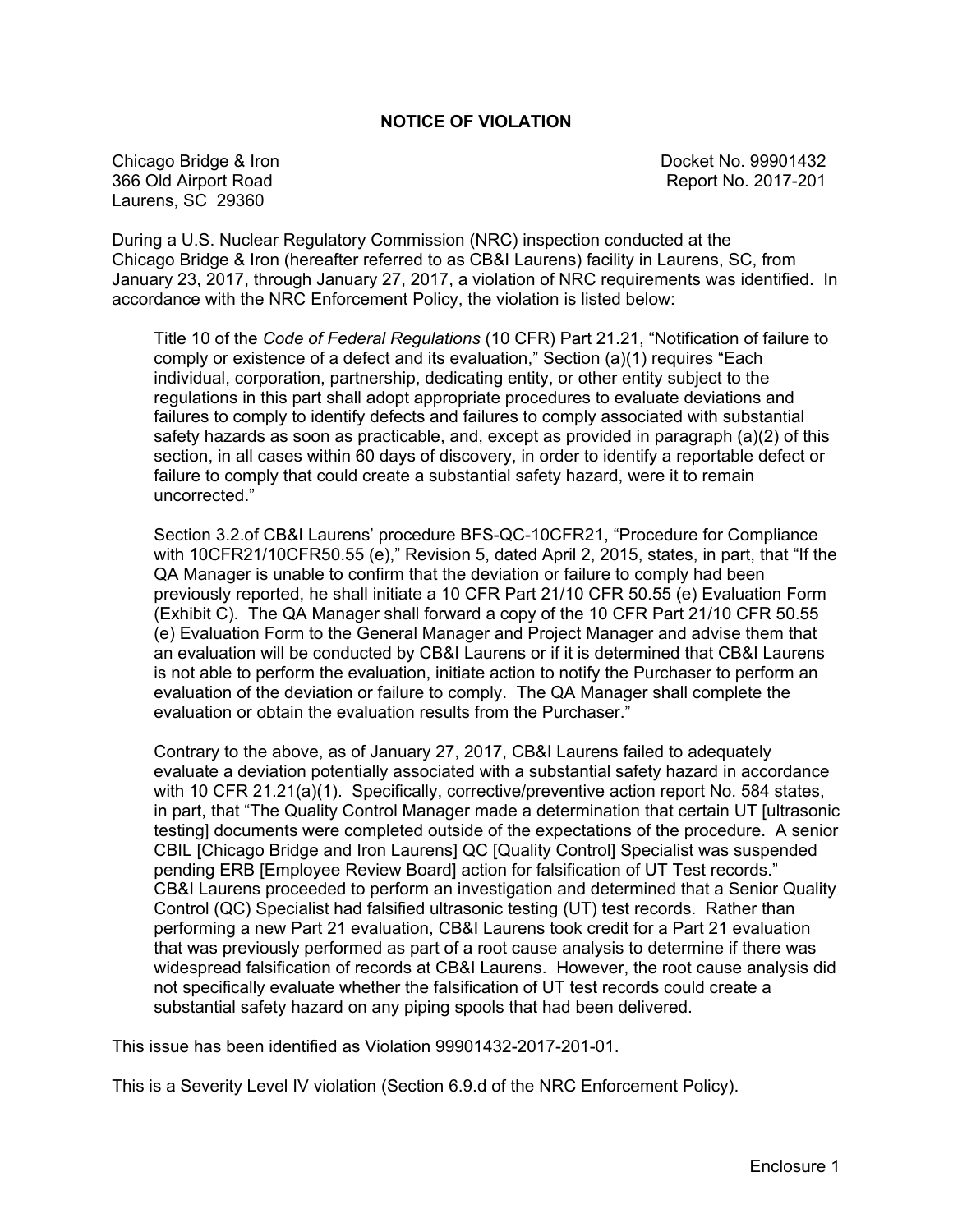## **NOTICE OF VIOLATION**

Chicago Bridge & Iron Docket No. 99901432 366 Old Airport Road Report No. 2017-201 Laurens, SC 29360

During a U.S. Nuclear Regulatory Commission (NRC) inspection conducted at the Chicago Bridge & Iron (hereafter referred to as CB&I Laurens) facility in Laurens, SC, from January 23, 2017, through January 27, 2017, a violation of NRC requirements was identified. In accordance with the NRC Enforcement Policy, the violation is listed below:

Title 10 of the *Code of Federal Regulations* (10 CFR) Part 21.21, "Notification of failure to comply or existence of a defect and its evaluation," Section (a)(1) requires "Each individual, corporation, partnership, dedicating entity, or other entity subject to the regulations in this part shall adopt appropriate procedures to evaluate deviations and failures to comply to identify defects and failures to comply associated with substantial safety hazards as soon as practicable, and, except as provided in paragraph (a)(2) of this section, in all cases within 60 days of discovery, in order to identify a reportable defect or failure to comply that could create a substantial safety hazard, were it to remain uncorrected."

Section 3.2.of CB&I Laurens' procedure BFS-QC-10CFR21, "Procedure for Compliance with 10CFR21/10CFR50.55 (e)," Revision 5, dated April 2, 2015, states, in part, that "If the QA Manager is unable to confirm that the deviation or failure to comply had been previously reported, he shall initiate a 10 CFR Part 21/10 CFR 50.55 (e) Evaluation Form (Exhibit C). The QA Manager shall forward a copy of the 10 CFR Part 21/10 CFR 50.55 (e) Evaluation Form to the General Manager and Project Manager and advise them that an evaluation will be conducted by CB&I Laurens or if it is determined that CB&I Laurens is not able to perform the evaluation, initiate action to notify the Purchaser to perform an evaluation of the deviation or failure to comply. The QA Manager shall complete the evaluation or obtain the evaluation results from the Purchaser."

Contrary to the above, as of January 27, 2017, CB&I Laurens failed to adequately evaluate a deviation potentially associated with a substantial safety hazard in accordance with 10 CFR 21.21(a)(1). Specifically, corrective/preventive action report No. 584 states, in part, that "The Quality Control Manager made a determination that certain UT [ultrasonic testing] documents were completed outside of the expectations of the procedure. A senior CBIL [Chicago Bridge and Iron Laurens] QC [Quality Control] Specialist was suspended pending ERB [Employee Review Board] action for falsification of UT Test records." CB&I Laurens proceeded to perform an investigation and determined that a Senior Quality Control (QC) Specialist had falsified ultrasonic testing (UT) test records. Rather than performing a new Part 21 evaluation, CB&I Laurens took credit for a Part 21 evaluation that was previously performed as part of a root cause analysis to determine if there was widespread falsification of records at CB&I Laurens. However, the root cause analysis did not specifically evaluate whether the falsification of UT test records could create a substantial safety hazard on any piping spools that had been delivered.

This issue has been identified as Violation 99901432-2017-201-01.

This is a Severity Level IV violation (Section 6.9.d of the NRC Enforcement Policy).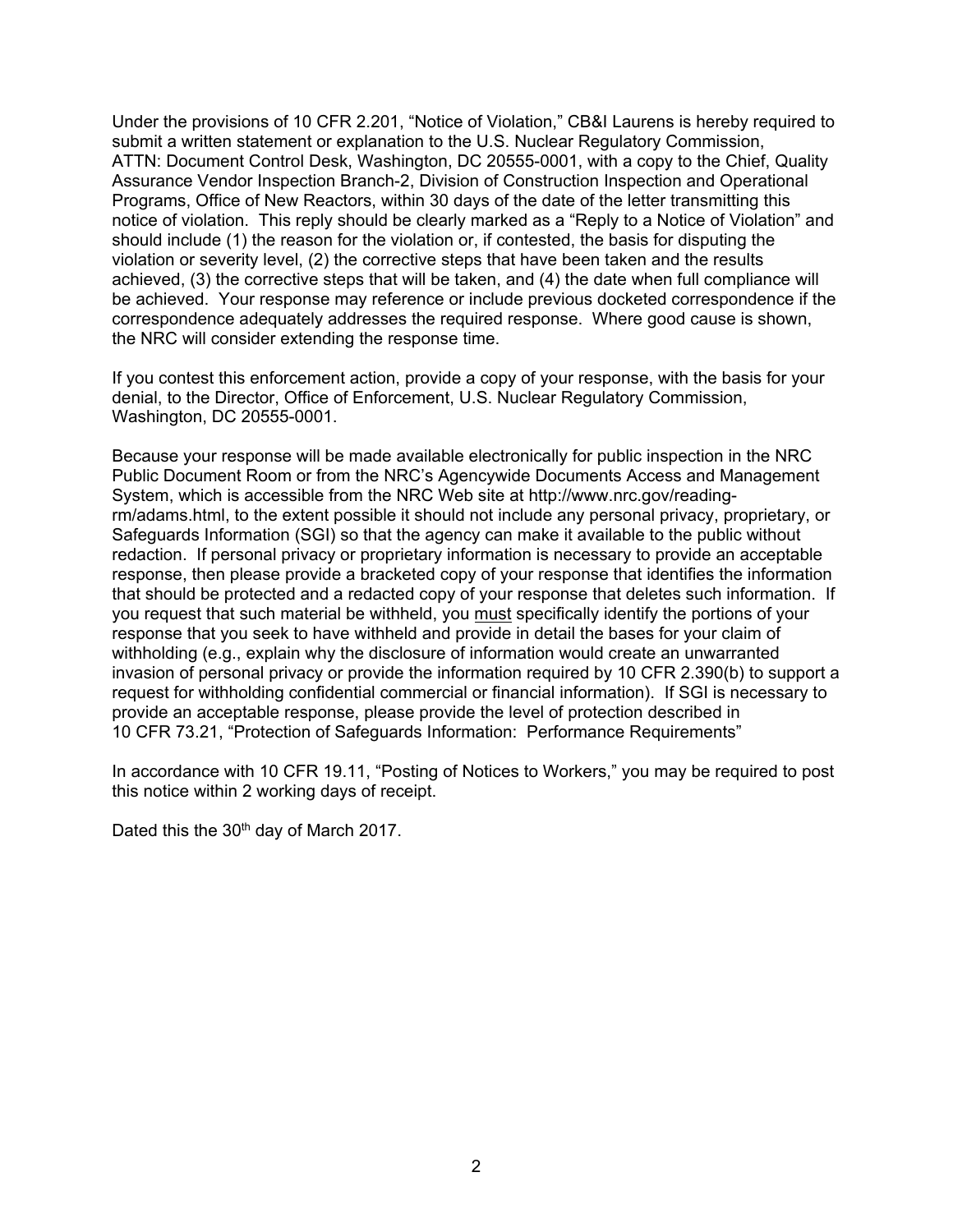Under the provisions of 10 CFR 2.201, "Notice of Violation," CB&I Laurens is hereby required to submit a written statement or explanation to the U.S. Nuclear Regulatory Commission, ATTN: Document Control Desk, Washington, DC 20555-0001, with a copy to the Chief, Quality Assurance Vendor Inspection Branch-2, Division of Construction Inspection and Operational Programs, Office of New Reactors, within 30 days of the date of the letter transmitting this notice of violation. This reply should be clearly marked as a "Reply to a Notice of Violation" and should include (1) the reason for the violation or, if contested, the basis for disputing the violation or severity level, (2) the corrective steps that have been taken and the results achieved, (3) the corrective steps that will be taken, and (4) the date when full compliance will be achieved. Your response may reference or include previous docketed correspondence if the correspondence adequately addresses the required response. Where good cause is shown, the NRC will consider extending the response time.

If you contest this enforcement action, provide a copy of your response, with the basis for your denial, to the Director, Office of Enforcement, U.S. Nuclear Regulatory Commission, Washington, DC 20555-0001.

Because your response will be made available electronically for public inspection in the NRC Public Document Room or from the NRC's Agencywide Documents Access and Management System, which is accessible from the NRC Web site at http://www.nrc.gov/readingrm/adams.html, to the extent possible it should not include any personal privacy, proprietary, or Safeguards Information (SGI) so that the agency can make it available to the public without redaction. If personal privacy or proprietary information is necessary to provide an acceptable response, then please provide a bracketed copy of your response that identifies the information that should be protected and a redacted copy of your response that deletes such information. If you request that such material be withheld, you must specifically identify the portions of your response that you seek to have withheld and provide in detail the bases for your claim of withholding (e.g., explain why the disclosure of information would create an unwarranted invasion of personal privacy or provide the information required by 10 CFR 2.390(b) to support a request for withholding confidential commercial or financial information). If SGI is necessary to provide an acceptable response, please provide the level of protection described in 10 CFR 73.21, "Protection of Safeguards Information: Performance Requirements"

In accordance with 10 CFR 19.11, "Posting of Notices to Workers," you may be required to post this notice within 2 working days of receipt.

Dated this the 30<sup>th</sup> day of March 2017.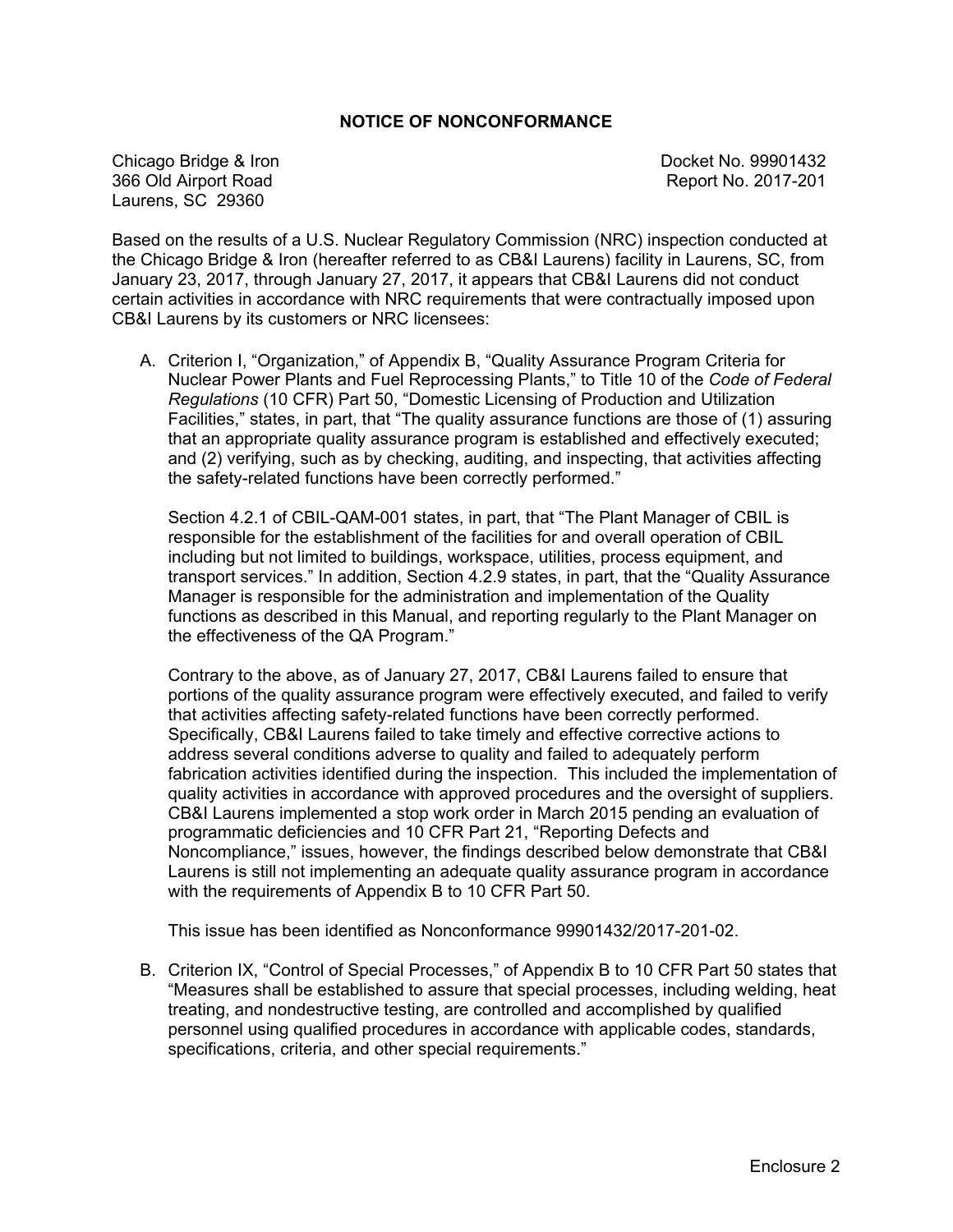## **NOTICE OF NONCONFORMANCE**

Chicago Bridge & Iron Docket No. 99901432 366 Old Airport Road Report No. 2017-201 Laurens, SC 29360

Based on the results of a U.S. Nuclear Regulatory Commission (NRC) inspection conducted at the Chicago Bridge & Iron (hereafter referred to as CB&I Laurens) facility in Laurens, SC, from January 23, 2017, through January 27, 2017, it appears that CB&I Laurens did not conduct certain activities in accordance with NRC requirements that were contractually imposed upon CB&I Laurens by its customers or NRC licensees:

A. Criterion I, "Organization," of Appendix B, "Quality Assurance Program Criteria for Nuclear Power Plants and Fuel Reprocessing Plants," to Title 10 of the *Code of Federal Regulations* (10 CFR) Part 50, "Domestic Licensing of Production and Utilization Facilities," states, in part, that "The quality assurance functions are those of (1) assuring that an appropriate quality assurance program is established and effectively executed; and (2) verifying, such as by checking, auditing, and inspecting, that activities affecting the safety-related functions have been correctly performed."

Section 4.2.1 of CBIL-QAM-001 states, in part, that "The Plant Manager of CBIL is responsible for the establishment of the facilities for and overall operation of CBIL including but not limited to buildings, workspace, utilities, process equipment, and transport services." In addition, Section 4.2.9 states, in part, that the "Quality Assurance Manager is responsible for the administration and implementation of the Quality functions as described in this Manual, and reporting regularly to the Plant Manager on the effectiveness of the QA Program."

Contrary to the above, as of January 27, 2017, CB&I Laurens failed to ensure that portions of the quality assurance program were effectively executed, and failed to verify that activities affecting safety-related functions have been correctly performed. Specifically, CB&I Laurens failed to take timely and effective corrective actions to address several conditions adverse to quality and failed to adequately perform fabrication activities identified during the inspection. This included the implementation of quality activities in accordance with approved procedures and the oversight of suppliers. CB&I Laurens implemented a stop work order in March 2015 pending an evaluation of programmatic deficiencies and 10 CFR Part 21, "Reporting Defects and Noncompliance," issues, however, the findings described below demonstrate that CB&I Laurens is still not implementing an adequate quality assurance program in accordance with the requirements of Appendix B to 10 CFR Part 50.

This issue has been identified as Nonconformance 99901432/2017-201-02.

B. Criterion IX, "Control of Special Processes," of Appendix B to 10 CFR Part 50 states that "Measures shall be established to assure that special processes, including welding, heat treating, and nondestructive testing, are controlled and accomplished by qualified personnel using qualified procedures in accordance with applicable codes, standards, specifications, criteria, and other special requirements."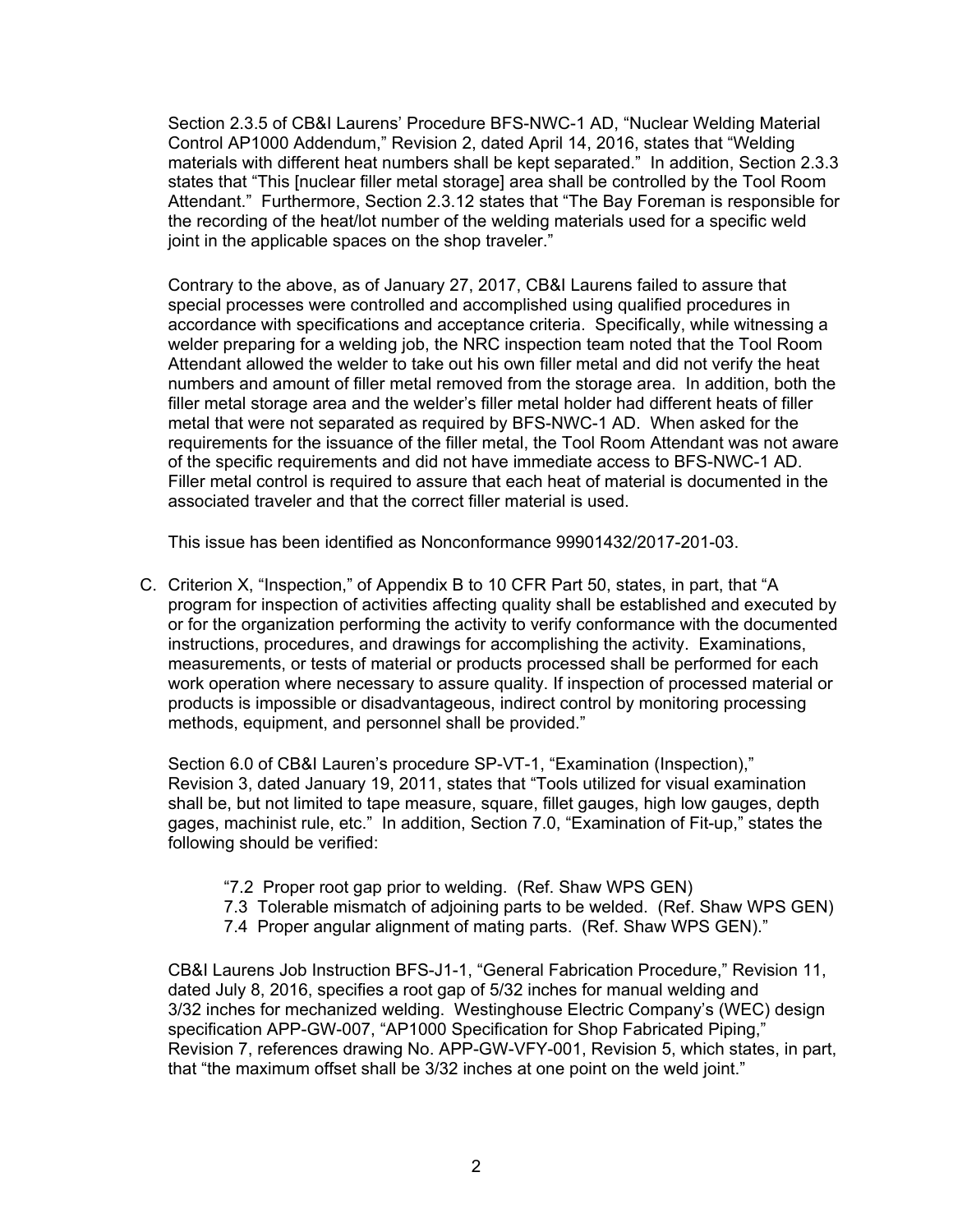Section 2.3.5 of CB&I Laurens' Procedure BFS-NWC-1 AD, "Nuclear Welding Material Control AP1000 Addendum," Revision 2, dated April 14, 2016, states that "Welding materials with different heat numbers shall be kept separated." In addition, Section 2.3.3 states that "This [nuclear filler metal storage] area shall be controlled by the Tool Room Attendant." Furthermore, Section 2.3.12 states that "The Bay Foreman is responsible for the recording of the heat/lot number of the welding materials used for a specific weld joint in the applicable spaces on the shop traveler."

Contrary to the above, as of January 27, 2017, CB&I Laurens failed to assure that special processes were controlled and accomplished using qualified procedures in accordance with specifications and acceptance criteria. Specifically, while witnessing a welder preparing for a welding job, the NRC inspection team noted that the Tool Room Attendant allowed the welder to take out his own filler metal and did not verify the heat numbers and amount of filler metal removed from the storage area. In addition, both the filler metal storage area and the welder's filler metal holder had different heats of filler metal that were not separated as required by BFS-NWC-1 AD. When asked for the requirements for the issuance of the filler metal, the Tool Room Attendant was not aware of the specific requirements and did not have immediate access to BFS-NWC-1 AD. Filler metal control is required to assure that each heat of material is documented in the associated traveler and that the correct filler material is used.

This issue has been identified as Nonconformance 99901432/2017-201-03.

C. Criterion X, "Inspection," of Appendix B to 10 CFR Part 50, states, in part, that "A program for inspection of activities affecting quality shall be established and executed by or for the organization performing the activity to verify conformance with the documented instructions, procedures, and drawings for accomplishing the activity. Examinations, measurements, or tests of material or products processed shall be performed for each work operation where necessary to assure quality. If inspection of processed material or products is impossible or disadvantageous, indirect control by monitoring processing methods, equipment, and personnel shall be provided."

Section 6.0 of CB&I Lauren's procedure SP-VT-1, "Examination (Inspection)," Revision 3, dated January 19, 2011, states that "Tools utilized for visual examination shall be, but not limited to tape measure, square, fillet gauges, high low gauges, depth gages, machinist rule, etc." In addition, Section 7.0, "Examination of Fit-up," states the following should be verified:

- "7.2 Proper root gap prior to welding. (Ref. Shaw WPS GEN)
- 7.3 Tolerable mismatch of adjoining parts to be welded. (Ref. Shaw WPS GEN)
- 7.4 Proper angular alignment of mating parts. (Ref. Shaw WPS GEN)."

CB&I Laurens Job Instruction BFS-J1-1, "General Fabrication Procedure," Revision 11, dated July 8, 2016, specifies a root gap of 5/32 inches for manual welding and 3/32 inches for mechanized welding. Westinghouse Electric Company's (WEC) design specification APP-GW-007, "AP1000 Specification for Shop Fabricated Piping," Revision 7, references drawing No. APP-GW-VFY-001, Revision 5, which states, in part, that "the maximum offset shall be 3/32 inches at one point on the weld joint."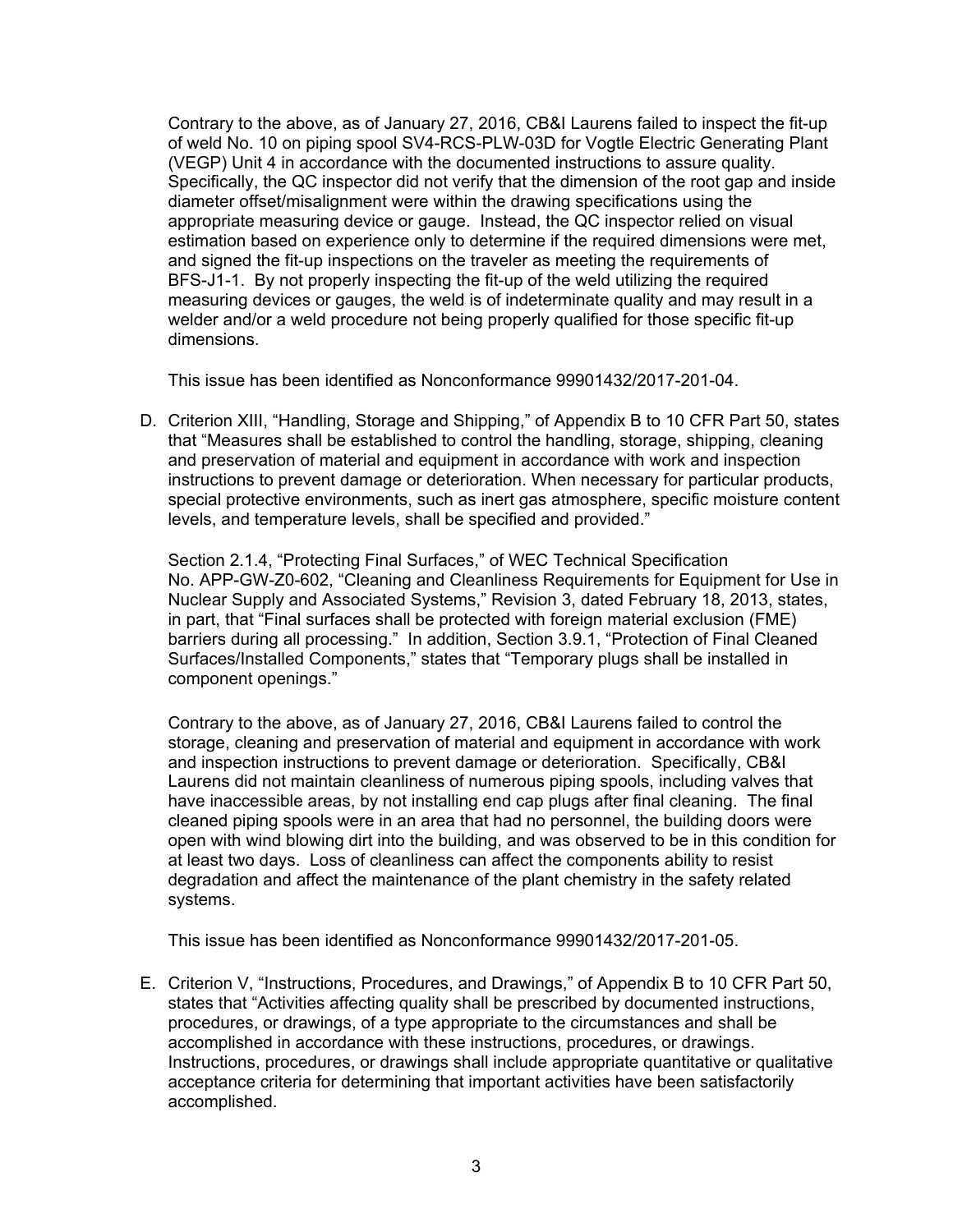Contrary to the above, as of January 27, 2016, CB&I Laurens failed to inspect the fit-up of weld No. 10 on piping spool SV4-RCS-PLW-03D for Vogtle Electric Generating Plant (VEGP) Unit 4 in accordance with the documented instructions to assure quality. Specifically, the QC inspector did not verify that the dimension of the root gap and inside diameter offset/misalignment were within the drawing specifications using the appropriate measuring device or gauge. Instead, the QC inspector relied on visual estimation based on experience only to determine if the required dimensions were met, and signed the fit-up inspections on the traveler as meeting the requirements of BFS-J1-1. By not properly inspecting the fit-up of the weld utilizing the required measuring devices or gauges, the weld is of indeterminate quality and may result in a welder and/or a weld procedure not being properly qualified for those specific fit-up dimensions.

This issue has been identified as Nonconformance 99901432/2017-201-04.

D. Criterion XIII, "Handling, Storage and Shipping," of Appendix B to 10 CFR Part 50, states that "Measures shall be established to control the handling, storage, shipping, cleaning and preservation of material and equipment in accordance with work and inspection instructions to prevent damage or deterioration. When necessary for particular products, special protective environments, such as inert gas atmosphere, specific moisture content levels, and temperature levels, shall be specified and provided."

Section 2.1.4, "Protecting Final Surfaces," of WEC Technical Specification No. APP-GW-Z0-602, "Cleaning and Cleanliness Requirements for Equipment for Use in Nuclear Supply and Associated Systems," Revision 3, dated February 18, 2013, states, in part, that "Final surfaces shall be protected with foreign material exclusion (FME) barriers during all processing." In addition, Section 3.9.1, "Protection of Final Cleaned Surfaces/Installed Components," states that "Temporary plugs shall be installed in component openings."

Contrary to the above, as of January 27, 2016, CB&I Laurens failed to control the storage, cleaning and preservation of material and equipment in accordance with work and inspection instructions to prevent damage or deterioration. Specifically, CB&I Laurens did not maintain cleanliness of numerous piping spools, including valves that have inaccessible areas, by not installing end cap plugs after final cleaning. The final cleaned piping spools were in an area that had no personnel, the building doors were open with wind blowing dirt into the building, and was observed to be in this condition for at least two days. Loss of cleanliness can affect the components ability to resist degradation and affect the maintenance of the plant chemistry in the safety related systems.

This issue has been identified as Nonconformance 99901432/2017-201-05.

E. Criterion V, "Instructions, Procedures, and Drawings," of Appendix B to 10 CFR Part 50, states that "Activities affecting quality shall be prescribed by documented instructions, procedures, or drawings, of a type appropriate to the circumstances and shall be accomplished in accordance with these instructions, procedures, or drawings. Instructions, procedures, or drawings shall include appropriate quantitative or qualitative acceptance criteria for determining that important activities have been satisfactorily accomplished.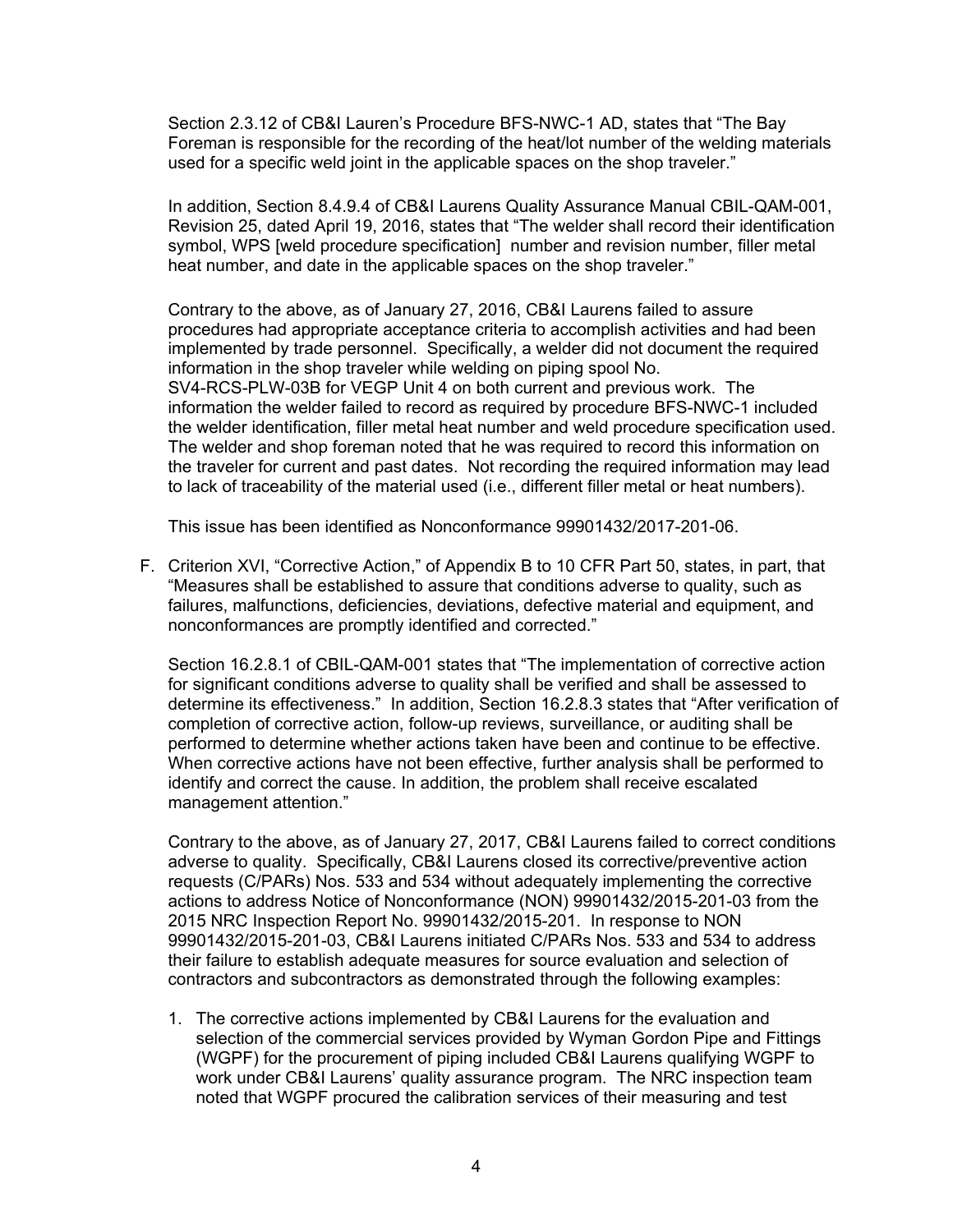Section 2.3.12 of CB&I Lauren's Procedure BFS-NWC-1 AD, states that "The Bay Foreman is responsible for the recording of the heat/lot number of the welding materials used for a specific weld joint in the applicable spaces on the shop traveler."

In addition, Section 8.4.9.4 of CB&I Laurens Quality Assurance Manual CBIL-QAM-001, Revision 25, dated April 19, 2016, states that "The welder shall record their identification symbol, WPS [weld procedure specification] number and revision number, filler metal heat number, and date in the applicable spaces on the shop traveler."

Contrary to the above, as of January 27, 2016, CB&I Laurens failed to assure procedures had appropriate acceptance criteria to accomplish activities and had been implemented by trade personnel. Specifically, a welder did not document the required information in the shop traveler while welding on piping spool No. SV4-RCS-PLW-03B for VEGP Unit 4 on both current and previous work. The information the welder failed to record as required by procedure BFS-NWC-1 included the welder identification, filler metal heat number and weld procedure specification used. The welder and shop foreman noted that he was required to record this information on the traveler for current and past dates. Not recording the required information may lead to lack of traceability of the material used (i.e., different filler metal or heat numbers).

This issue has been identified as Nonconformance 99901432/2017-201-06.

F. Criterion XVI, "Corrective Action," of Appendix B to 10 CFR Part 50, states, in part, that "Measures shall be established to assure that conditions adverse to quality, such as failures, malfunctions, deficiencies, deviations, defective material and equipment, and nonconformances are promptly identified and corrected."

Section 16.2.8.1 of CBIL-QAM-001 states that "The implementation of corrective action for significant conditions adverse to quality shall be verified and shall be assessed to determine its effectiveness." In addition, Section 16.2.8.3 states that "After verification of completion of corrective action, follow-up reviews, surveillance, or auditing shall be performed to determine whether actions taken have been and continue to be effective. When corrective actions have not been effective, further analysis shall be performed to identify and correct the cause. In addition, the problem shall receive escalated management attention."

Contrary to the above, as of January 27, 2017, CB&I Laurens failed to correct conditions adverse to quality. Specifically, CB&I Laurens closed its corrective/preventive action requests (C/PARs) Nos. 533 and 534 without adequately implementing the corrective actions to address Notice of Nonconformance (NON) 99901432/2015-201-03 from the 2015 NRC Inspection Report No. 99901432/2015-201. In response to NON 99901432/2015-201-03, CB&I Laurens initiated C/PARs Nos. 533 and 534 to address their failure to establish adequate measures for source evaluation and selection of contractors and subcontractors as demonstrated through the following examples:

1. The corrective actions implemented by CB&I Laurens for the evaluation and selection of the commercial services provided by Wyman Gordon Pipe and Fittings (WGPF) for the procurement of piping included CB&I Laurens qualifying WGPF to work under CB&I Laurens' quality assurance program. The NRC inspection team noted that WGPF procured the calibration services of their measuring and test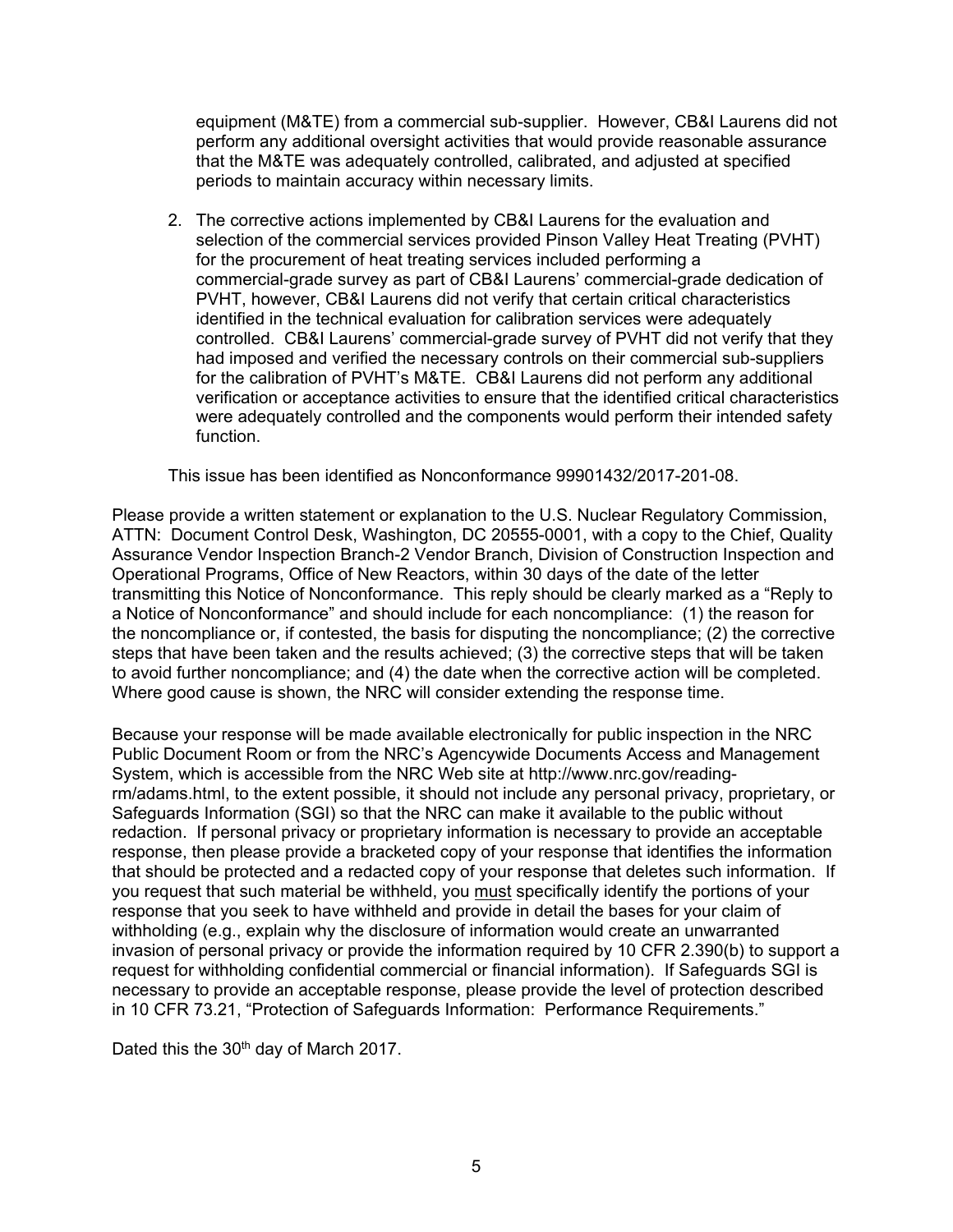equipment (M&TE) from a commercial sub-supplier. However, CB&I Laurens did not perform any additional oversight activities that would provide reasonable assurance that the M&TE was adequately controlled, calibrated, and adjusted at specified periods to maintain accuracy within necessary limits.

2. The corrective actions implemented by CB&I Laurens for the evaluation and selection of the commercial services provided Pinson Valley Heat Treating (PVHT) for the procurement of heat treating services included performing a commercial-grade survey as part of CB&I Laurens' commercial-grade dedication of PVHT, however, CB&I Laurens did not verify that certain critical characteristics identified in the technical evaluation for calibration services were adequately controlled. CB&I Laurens' commercial-grade survey of PVHT did not verify that they had imposed and verified the necessary controls on their commercial sub-suppliers for the calibration of PVHT's M&TE. CB&I Laurens did not perform any additional verification or acceptance activities to ensure that the identified critical characteristics were adequately controlled and the components would perform their intended safety function.

This issue has been identified as Nonconformance 99901432/2017-201-08.

Please provide a written statement or explanation to the U.S. Nuclear Regulatory Commission, ATTN: Document Control Desk, Washington, DC 20555-0001, with a copy to the Chief, Quality Assurance Vendor Inspection Branch-2 Vendor Branch, Division of Construction Inspection and Operational Programs, Office of New Reactors, within 30 days of the date of the letter transmitting this Notice of Nonconformance. This reply should be clearly marked as a "Reply to a Notice of Nonconformance" and should include for each noncompliance: (1) the reason for the noncompliance or, if contested, the basis for disputing the noncompliance; (2) the corrective steps that have been taken and the results achieved; (3) the corrective steps that will be taken to avoid further noncompliance; and (4) the date when the corrective action will be completed. Where good cause is shown, the NRC will consider extending the response time.

Because your response will be made available electronically for public inspection in the NRC Public Document Room or from the NRC's Agencywide Documents Access and Management System, which is accessible from the NRC Web site at http://www.nrc.gov/readingrm/adams.html, to the extent possible, it should not include any personal privacy, proprietary, or Safeguards Information (SGI) so that the NRC can make it available to the public without redaction. If personal privacy or proprietary information is necessary to provide an acceptable response, then please provide a bracketed copy of your response that identifies the information that should be protected and a redacted copy of your response that deletes such information. If you request that such material be withheld, you must specifically identify the portions of your response that you seek to have withheld and provide in detail the bases for your claim of withholding (e.g., explain why the disclosure of information would create an unwarranted invasion of personal privacy or provide the information required by 10 CFR 2.390(b) to support a request for withholding confidential commercial or financial information). If Safeguards SGI is necessary to provide an acceptable response, please provide the level of protection described in 10 CFR 73.21, "Protection of Safeguards Information: Performance Requirements."

Dated this the 30<sup>th</sup> day of March 2017.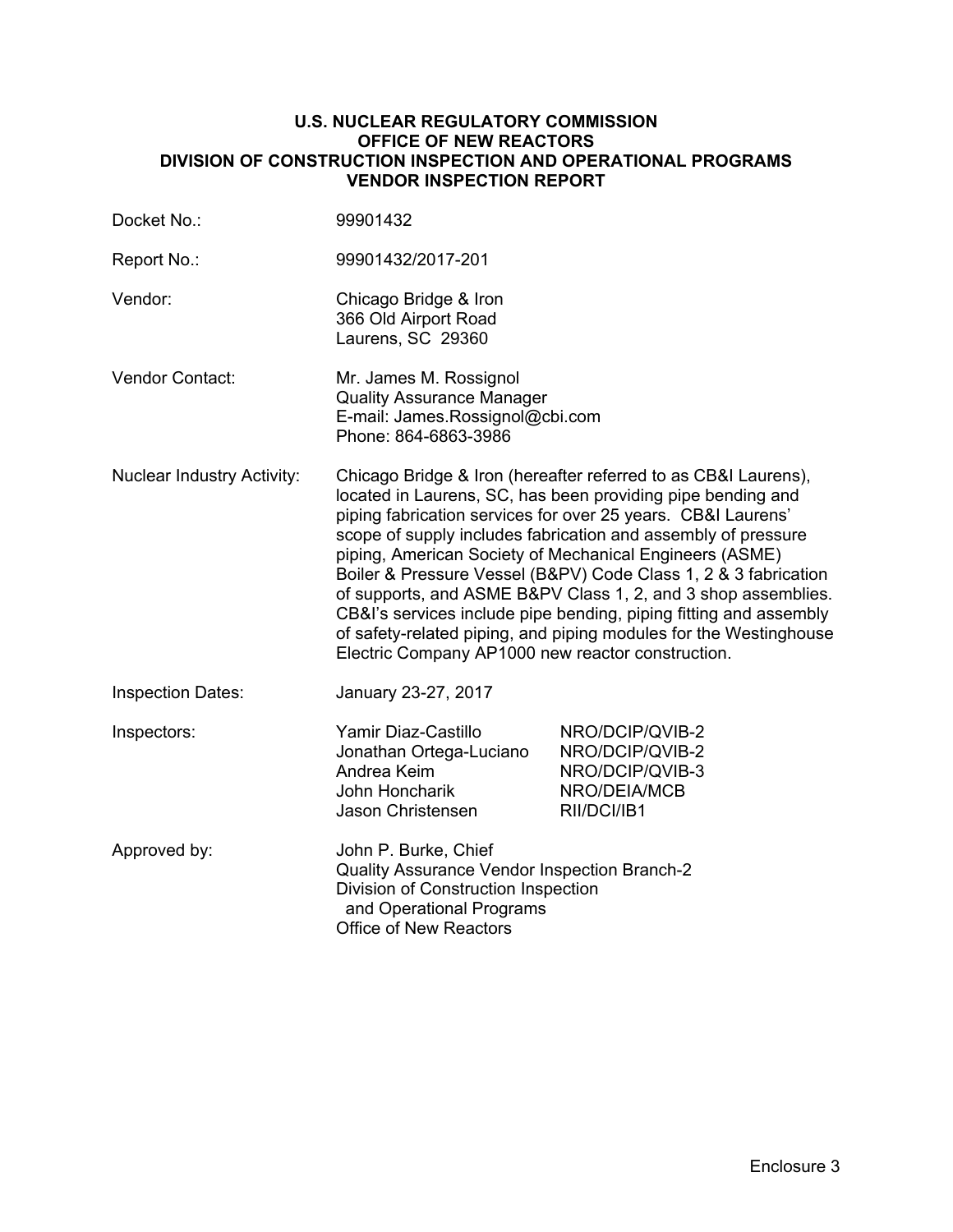## **U.S. NUCLEAR REGULATORY COMMISSION OFFICE OF NEW REACTORS DIVISION OF CONSTRUCTION INSPECTION AND OPERATIONAL PROGRAMS VENDOR INSPECTION REPORT**

| Docket No.:                                                                                                                                     | 99901432                                                                                                                                                                                                                                                                                                                                                                                                                                                                                                                                                                                                                                                     |                                                                                      |  |  |
|-------------------------------------------------------------------------------------------------------------------------------------------------|--------------------------------------------------------------------------------------------------------------------------------------------------------------------------------------------------------------------------------------------------------------------------------------------------------------------------------------------------------------------------------------------------------------------------------------------------------------------------------------------------------------------------------------------------------------------------------------------------------------------------------------------------------------|--------------------------------------------------------------------------------------|--|--|
| Report No.:                                                                                                                                     | 99901432/2017-201                                                                                                                                                                                                                                                                                                                                                                                                                                                                                                                                                                                                                                            |                                                                                      |  |  |
| Vendor:                                                                                                                                         | Chicago Bridge & Iron<br>366 Old Airport Road<br>Laurens, SC 29360                                                                                                                                                                                                                                                                                                                                                                                                                                                                                                                                                                                           |                                                                                      |  |  |
| <b>Vendor Contact:</b><br>Mr. James M. Rossignol<br><b>Quality Assurance Manager</b><br>E-mail: James.Rossignol@cbi.com<br>Phone: 864-6863-3986 |                                                                                                                                                                                                                                                                                                                                                                                                                                                                                                                                                                                                                                                              |                                                                                      |  |  |
| <b>Nuclear Industry Activity:</b>                                                                                                               | Chicago Bridge & Iron (hereafter referred to as CB&I Laurens),<br>located in Laurens, SC, has been providing pipe bending and<br>piping fabrication services for over 25 years. CB&I Laurens'<br>scope of supply includes fabrication and assembly of pressure<br>piping, American Society of Mechanical Engineers (ASME)<br>Boiler & Pressure Vessel (B&PV) Code Class 1, 2 & 3 fabrication<br>of supports, and ASME B&PV Class 1, 2, and 3 shop assemblies.<br>CB&I's services include pipe bending, piping fitting and assembly<br>of safety-related piping, and piping modules for the Westinghouse<br>Electric Company AP1000 new reactor construction. |                                                                                      |  |  |
| <b>Inspection Dates:</b>                                                                                                                        | January 23-27, 2017                                                                                                                                                                                                                                                                                                                                                                                                                                                                                                                                                                                                                                          |                                                                                      |  |  |
| Inspectors:                                                                                                                                     | Yamir Diaz-Castillo<br>Jonathan Ortega-Luciano<br>Andrea Keim<br>John Honcharik<br>Jason Christensen                                                                                                                                                                                                                                                                                                                                                                                                                                                                                                                                                         | NRO/DCIP/QVIB-2<br>NRO/DCIP/QVIB-2<br>NRO/DCIP/QVIB-3<br>NRO/DEIA/MCB<br>RII/DCI/IB1 |  |  |
| Approved by:                                                                                                                                    | John P. Burke, Chief<br>Quality Assurance Vendor Inspection Branch-2<br>Division of Construction Inspection<br>and Operational Programs<br><b>Office of New Reactors</b>                                                                                                                                                                                                                                                                                                                                                                                                                                                                                     |                                                                                      |  |  |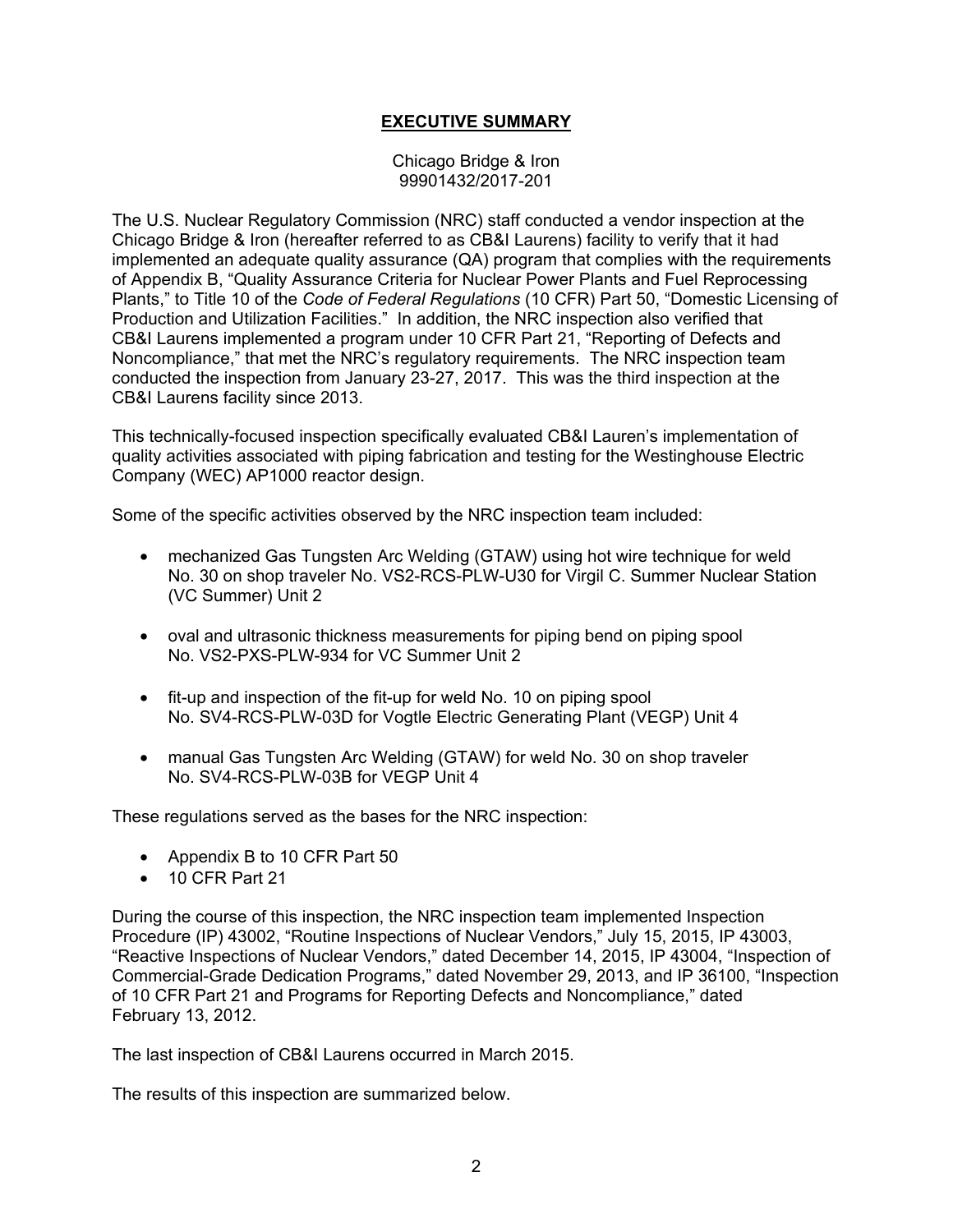# **EXECUTIVE SUMMARY**

Chicago Bridge & Iron 99901432/2017-201

The U.S. Nuclear Regulatory Commission (NRC) staff conducted a vendor inspection at the Chicago Bridge & Iron (hereafter referred to as CB&I Laurens) facility to verify that it had implemented an adequate quality assurance (QA) program that complies with the requirements of Appendix B, "Quality Assurance Criteria for Nuclear Power Plants and Fuel Reprocessing Plants," to Title 10 of the *Code of Federal Regulations* (10 CFR) Part 50, "Domestic Licensing of Production and Utilization Facilities." In addition, the NRC inspection also verified that CB&I Laurens implemented a program under 10 CFR Part 21, "Reporting of Defects and Noncompliance," that met the NRC's regulatory requirements. The NRC inspection team conducted the inspection from January 23-27, 2017. This was the third inspection at the CB&I Laurens facility since 2013.

This technically-focused inspection specifically evaluated CB&I Lauren's implementation of quality activities associated with piping fabrication and testing for the Westinghouse Electric Company (WEC) AP1000 reactor design.

Some of the specific activities observed by the NRC inspection team included:

- mechanized Gas Tungsten Arc Welding (GTAW) using hot wire technique for weld No. 30 on shop traveler No. VS2-RCS-PLW-U30 for Virgil C. Summer Nuclear Station (VC Summer) Unit 2
- oval and ultrasonic thickness measurements for piping bend on piping spool No. VS2-PXS-PLW-934 for VC Summer Unit 2
- fit-up and inspection of the fit-up for weld No. 10 on piping spool No. SV4-RCS-PLW-03D for Vogtle Electric Generating Plant (VEGP) Unit 4
- manual Gas Tungsten Arc Welding (GTAW) for weld No. 30 on shop traveler No. SV4-RCS-PLW-03B for VEGP Unit 4

These regulations served as the bases for the NRC inspection:

- Appendix B to 10 CFR Part 50
- 10 CFR Part 21

During the course of this inspection, the NRC inspection team implemented Inspection Procedure (IP) 43002, "Routine Inspections of Nuclear Vendors," July 15, 2015, IP 43003, "Reactive Inspections of Nuclear Vendors," dated December 14, 2015, IP 43004, "Inspection of Commercial-Grade Dedication Programs," dated November 29, 2013, and IP 36100, "Inspection of 10 CFR Part 21 and Programs for Reporting Defects and Noncompliance," dated February 13, 2012.

The last inspection of CB&I Laurens occurred in March 2015.

The results of this inspection are summarized below.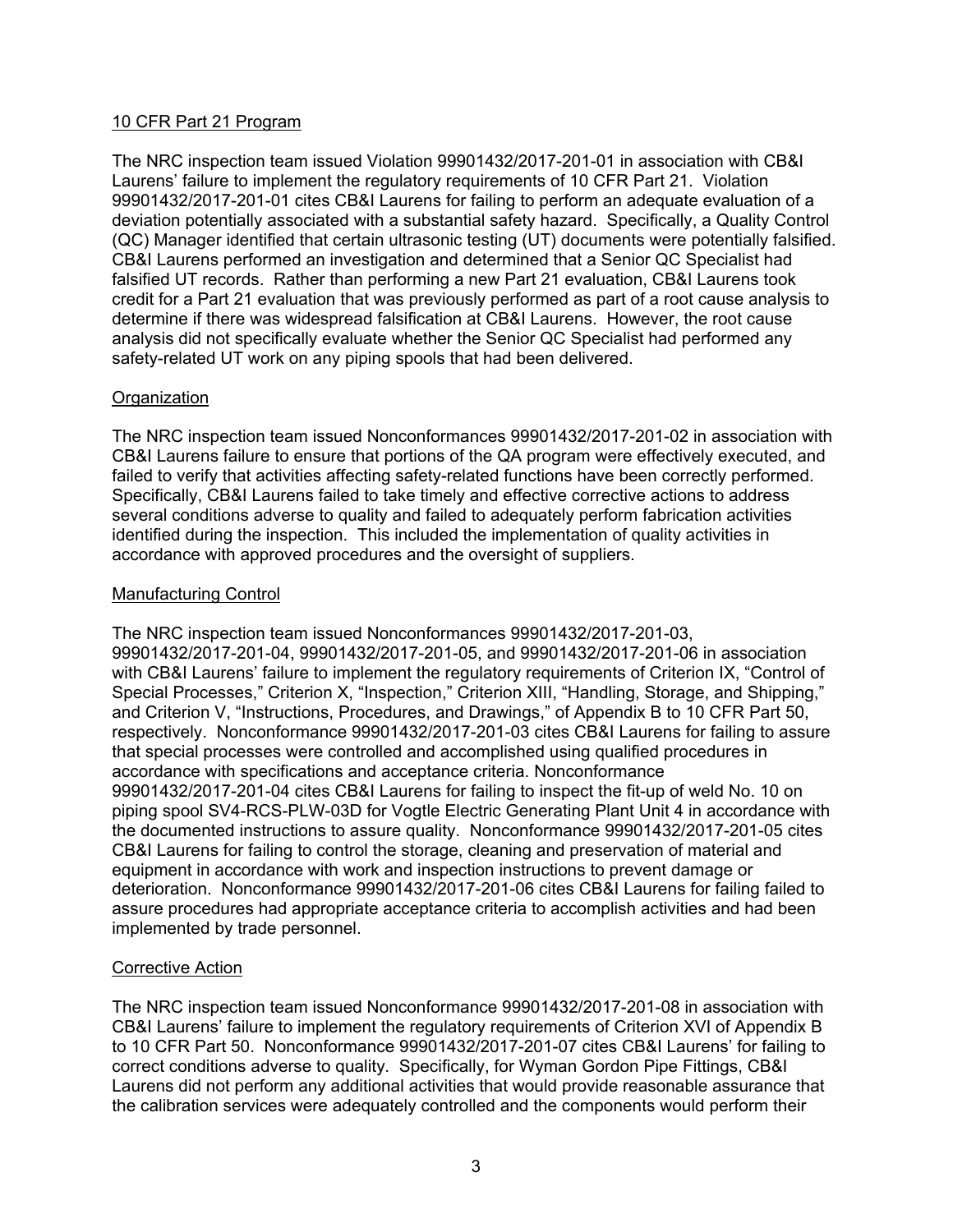# 10 CFR Part 21 Program

The NRC inspection team issued Violation 99901432/2017-201-01 in association with CB&I Laurens' failure to implement the regulatory requirements of 10 CFR Part 21. Violation 99901432/2017-201-01 cites CB&I Laurens for failing to perform an adequate evaluation of a deviation potentially associated with a substantial safety hazard. Specifically, a Quality Control (QC) Manager identified that certain ultrasonic testing (UT) documents were potentially falsified. CB&I Laurens performed an investigation and determined that a Senior QC Specialist had falsified UT records. Rather than performing a new Part 21 evaluation, CB&I Laurens took credit for a Part 21 evaluation that was previously performed as part of a root cause analysis to determine if there was widespread falsification at CB&I Laurens. However, the root cause analysis did not specifically evaluate whether the Senior QC Specialist had performed any safety-related UT work on any piping spools that had been delivered.

# **Organization**

The NRC inspection team issued Nonconformances 99901432/2017-201-02 in association with CB&I Laurens failure to ensure that portions of the QA program were effectively executed, and failed to verify that activities affecting safety-related functions have been correctly performed. Specifically, CB&I Laurens failed to take timely and effective corrective actions to address several conditions adverse to quality and failed to adequately perform fabrication activities identified during the inspection. This included the implementation of quality activities in accordance with approved procedures and the oversight of suppliers.

# Manufacturing Control

The NRC inspection team issued Nonconformances 99901432/2017-201-03, 99901432/2017-201-04, 99901432/2017-201-05, and 99901432/2017-201-06 in association with CB&I Laurens' failure to implement the regulatory requirements of Criterion IX, "Control of Special Processes," Criterion X, "Inspection," Criterion XIII, "Handling, Storage, and Shipping," and Criterion V, "Instructions, Procedures, and Drawings," of Appendix B to 10 CFR Part 50, respectively. Nonconformance 99901432/2017-201-03 cites CB&I Laurens for failing to assure that special processes were controlled and accomplished using qualified procedures in accordance with specifications and acceptance criteria. Nonconformance 99901432/2017-201-04 cites CB&I Laurens for failing to inspect the fit-up of weld No. 10 on piping spool SV4-RCS-PLW-03D for Vogtle Electric Generating Plant Unit 4 in accordance with the documented instructions to assure quality. Nonconformance 99901432/2017-201-05 cites CB&I Laurens for failing to control the storage, cleaning and preservation of material and equipment in accordance with work and inspection instructions to prevent damage or deterioration. Nonconformance 99901432/2017-201-06 cites CB&I Laurens for failing failed to assure procedures had appropriate acceptance criteria to accomplish activities and had been implemented by trade personnel.

# Corrective Action

The NRC inspection team issued Nonconformance 99901432/2017-201-08 in association with CB&I Laurens' failure to implement the regulatory requirements of Criterion XVI of Appendix B to 10 CFR Part 50. Nonconformance 99901432/2017-201-07 cites CB&I Laurens' for failing to correct conditions adverse to quality. Specifically, for Wyman Gordon Pipe Fittings, CB&I Laurens did not perform any additional activities that would provide reasonable assurance that the calibration services were adequately controlled and the components would perform their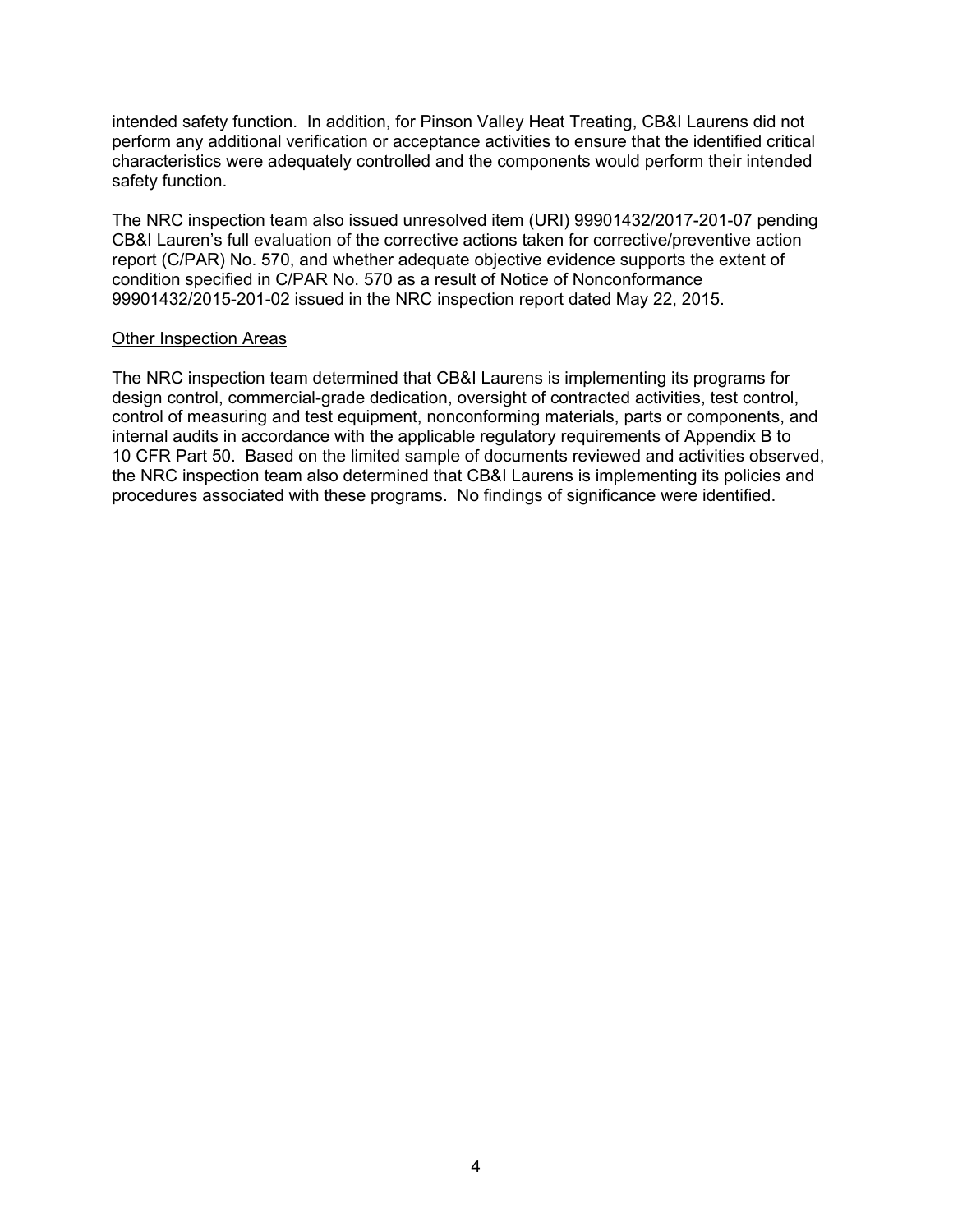intended safety function. In addition, for Pinson Valley Heat Treating, CB&I Laurens did not perform any additional verification or acceptance activities to ensure that the identified critical characteristics were adequately controlled and the components would perform their intended safety function.

The NRC inspection team also issued unresolved item (URI) 99901432/2017-201-07 pending CB&I Lauren's full evaluation of the corrective actions taken for corrective/preventive action report (C/PAR) No. 570, and whether adequate objective evidence supports the extent of condition specified in C/PAR No. 570 as a result of Notice of Nonconformance 99901432/2015-201-02 issued in the NRC inspection report dated May 22, 2015.

#### Other Inspection Areas

The NRC inspection team determined that CB&I Laurens is implementing its programs for design control, commercial-grade dedication, oversight of contracted activities, test control, control of measuring and test equipment, nonconforming materials, parts or components, and internal audits in accordance with the applicable regulatory requirements of Appendix B to 10 CFR Part 50. Based on the limited sample of documents reviewed and activities observed, the NRC inspection team also determined that CB&I Laurens is implementing its policies and procedures associated with these programs. No findings of significance were identified.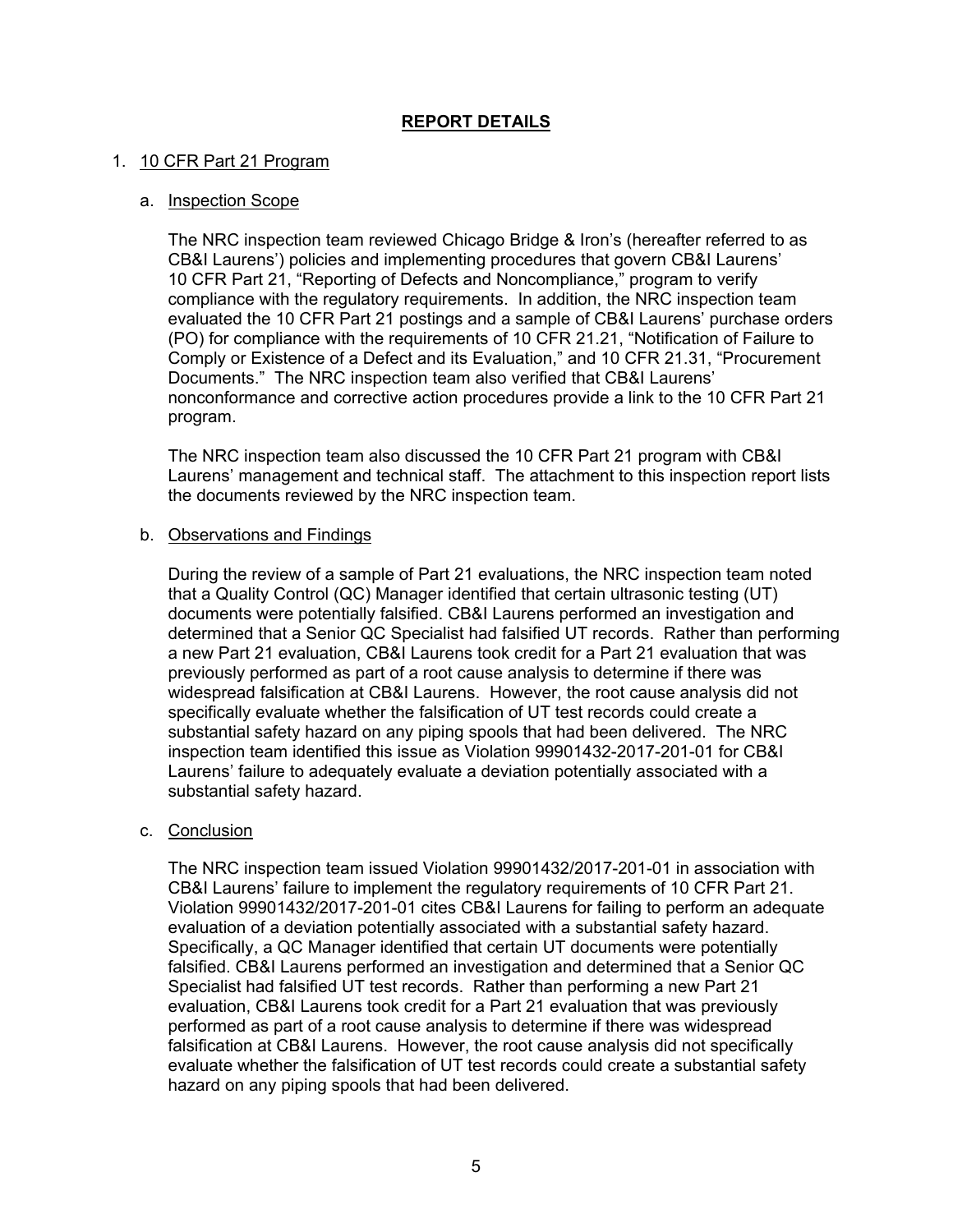# **REPORT DETAILS**

## 1. 10 CFR Part 21 Program

#### a. Inspection Scope

The NRC inspection team reviewed Chicago Bridge & Iron's (hereafter referred to as CB&I Laurens') policies and implementing procedures that govern CB&I Laurens' 10 CFR Part 21, "Reporting of Defects and Noncompliance," program to verify compliance with the regulatory requirements. In addition, the NRC inspection team evaluated the 10 CFR Part 21 postings and a sample of CB&I Laurens' purchase orders (PO) for compliance with the requirements of 10 CFR 21.21, "Notification of Failure to Comply or Existence of a Defect and its Evaluation," and 10 CFR 21.31, "Procurement Documents." The NRC inspection team also verified that CB&I Laurens' nonconformance and corrective action procedures provide a link to the 10 CFR Part 21 program.

The NRC inspection team also discussed the 10 CFR Part 21 program with CB&I Laurens' management and technical staff. The attachment to this inspection report lists the documents reviewed by the NRC inspection team.

#### b. Observations and Findings

During the review of a sample of Part 21 evaluations, the NRC inspection team noted that a Quality Control (QC) Manager identified that certain ultrasonic testing (UT) documents were potentially falsified. CB&I Laurens performed an investigation and determined that a Senior QC Specialist had falsified UT records. Rather than performing a new Part 21 evaluation, CB&I Laurens took credit for a Part 21 evaluation that was previously performed as part of a root cause analysis to determine if there was widespread falsification at CB&I Laurens. However, the root cause analysis did not specifically evaluate whether the falsification of UT test records could create a substantial safety hazard on any piping spools that had been delivered. The NRC inspection team identified this issue as Violation 99901432-2017-201-01 for CB&I Laurens' failure to adequately evaluate a deviation potentially associated with a substantial safety hazard.

# c. Conclusion

The NRC inspection team issued Violation 99901432/2017-201-01 in association with CB&I Laurens' failure to implement the regulatory requirements of 10 CFR Part 21. Violation 99901432/2017-201-01 cites CB&I Laurens for failing to perform an adequate evaluation of a deviation potentially associated with a substantial safety hazard. Specifically, a QC Manager identified that certain UT documents were potentially falsified. CB&I Laurens performed an investigation and determined that a Senior QC Specialist had falsified UT test records. Rather than performing a new Part 21 evaluation, CB&I Laurens took credit for a Part 21 evaluation that was previously performed as part of a root cause analysis to determine if there was widespread falsification at CB&I Laurens. However, the root cause analysis did not specifically evaluate whether the falsification of UT test records could create a substantial safety hazard on any piping spools that had been delivered.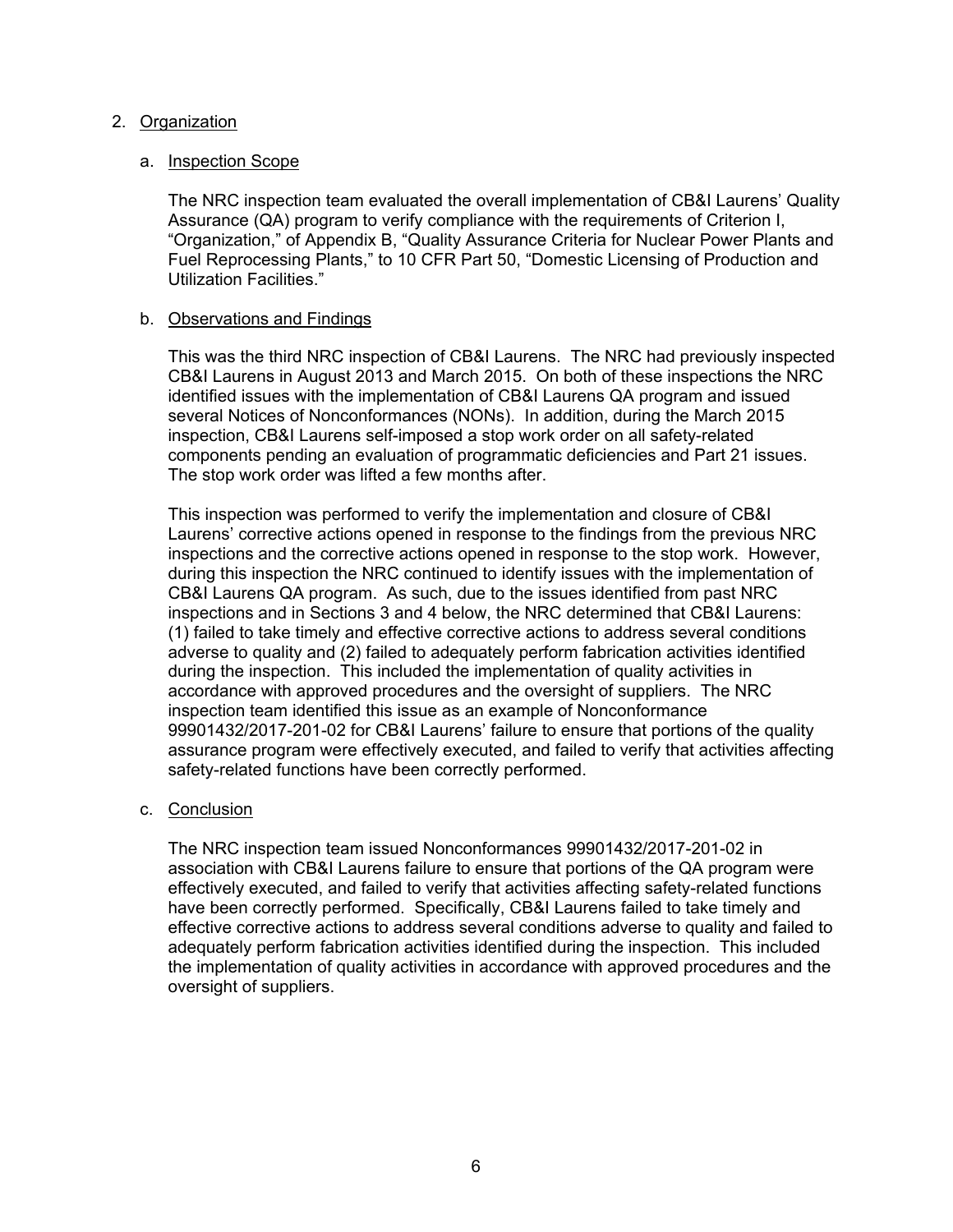## 2. Organization

## a. Inspection Scope

The NRC inspection team evaluated the overall implementation of CB&I Laurens' Quality Assurance (QA) program to verify compliance with the requirements of Criterion I, "Organization," of Appendix B, "Quality Assurance Criteria for Nuclear Power Plants and Fuel Reprocessing Plants," to 10 CFR Part 50, "Domestic Licensing of Production and Utilization Facilities."

## b. Observations and Findings

This was the third NRC inspection of CB&I Laurens. The NRC had previously inspected CB&I Laurens in August 2013 and March 2015. On both of these inspections the NRC identified issues with the implementation of CB&I Laurens QA program and issued several Notices of Nonconformances (NONs). In addition, during the March 2015 inspection, CB&I Laurens self-imposed a stop work order on all safety-related components pending an evaluation of programmatic deficiencies and Part 21 issues. The stop work order was lifted a few months after.

This inspection was performed to verify the implementation and closure of CB&I Laurens' corrective actions opened in response to the findings from the previous NRC inspections and the corrective actions opened in response to the stop work. However, during this inspection the NRC continued to identify issues with the implementation of CB&I Laurens QA program. As such, due to the issues identified from past NRC inspections and in Sections 3 and 4 below, the NRC determined that CB&I Laurens: (1) failed to take timely and effective corrective actions to address several conditions adverse to quality and (2) failed to adequately perform fabrication activities identified during the inspection. This included the implementation of quality activities in accordance with approved procedures and the oversight of suppliers. The NRC inspection team identified this issue as an example of Nonconformance 99901432/2017-201-02 for CB&I Laurens' failure to ensure that portions of the quality assurance program were effectively executed, and failed to verify that activities affecting safety-related functions have been correctly performed.

#### c. Conclusion

The NRC inspection team issued Nonconformances 99901432/2017-201-02 in association with CB&I Laurens failure to ensure that portions of the QA program were effectively executed, and failed to verify that activities affecting safety-related functions have been correctly performed. Specifically, CB&I Laurens failed to take timely and effective corrective actions to address several conditions adverse to quality and failed to adequately perform fabrication activities identified during the inspection. This included the implementation of quality activities in accordance with approved procedures and the oversight of suppliers.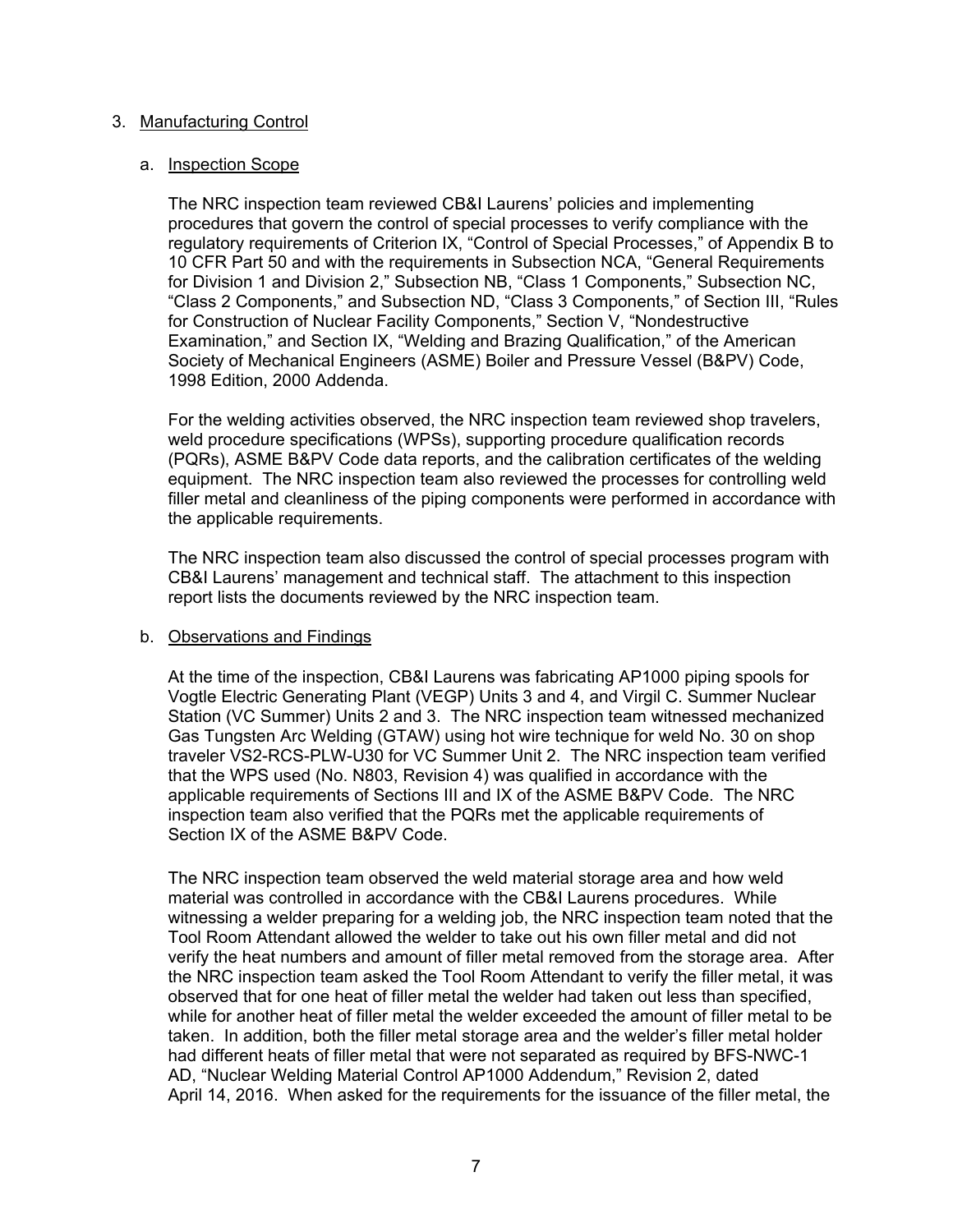#### 3. Manufacturing Control

#### a. Inspection Scope

The NRC inspection team reviewed CB&I Laurens' policies and implementing procedures that govern the control of special processes to verify compliance with the regulatory requirements of Criterion IX, "Control of Special Processes," of Appendix B to 10 CFR Part 50 and with the requirements in Subsection NCA, "General Requirements for Division 1 and Division 2," Subsection NB, "Class 1 Components," Subsection NC, "Class 2 Components," and Subsection ND, "Class 3 Components," of Section III, "Rules for Construction of Nuclear Facility Components," Section V, "Nondestructive Examination," and Section IX, "Welding and Brazing Qualification," of the American Society of Mechanical Engineers (ASME) Boiler and Pressure Vessel (B&PV) Code, 1998 Edition, 2000 Addenda.

For the welding activities observed, the NRC inspection team reviewed shop travelers, weld procedure specifications (WPSs), supporting procedure qualification records (PQRs), ASME B&PV Code data reports, and the calibration certificates of the welding equipment. The NRC inspection team also reviewed the processes for controlling weld filler metal and cleanliness of the piping components were performed in accordance with the applicable requirements.

The NRC inspection team also discussed the control of special processes program with CB&I Laurens' management and technical staff. The attachment to this inspection report lists the documents reviewed by the NRC inspection team.

#### b. Observations and Findings

At the time of the inspection, CB&I Laurens was fabricating AP1000 piping spools for Vogtle Electric Generating Plant (VEGP) Units 3 and 4, and Virgil C. Summer Nuclear Station (VC Summer) Units 2 and 3. The NRC inspection team witnessed mechanized Gas Tungsten Arc Welding (GTAW) using hot wire technique for weld No. 30 on shop traveler VS2-RCS-PLW-U30 for VC Summer Unit 2. The NRC inspection team verified that the WPS used (No. N803, Revision 4) was qualified in accordance with the applicable requirements of Sections III and IX of the ASME B&PV Code. The NRC inspection team also verified that the PQRs met the applicable requirements of Section IX of the ASME B&PV Code.

The NRC inspection team observed the weld material storage area and how weld material was controlled in accordance with the CB&I Laurens procedures. While witnessing a welder preparing for a welding job, the NRC inspection team noted that the Tool Room Attendant allowed the welder to take out his own filler metal and did not verify the heat numbers and amount of filler metal removed from the storage area. After the NRC inspection team asked the Tool Room Attendant to verify the filler metal, it was observed that for one heat of filler metal the welder had taken out less than specified, while for another heat of filler metal the welder exceeded the amount of filler metal to be taken. In addition, both the filler metal storage area and the welder's filler metal holder had different heats of filler metal that were not separated as required by BFS-NWC-1 AD, "Nuclear Welding Material Control AP1000 Addendum," Revision 2, dated April 14, 2016. When asked for the requirements for the issuance of the filler metal, the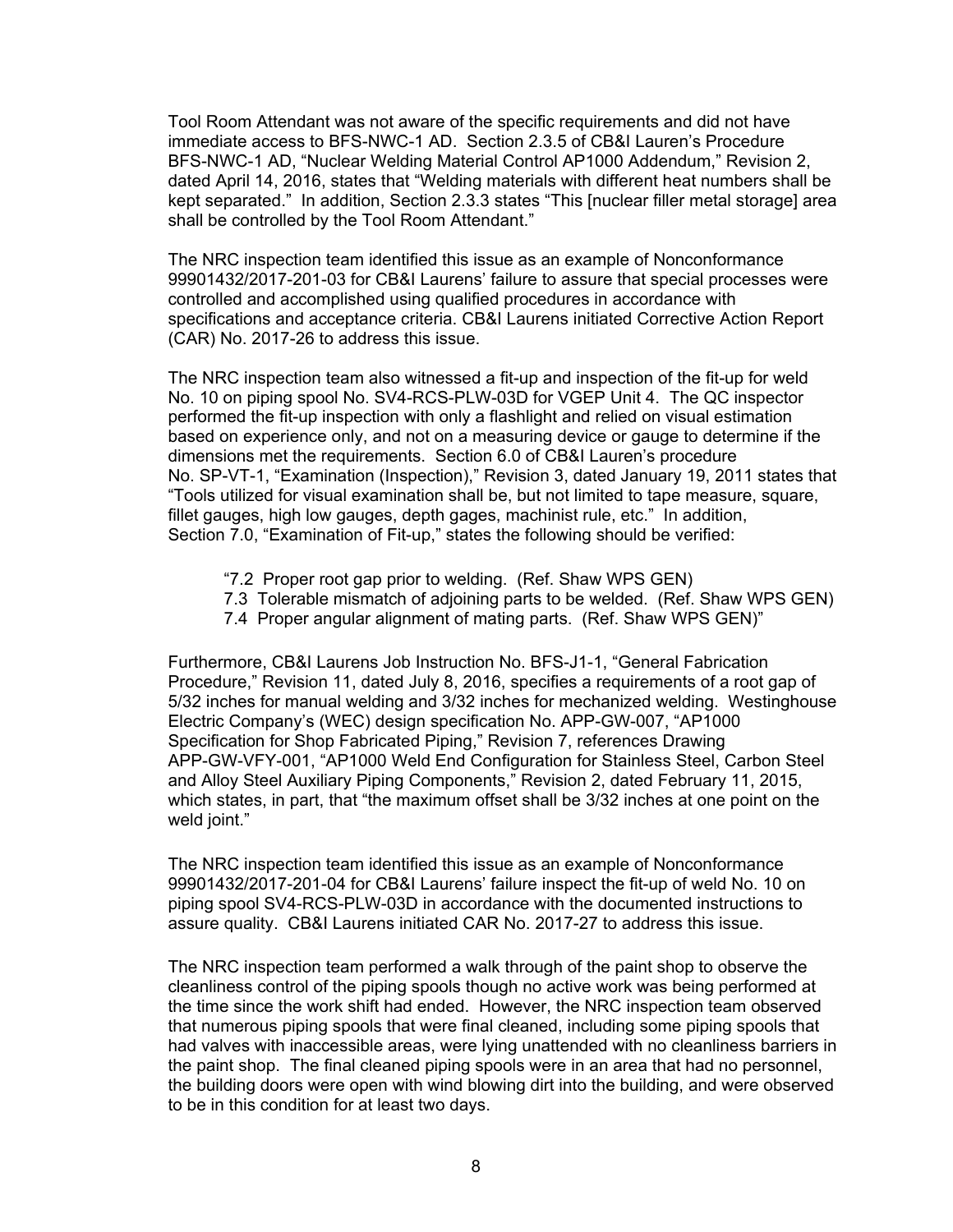Tool Room Attendant was not aware of the specific requirements and did not have immediate access to BFS-NWC-1 AD. Section 2.3.5 of CB&I Lauren's Procedure BFS-NWC-1 AD, "Nuclear Welding Material Control AP1000 Addendum," Revision 2, dated April 14, 2016, states that "Welding materials with different heat numbers shall be kept separated." In addition, Section 2.3.3 states "This [nuclear filler metal storage] area shall be controlled by the Tool Room Attendant."

The NRC inspection team identified this issue as an example of Nonconformance 99901432/2017-201-03 for CB&I Laurens' failure to assure that special processes were controlled and accomplished using qualified procedures in accordance with specifications and acceptance criteria. CB&I Laurens initiated Corrective Action Report (CAR) No. 2017-26 to address this issue.

The NRC inspection team also witnessed a fit-up and inspection of the fit-up for weld No. 10 on piping spool No. SV4-RCS-PLW-03D for VGEP Unit 4. The QC inspector performed the fit-up inspection with only a flashlight and relied on visual estimation based on experience only, and not on a measuring device or gauge to determine if the dimensions met the requirements. Section 6.0 of CB&I Lauren's procedure No. SP-VT-1, "Examination (Inspection)," Revision 3, dated January 19, 2011 states that "Tools utilized for visual examination shall be, but not limited to tape measure, square, fillet gauges, high low gauges, depth gages, machinist rule, etc." In addition, Section 7.0, "Examination of Fit-up," states the following should be verified:

- "7.2 Proper root gap prior to welding. (Ref. Shaw WPS GEN)
- 7.3 Tolerable mismatch of adjoining parts to be welded. (Ref. Shaw WPS GEN)
- 7.4 Proper angular alignment of mating parts. (Ref. Shaw WPS GEN)"

Furthermore, CB&I Laurens Job Instruction No. BFS-J1-1, "General Fabrication Procedure," Revision 11, dated July 8, 2016, specifies a requirements of a root gap of 5/32 inches for manual welding and 3/32 inches for mechanized welding. Westinghouse Electric Company's (WEC) design specification No. APP-GW-007, "AP1000 Specification for Shop Fabricated Piping," Revision 7, references Drawing APP-GW-VFY-001, "AP1000 Weld End Configuration for Stainless Steel, Carbon Steel and Alloy Steel Auxiliary Piping Components," Revision 2, dated February 11, 2015, which states, in part, that "the maximum offset shall be 3/32 inches at one point on the weld joint."

The NRC inspection team identified this issue as an example of Nonconformance 99901432/2017-201-04 for CB&I Laurens' failure inspect the fit-up of weld No. 10 on piping spool SV4-RCS-PLW-03D in accordance with the documented instructions to assure quality. CB&I Laurens initiated CAR No. 2017-27 to address this issue.

The NRC inspection team performed a walk through of the paint shop to observe the cleanliness control of the piping spools though no active work was being performed at the time since the work shift had ended. However, the NRC inspection team observed that numerous piping spools that were final cleaned, including some piping spools that had valves with inaccessible areas, were lying unattended with no cleanliness barriers in the paint shop. The final cleaned piping spools were in an area that had no personnel, the building doors were open with wind blowing dirt into the building, and were observed to be in this condition for at least two days.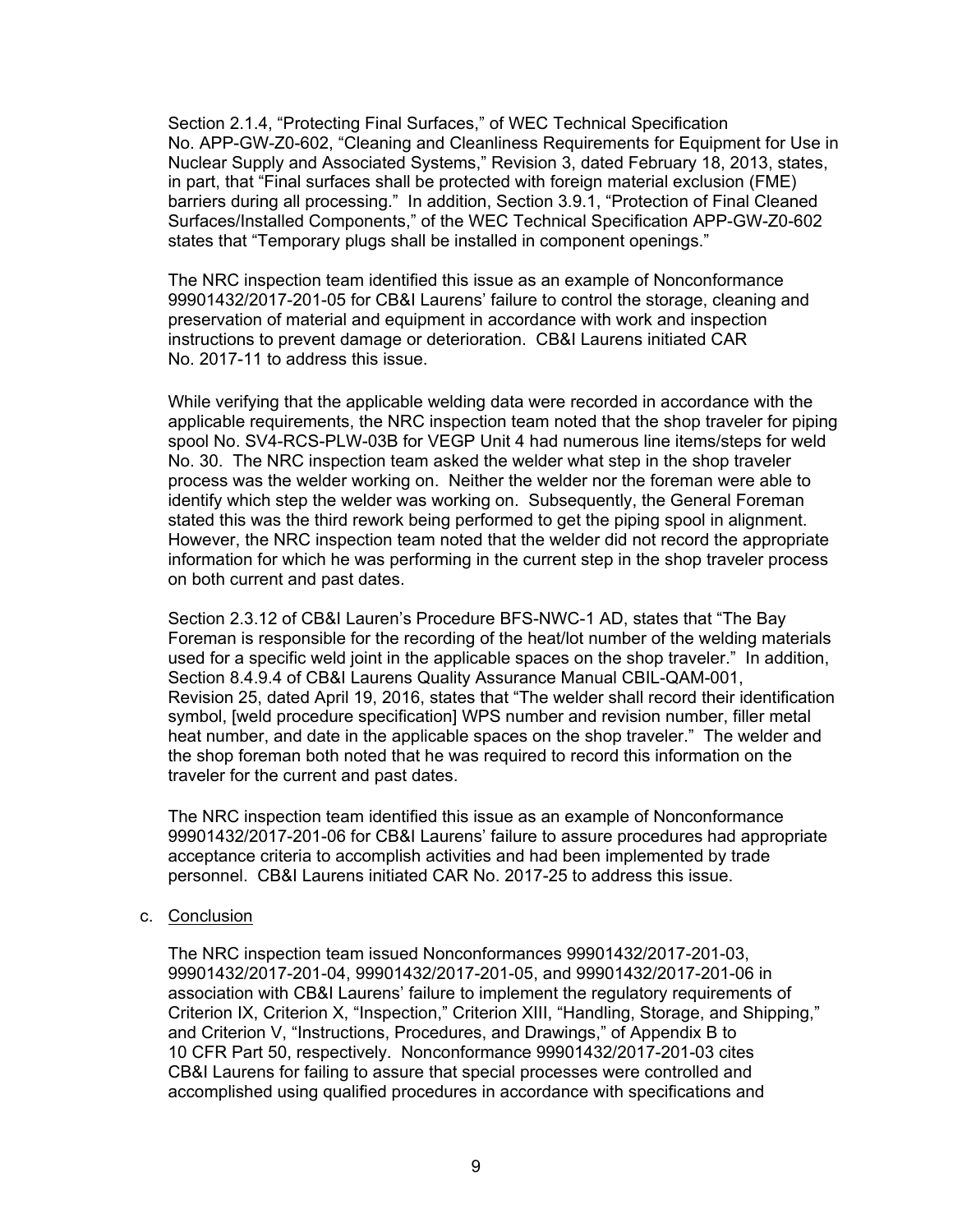Section 2.1.4, "Protecting Final Surfaces," of WEC Technical Specification No. APP-GW-Z0-602, "Cleaning and Cleanliness Requirements for Equipment for Use in Nuclear Supply and Associated Systems," Revision 3, dated February 18, 2013, states, in part, that "Final surfaces shall be protected with foreign material exclusion (FME) barriers during all processing." In addition, Section 3.9.1, "Protection of Final Cleaned Surfaces/Installed Components," of the WEC Technical Specification APP-GW-Z0-602 states that "Temporary plugs shall be installed in component openings."

The NRC inspection team identified this issue as an example of Nonconformance 99901432/2017-201-05 for CB&I Laurens' failure to control the storage, cleaning and preservation of material and equipment in accordance with work and inspection instructions to prevent damage or deterioration. CB&I Laurens initiated CAR No. 2017-11 to address this issue.

While verifying that the applicable welding data were recorded in accordance with the applicable requirements, the NRC inspection team noted that the shop traveler for piping spool No. SV4-RCS-PLW-03B for VEGP Unit 4 had numerous line items/steps for weld No. 30. The NRC inspection team asked the welder what step in the shop traveler process was the welder working on. Neither the welder nor the foreman were able to identify which step the welder was working on. Subsequently, the General Foreman stated this was the third rework being performed to get the piping spool in alignment. However, the NRC inspection team noted that the welder did not record the appropriate information for which he was performing in the current step in the shop traveler process on both current and past dates.

Section 2.3.12 of CB&I Lauren's Procedure BFS-NWC-1 AD, states that "The Bay Foreman is responsible for the recording of the heat/lot number of the welding materials used for a specific weld joint in the applicable spaces on the shop traveler." In addition, Section 8.4.9.4 of CB&I Laurens Quality Assurance Manual CBIL-QAM-001, Revision 25, dated April 19, 2016, states that "The welder shall record their identification symbol, [weld procedure specification] WPS number and revision number, filler metal heat number, and date in the applicable spaces on the shop traveler." The welder and the shop foreman both noted that he was required to record this information on the traveler for the current and past dates.

The NRC inspection team identified this issue as an example of Nonconformance 99901432/2017-201-06 for CB&I Laurens' failure to assure procedures had appropriate acceptance criteria to accomplish activities and had been implemented by trade personnel. CB&I Laurens initiated CAR No. 2017-25 to address this issue.

#### c. Conclusion

The NRC inspection team issued Nonconformances 99901432/2017-201-03, 99901432/2017-201-04, 99901432/2017-201-05, and 99901432/2017-201-06 in association with CB&I Laurens' failure to implement the regulatory requirements of Criterion IX, Criterion X, "Inspection," Criterion XIII, "Handling, Storage, and Shipping," and Criterion V, "Instructions, Procedures, and Drawings," of Appendix B to 10 CFR Part 50, respectively. Nonconformance 99901432/2017-201-03 cites CB&I Laurens for failing to assure that special processes were controlled and accomplished using qualified procedures in accordance with specifications and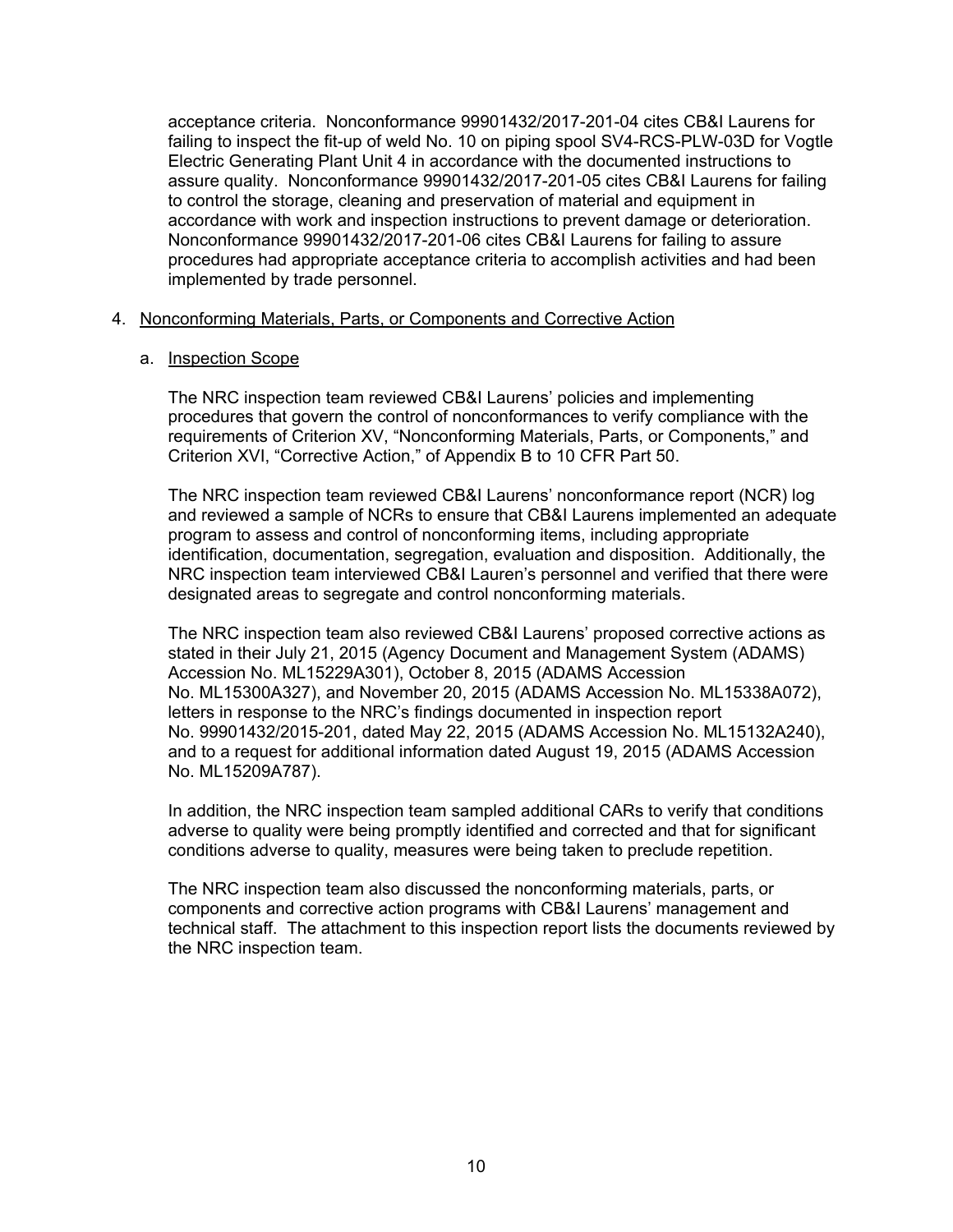acceptance criteria. Nonconformance 99901432/2017-201-04 cites CB&I Laurens for failing to inspect the fit-up of weld No. 10 on piping spool SV4-RCS-PLW-03D for Vogtle Electric Generating Plant Unit 4 in accordance with the documented instructions to assure quality. Nonconformance 99901432/2017-201-05 cites CB&I Laurens for failing to control the storage, cleaning and preservation of material and equipment in accordance with work and inspection instructions to prevent damage or deterioration. Nonconformance 99901432/2017-201-06 cites CB&I Laurens for failing to assure procedures had appropriate acceptance criteria to accomplish activities and had been implemented by trade personnel.

#### 4. Nonconforming Materials, Parts, or Components and Corrective Action

#### a. Inspection Scope

The NRC inspection team reviewed CB&I Laurens' policies and implementing procedures that govern the control of nonconformances to verify compliance with the requirements of Criterion XV, "Nonconforming Materials, Parts, or Components," and Criterion XVI, "Corrective Action," of Appendix B to 10 CFR Part 50.

The NRC inspection team reviewed CB&I Laurens' nonconformance report (NCR) log and reviewed a sample of NCRs to ensure that CB&I Laurens implemented an adequate program to assess and control of nonconforming items, including appropriate identification, documentation, segregation, evaluation and disposition. Additionally, the NRC inspection team interviewed CB&I Lauren's personnel and verified that there were designated areas to segregate and control nonconforming materials.

The NRC inspection team also reviewed CB&I Laurens' proposed corrective actions as stated in their July 21, 2015 (Agency Document and Management System (ADAMS) Accession No. ML15229A301), October 8, 2015 (ADAMS Accession No. ML15300A327), and November 20, 2015 (ADAMS Accession No. ML15338A072), letters in response to the NRC's findings documented in inspection report No. 99901432/2015-201, dated May 22, 2015 (ADAMS Accession No. ML15132A240), and to a request for additional information dated August 19, 2015 (ADAMS Accession No. ML15209A787).

In addition, the NRC inspection team sampled additional CARs to verify that conditions adverse to quality were being promptly identified and corrected and that for significant conditions adverse to quality, measures were being taken to preclude repetition.

The NRC inspection team also discussed the nonconforming materials, parts, or components and corrective action programs with CB&I Laurens' management and technical staff. The attachment to this inspection report lists the documents reviewed by the NRC inspection team.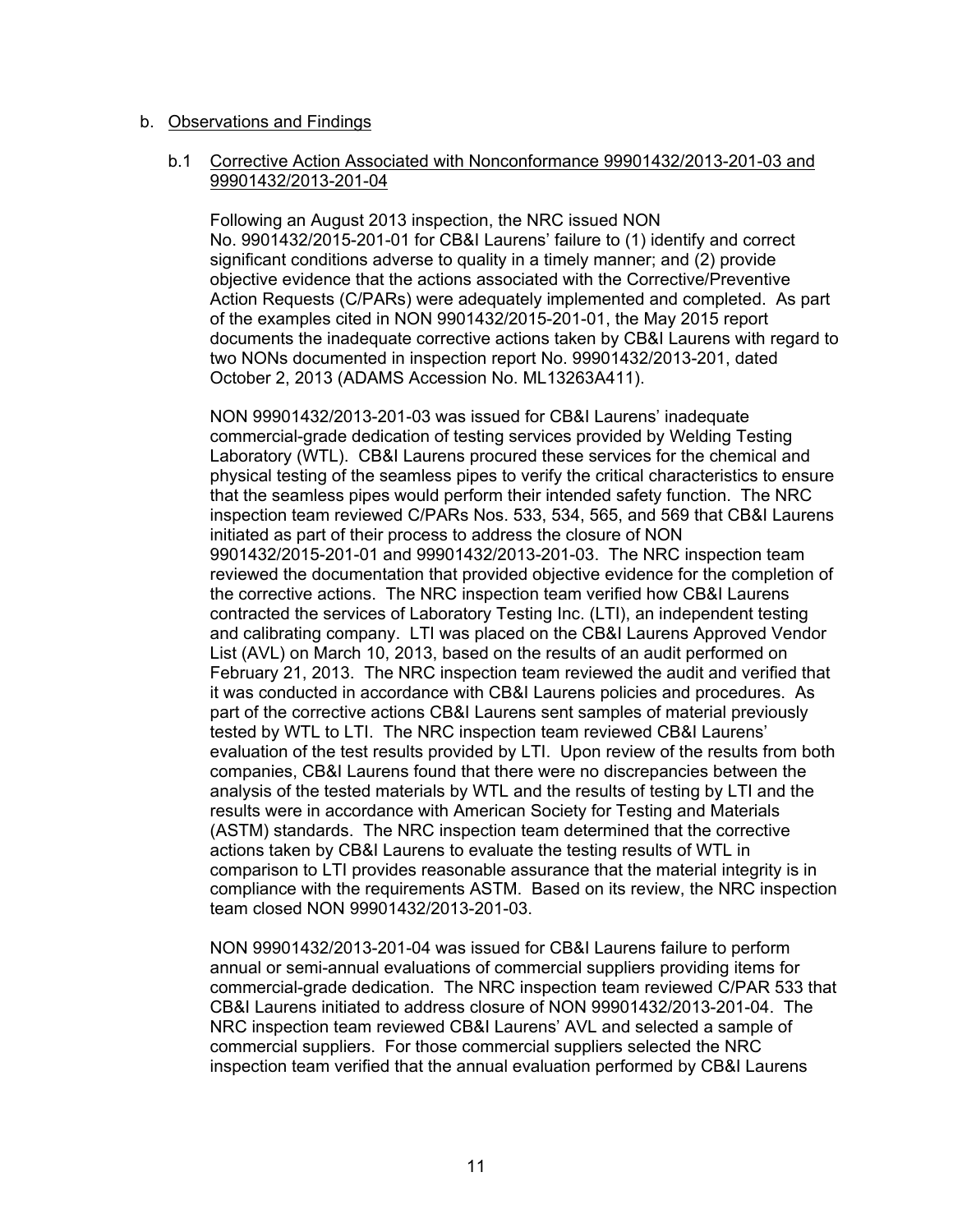#### b. Observations and Findings

## b.1 Corrective Action Associated with Nonconformance 99901432/2013-201-03 and 99901432/2013-201-04

Following an August 2013 inspection, the NRC issued NON No. 9901432/2015-201-01 for CB&I Laurens' failure to (1) identify and correct significant conditions adverse to quality in a timely manner; and (2) provide objective evidence that the actions associated with the Corrective/Preventive Action Requests (C/PARs) were adequately implemented and completed. As part of the examples cited in NON 9901432/2015-201-01, the May 2015 report documents the inadequate corrective actions taken by CB&I Laurens with regard to two NONs documented in inspection report No. 99901432/2013-201, dated October 2, 2013 (ADAMS Accession No. ML13263A411).

NON 99901432/2013-201-03 was issued for CB&I Laurens' inadequate commercial-grade dedication of testing services provided by Welding Testing Laboratory (WTL). CB&I Laurens procured these services for the chemical and physical testing of the seamless pipes to verify the critical characteristics to ensure that the seamless pipes would perform their intended safety function. The NRC inspection team reviewed C/PARs Nos. 533, 534, 565, and 569 that CB&I Laurens initiated as part of their process to address the closure of NON 9901432/2015-201-01 and 99901432/2013-201-03. The NRC inspection team reviewed the documentation that provided objective evidence for the completion of the corrective actions. The NRC inspection team verified how CB&I Laurens contracted the services of Laboratory Testing Inc. (LTI), an independent testing and calibrating company. LTI was placed on the CB&I Laurens Approved Vendor List (AVL) on March 10, 2013, based on the results of an audit performed on February 21, 2013. The NRC inspection team reviewed the audit and verified that it was conducted in accordance with CB&I Laurens policies and procedures. As part of the corrective actions CB&I Laurens sent samples of material previously tested by WTL to LTI. The NRC inspection team reviewed CB&I Laurens' evaluation of the test results provided by LTI. Upon review of the results from both companies, CB&I Laurens found that there were no discrepancies between the analysis of the tested materials by WTL and the results of testing by LTI and the results were in accordance with American Society for Testing and Materials (ASTM) standards. The NRC inspection team determined that the corrective actions taken by CB&I Laurens to evaluate the testing results of WTL in comparison to LTI provides reasonable assurance that the material integrity is in compliance with the requirements ASTM. Based on its review, the NRC inspection team closed NON 99901432/2013-201-03.

NON 99901432/2013-201-04 was issued for CB&I Laurens failure to perform annual or semi-annual evaluations of commercial suppliers providing items for commercial-grade dedication. The NRC inspection team reviewed C/PAR 533 that CB&I Laurens initiated to address closure of NON 99901432/2013-201-04. The NRC inspection team reviewed CB&I Laurens' AVL and selected a sample of commercial suppliers. For those commercial suppliers selected the NRC inspection team verified that the annual evaluation performed by CB&I Laurens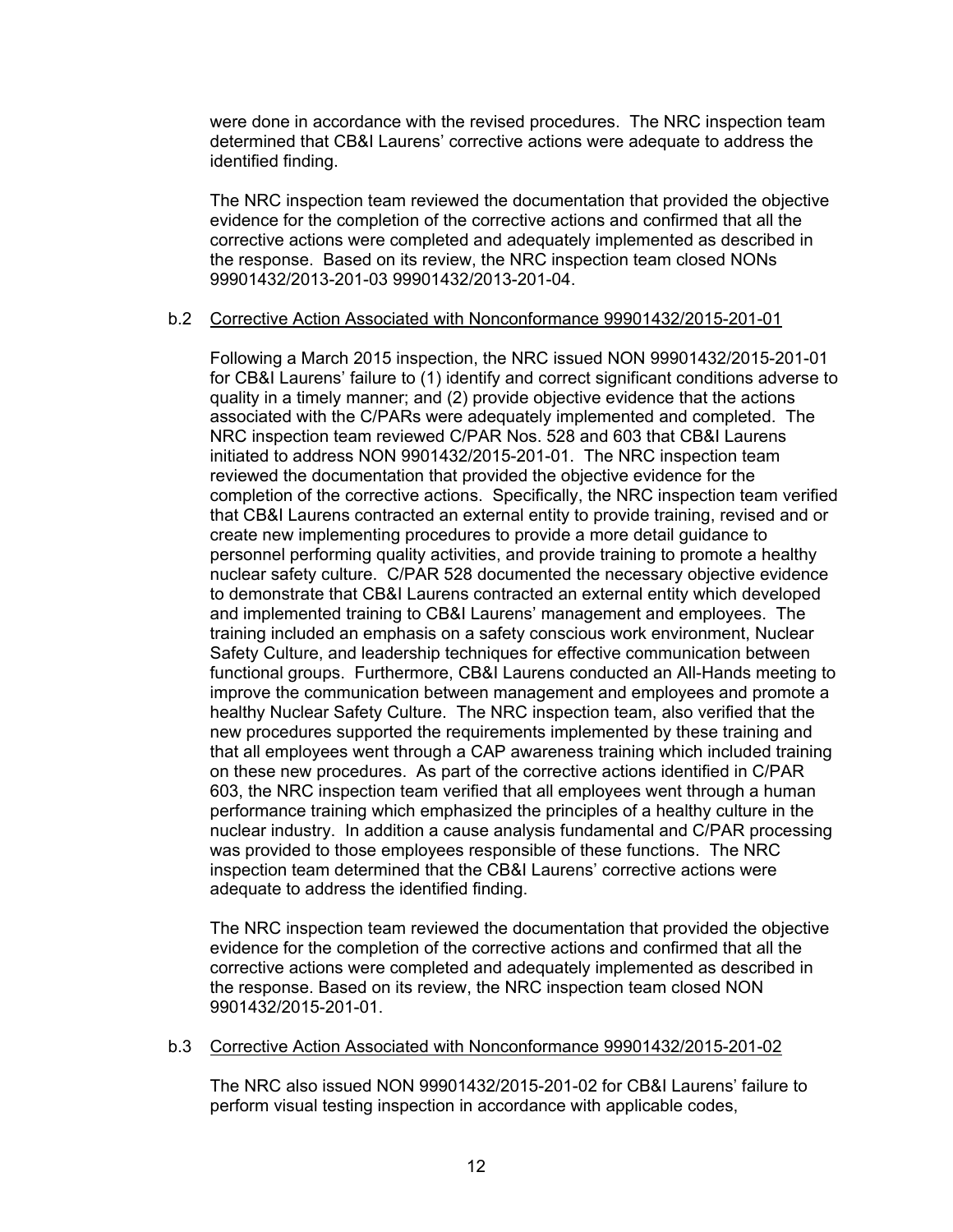were done in accordance with the revised procedures. The NRC inspection team determined that CB&I Laurens' corrective actions were adequate to address the identified finding.

The NRC inspection team reviewed the documentation that provided the objective evidence for the completion of the corrective actions and confirmed that all the corrective actions were completed and adequately implemented as described in the response. Based on its review, the NRC inspection team closed NONs 99901432/2013-201-03 99901432/2013-201-04.

## b.2 Corrective Action Associated with Nonconformance 99901432/2015-201-01

Following a March 2015 inspection, the NRC issued NON 99901432/2015-201-01 for CB&I Laurens' failure to (1) identify and correct significant conditions adverse to quality in a timely manner; and (2) provide objective evidence that the actions associated with the C/PARs were adequately implemented and completed. The NRC inspection team reviewed C/PAR Nos. 528 and 603 that CB&I Laurens initiated to address NON 9901432/2015-201-01. The NRC inspection team reviewed the documentation that provided the objective evidence for the completion of the corrective actions. Specifically, the NRC inspection team verified that CB&I Laurens contracted an external entity to provide training, revised and or create new implementing procedures to provide a more detail guidance to personnel performing quality activities, and provide training to promote a healthy nuclear safety culture. C/PAR 528 documented the necessary objective evidence to demonstrate that CB&I Laurens contracted an external entity which developed and implemented training to CB&I Laurens' management and employees. The training included an emphasis on a safety conscious work environment, Nuclear Safety Culture, and leadership techniques for effective communication between functional groups. Furthermore, CB&I Laurens conducted an All-Hands meeting to improve the communication between management and employees and promote a healthy Nuclear Safety Culture. The NRC inspection team, also verified that the new procedures supported the requirements implemented by these training and that all employees went through a CAP awareness training which included training on these new procedures. As part of the corrective actions identified in C/PAR 603, the NRC inspection team verified that all employees went through a human performance training which emphasized the principles of a healthy culture in the nuclear industry. In addition a cause analysis fundamental and C/PAR processing was provided to those employees responsible of these functions. The NRC inspection team determined that the CB&I Laurens' corrective actions were adequate to address the identified finding.

The NRC inspection team reviewed the documentation that provided the objective evidence for the completion of the corrective actions and confirmed that all the corrective actions were completed and adequately implemented as described in the response. Based on its review, the NRC inspection team closed NON 9901432/2015-201-01.

# b.3 Corrective Action Associated with Nonconformance 99901432/2015-201-02

The NRC also issued NON 99901432/2015-201-02 for CB&I Laurens' failure to perform visual testing inspection in accordance with applicable codes,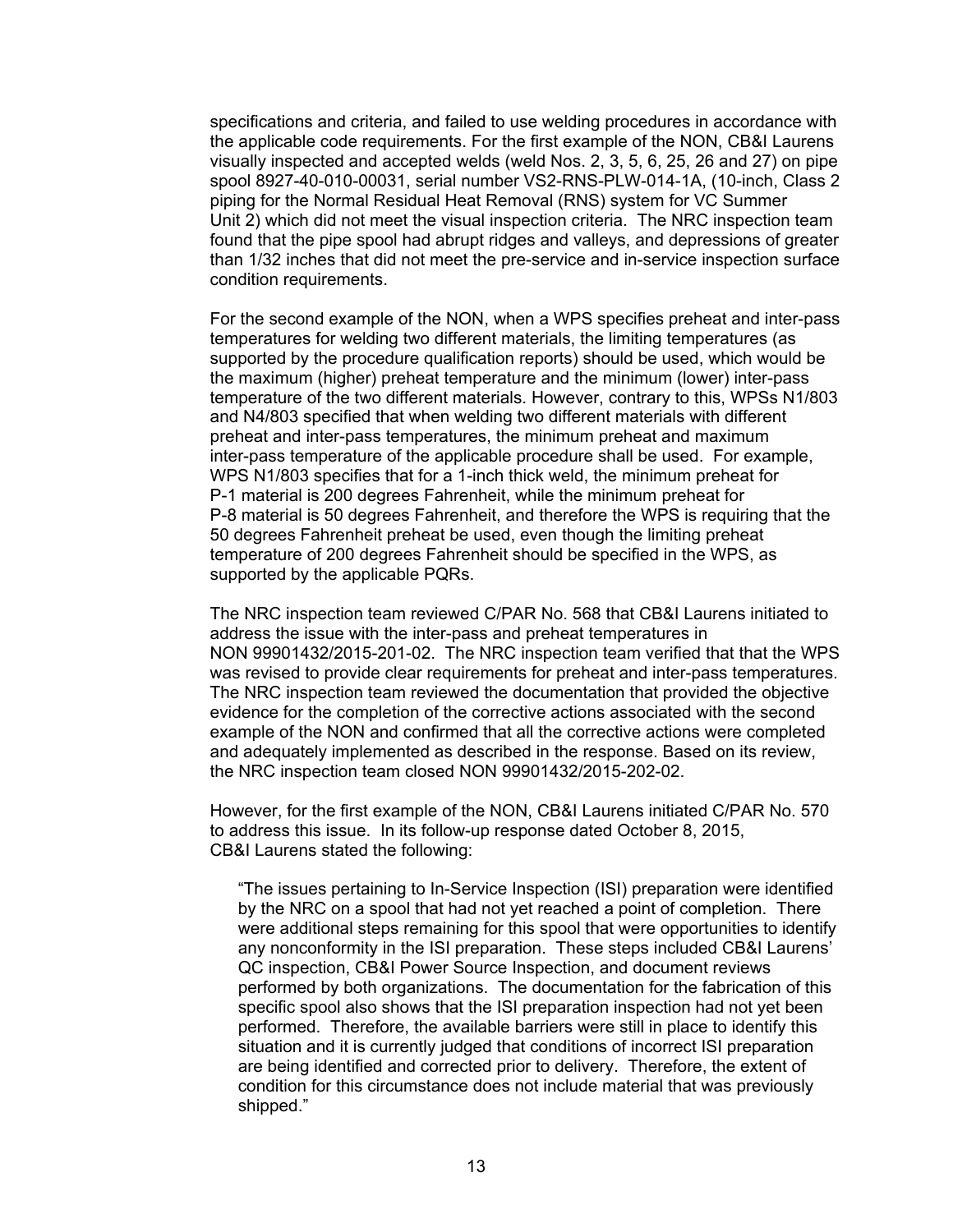specifications and criteria, and failed to use welding procedures in accordance with the applicable code requirements. For the first example of the NON, CB&I Laurens visually inspected and accepted welds (weld Nos. 2, 3, 5, 6, 25, 26 and 27) on pipe spool 8927-40-010-00031, serial number VS2-RNS-PLW-014-1A, (10-inch, Class 2 piping for the Normal Residual Heat Removal (RNS) system for VC Summer Unit 2) which did not meet the visual inspection criteria. The NRC inspection team found that the pipe spool had abrupt ridges and valleys, and depressions of greater than 1/32 inches that did not meet the pre-service and in-service inspection surface condition requirements.

For the second example of the NON, when a WPS specifies preheat and inter-pass temperatures for welding two different materials, the limiting temperatures (as supported by the procedure qualification reports) should be used, which would be the maximum (higher) preheat temperature and the minimum (lower) inter-pass temperature of the two different materials. However, contrary to this, WPSs N1/803 and N4/803 specified that when welding two different materials with different preheat and inter-pass temperatures, the minimum preheat and maximum inter-pass temperature of the applicable procedure shall be used. For example, WPS N1/803 specifies that for a 1-inch thick weld, the minimum preheat for P-1 material is 200 degrees Fahrenheit, while the minimum preheat for P-8 material is 50 degrees Fahrenheit, and therefore the WPS is requiring that the 50 degrees Fahrenheit preheat be used, even though the limiting preheat temperature of 200 degrees Fahrenheit should be specified in the WPS, as supported by the applicable PQRs.

The NRC inspection team reviewed C/PAR No. 568 that CB&I Laurens initiated to address the issue with the inter-pass and preheat temperatures in NON 99901432/2015-201-02. The NRC inspection team verified that that the WPS was revised to provide clear requirements for preheat and inter-pass temperatures. The NRC inspection team reviewed the documentation that provided the objective evidence for the completion of the corrective actions associated with the second example of the NON and confirmed that all the corrective actions were completed and adequately implemented as described in the response. Based on its review, the NRC inspection team closed NON 99901432/2015-202-02.

However, for the first example of the NON, CB&I Laurens initiated C/PAR No. 570 to address this issue. In its follow-up response dated October 8, 2015, CB&I Laurens stated the following:

"The issues pertaining to In-Service Inspection (ISI) preparation were identified by the NRC on a spool that had not yet reached a point of completion. There were additional steps remaining for this spool that were opportunities to identify any nonconformity in the ISI preparation. These steps included CB&I Laurens' QC inspection, CB&I Power Source Inspection, and document reviews performed by both organizations. The documentation for the fabrication of this specific spool also shows that the ISI preparation inspection had not yet been performed. Therefore, the available barriers were still in place to identify this situation and it is currently judged that conditions of incorrect ISI preparation are being identified and corrected prior to delivery. Therefore, the extent of condition for this circumstance does not include material that was previously shipped."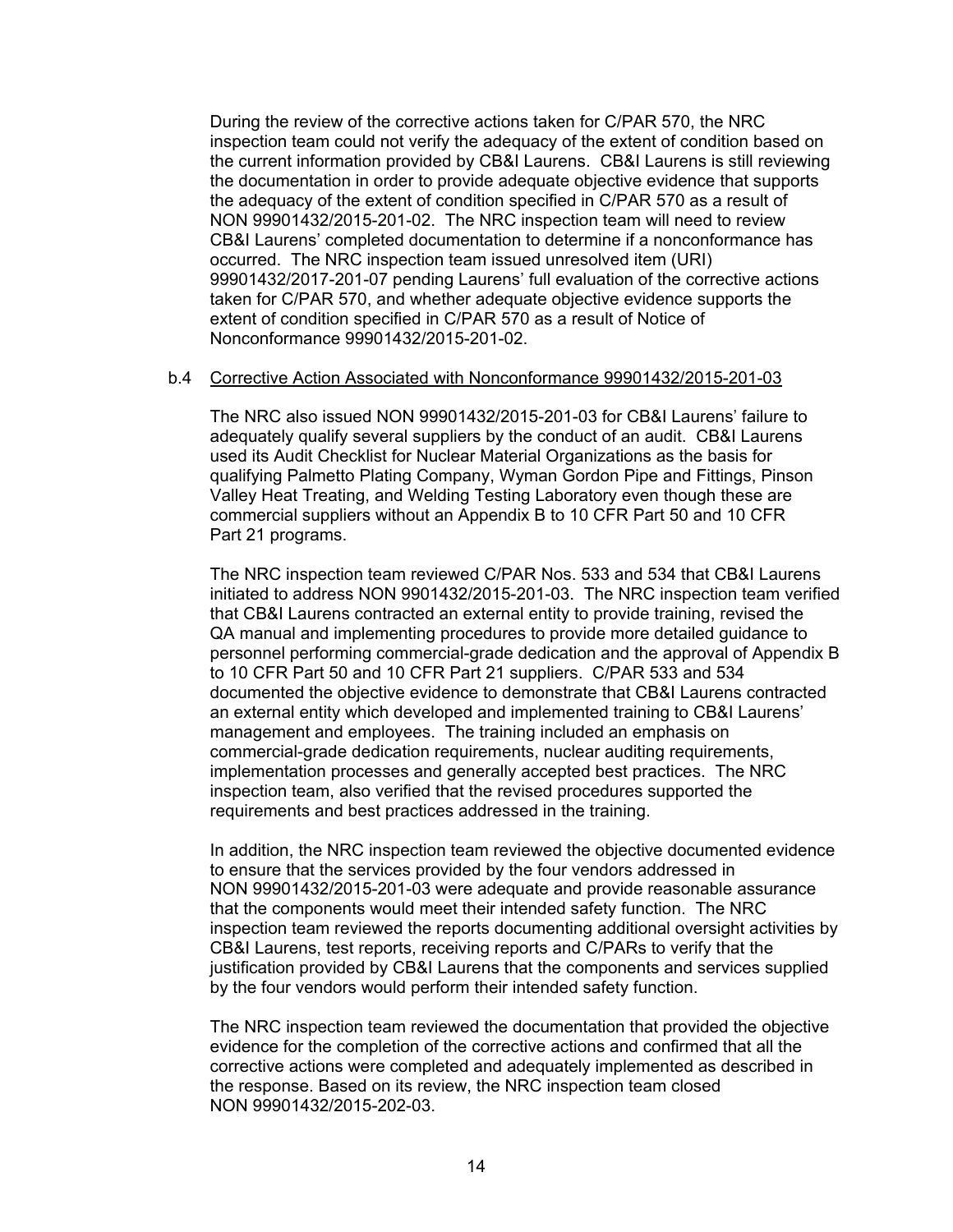During the review of the corrective actions taken for C/PAR 570, the NRC inspection team could not verify the adequacy of the extent of condition based on the current information provided by CB&I Laurens. CB&I Laurens is still reviewing the documentation in order to provide adequate objective evidence that supports the adequacy of the extent of condition specified in C/PAR 570 as a result of NON 99901432/2015-201-02. The NRC inspection team will need to review CB&I Laurens' completed documentation to determine if a nonconformance has occurred. The NRC inspection team issued unresolved item (URI) 99901432/2017-201-07 pending Laurens' full evaluation of the corrective actions taken for C/PAR 570, and whether adequate objective evidence supports the extent of condition specified in C/PAR 570 as a result of Notice of Nonconformance 99901432/2015-201-02.

#### b.4 Corrective Action Associated with Nonconformance 99901432/2015-201-03

The NRC also issued NON 99901432/2015-201-03 for CB&I Laurens' failure to adequately qualify several suppliers by the conduct of an audit. CB&I Laurens used its Audit Checklist for Nuclear Material Organizations as the basis for qualifying Palmetto Plating Company, Wyman Gordon Pipe and Fittings, Pinson Valley Heat Treating, and Welding Testing Laboratory even though these are commercial suppliers without an Appendix B to 10 CFR Part 50 and 10 CFR Part 21 programs.

The NRC inspection team reviewed C/PAR Nos. 533 and 534 that CB&I Laurens initiated to address NON 9901432/2015-201-03. The NRC inspection team verified that CB&I Laurens contracted an external entity to provide training, revised the QA manual and implementing procedures to provide more detailed guidance to personnel performing commercial-grade dedication and the approval of Appendix B to 10 CFR Part 50 and 10 CFR Part 21 suppliers. C/PAR 533 and 534 documented the objective evidence to demonstrate that CB&I Laurens contracted an external entity which developed and implemented training to CB&I Laurens' management and employees. The training included an emphasis on commercial-grade dedication requirements, nuclear auditing requirements, implementation processes and generally accepted best practices. The NRC inspection team, also verified that the revised procedures supported the requirements and best practices addressed in the training.

In addition, the NRC inspection team reviewed the objective documented evidence to ensure that the services provided by the four vendors addressed in NON 99901432/2015-201-03 were adequate and provide reasonable assurance that the components would meet their intended safety function. The NRC inspection team reviewed the reports documenting additional oversight activities by CB&I Laurens, test reports, receiving reports and C/PARs to verify that the justification provided by CB&I Laurens that the components and services supplied by the four vendors would perform their intended safety function.

The NRC inspection team reviewed the documentation that provided the objective evidence for the completion of the corrective actions and confirmed that all the corrective actions were completed and adequately implemented as described in the response. Based on its review, the NRC inspection team closed NON 99901432/2015-202-03.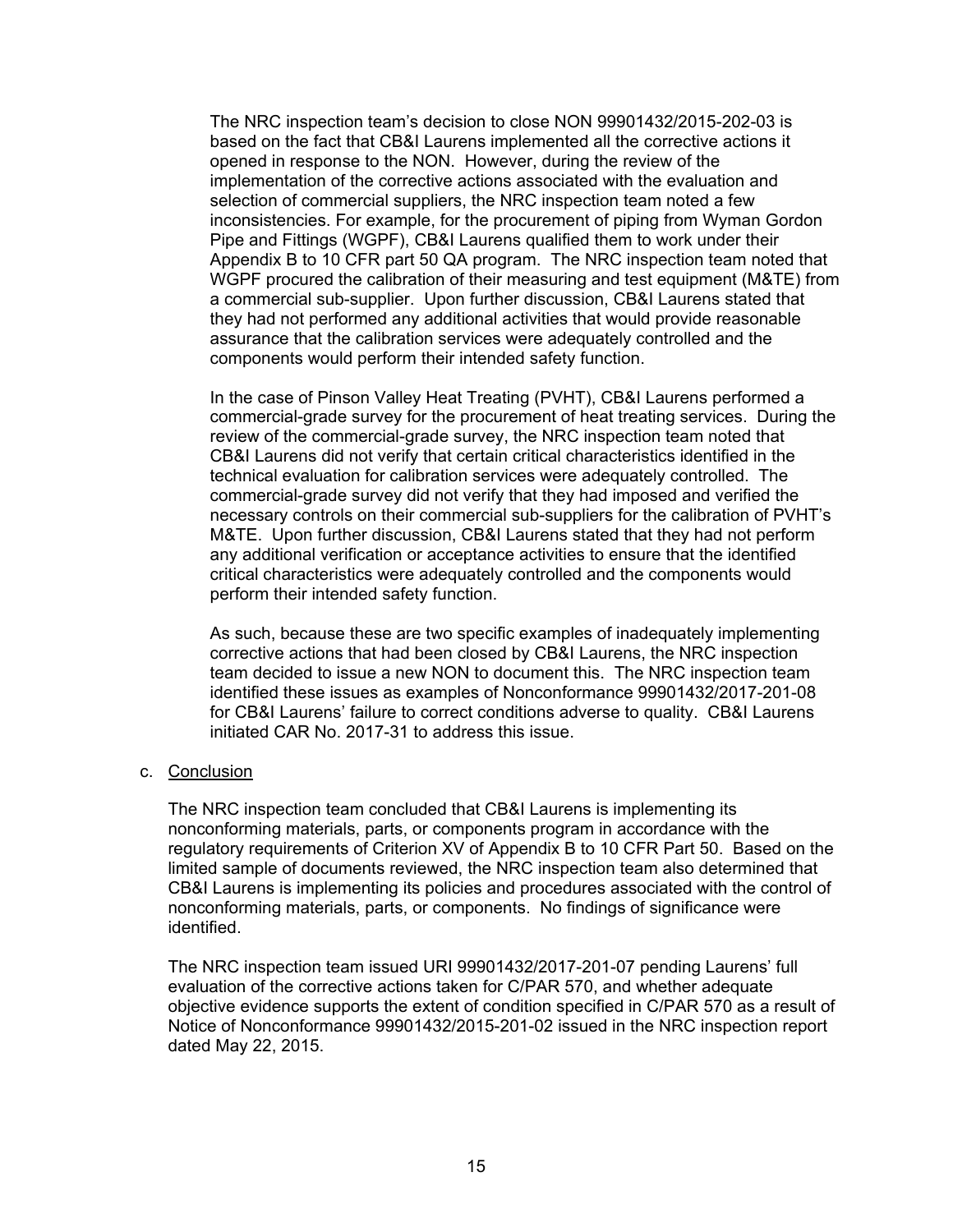The NRC inspection team's decision to close NON 99901432/2015-202-03 is based on the fact that CB&I Laurens implemented all the corrective actions it opened in response to the NON. However, during the review of the implementation of the corrective actions associated with the evaluation and selection of commercial suppliers, the NRC inspection team noted a few inconsistencies. For example, for the procurement of piping from Wyman Gordon Pipe and Fittings (WGPF), CB&I Laurens qualified them to work under their Appendix B to 10 CFR part 50 QA program. The NRC inspection team noted that WGPF procured the calibration of their measuring and test equipment (M&TE) from a commercial sub-supplier. Upon further discussion, CB&I Laurens stated that they had not performed any additional activities that would provide reasonable assurance that the calibration services were adequately controlled and the components would perform their intended safety function.

In the case of Pinson Valley Heat Treating (PVHT), CB&I Laurens performed a commercial-grade survey for the procurement of heat treating services. During the review of the commercial-grade survey, the NRC inspection team noted that CB&I Laurens did not verify that certain critical characteristics identified in the technical evaluation for calibration services were adequately controlled. The commercial-grade survey did not verify that they had imposed and verified the necessary controls on their commercial sub-suppliers for the calibration of PVHT's M&TE. Upon further discussion, CB&I Laurens stated that they had not perform any additional verification or acceptance activities to ensure that the identified critical characteristics were adequately controlled and the components would perform their intended safety function.

As such, because these are two specific examples of inadequately implementing corrective actions that had been closed by CB&I Laurens, the NRC inspection team decided to issue a new NON to document this. The NRC inspection team identified these issues as examples of Nonconformance 99901432/2017-201-08 for CB&I Laurens' failure to correct conditions adverse to quality. CB&I Laurens initiated CAR No. 2017-31 to address this issue.

c. Conclusion

The NRC inspection team concluded that CB&I Laurens is implementing its nonconforming materials, parts, or components program in accordance with the regulatory requirements of Criterion XV of Appendix B to 10 CFR Part 50. Based on the limited sample of documents reviewed, the NRC inspection team also determined that CB&I Laurens is implementing its policies and procedures associated with the control of nonconforming materials, parts, or components. No findings of significance were identified.

The NRC inspection team issued URI 99901432/2017-201-07 pending Laurens' full evaluation of the corrective actions taken for C/PAR 570, and whether adequate objective evidence supports the extent of condition specified in C/PAR 570 as a result of Notice of Nonconformance 99901432/2015-201-02 issued in the NRC inspection report dated May 22, 2015.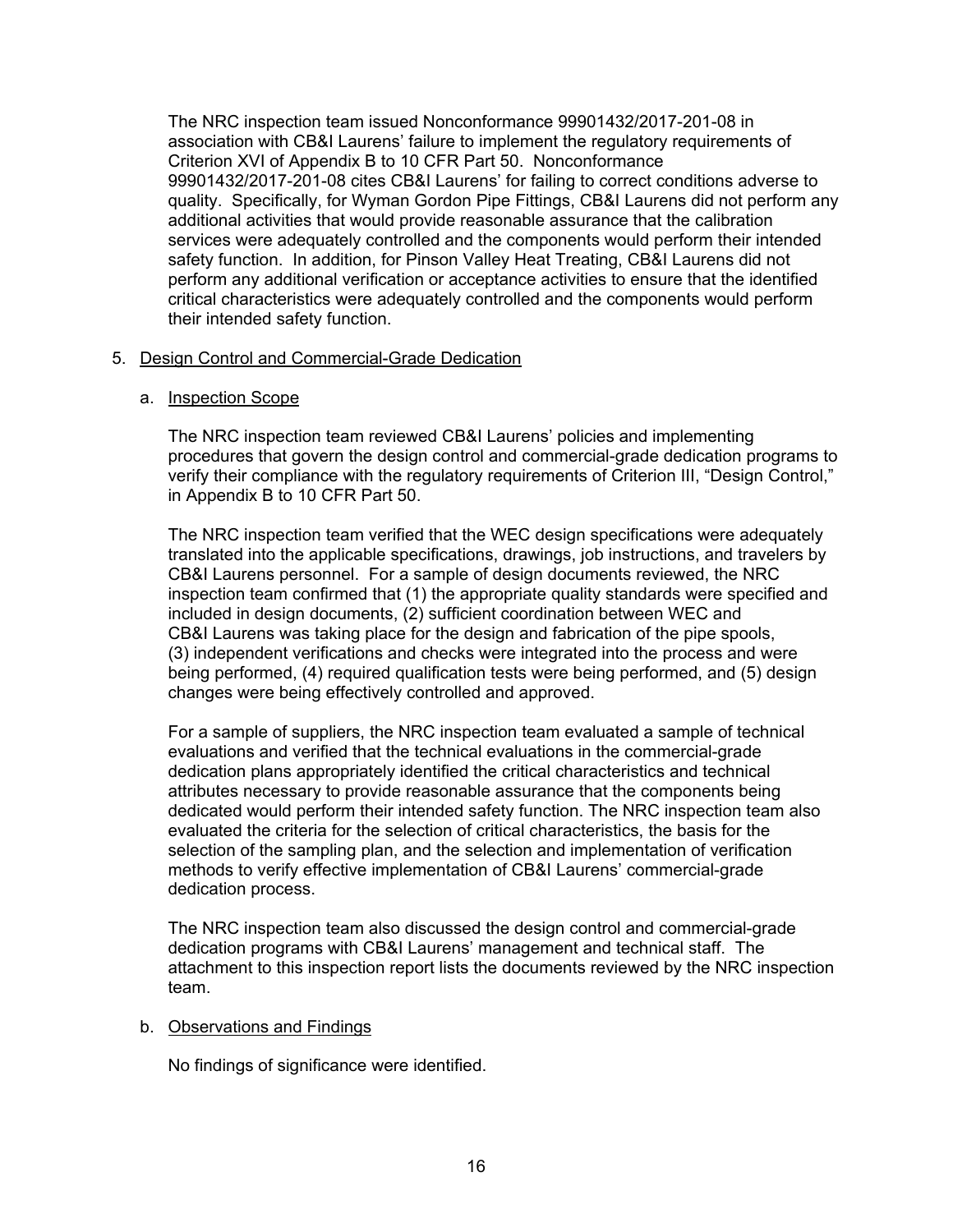The NRC inspection team issued Nonconformance 99901432/2017-201-08 in association with CB&I Laurens' failure to implement the regulatory requirements of Criterion XVI of Appendix B to 10 CFR Part 50. Nonconformance 99901432/2017-201-08 cites CB&I Laurens' for failing to correct conditions adverse to quality. Specifically, for Wyman Gordon Pipe Fittings, CB&I Laurens did not perform any additional activities that would provide reasonable assurance that the calibration services were adequately controlled and the components would perform their intended safety function. In addition, for Pinson Valley Heat Treating, CB&I Laurens did not perform any additional verification or acceptance activities to ensure that the identified critical characteristics were adequately controlled and the components would perform their intended safety function.

## 5. Design Control and Commercial-Grade Dedication

## a. Inspection Scope

The NRC inspection team reviewed CB&I Laurens' policies and implementing procedures that govern the design control and commercial-grade dedication programs to verify their compliance with the regulatory requirements of Criterion III, "Design Control," in Appendix B to 10 CFR Part 50.

The NRC inspection team verified that the WEC design specifications were adequately translated into the applicable specifications, drawings, job instructions, and travelers by CB&I Laurens personnel. For a sample of design documents reviewed, the NRC inspection team confirmed that (1) the appropriate quality standards were specified and included in design documents, (2) sufficient coordination between WEC and CB&I Laurens was taking place for the design and fabrication of the pipe spools, (3) independent verifications and checks were integrated into the process and were being performed, (4) required qualification tests were being performed, and (5) design changes were being effectively controlled and approved.

For a sample of suppliers, the NRC inspection team evaluated a sample of technical evaluations and verified that the technical evaluations in the commercial-grade dedication plans appropriately identified the critical characteristics and technical attributes necessary to provide reasonable assurance that the components being dedicated would perform their intended safety function. The NRC inspection team also evaluated the criteria for the selection of critical characteristics, the basis for the selection of the sampling plan, and the selection and implementation of verification methods to verify effective implementation of CB&I Laurens' commercial-grade dedication process.

The NRC inspection team also discussed the design control and commercial-grade dedication programs with CB&I Laurens' management and technical staff. The attachment to this inspection report lists the documents reviewed by the NRC inspection team.

#### b. Observations and Findings

No findings of significance were identified.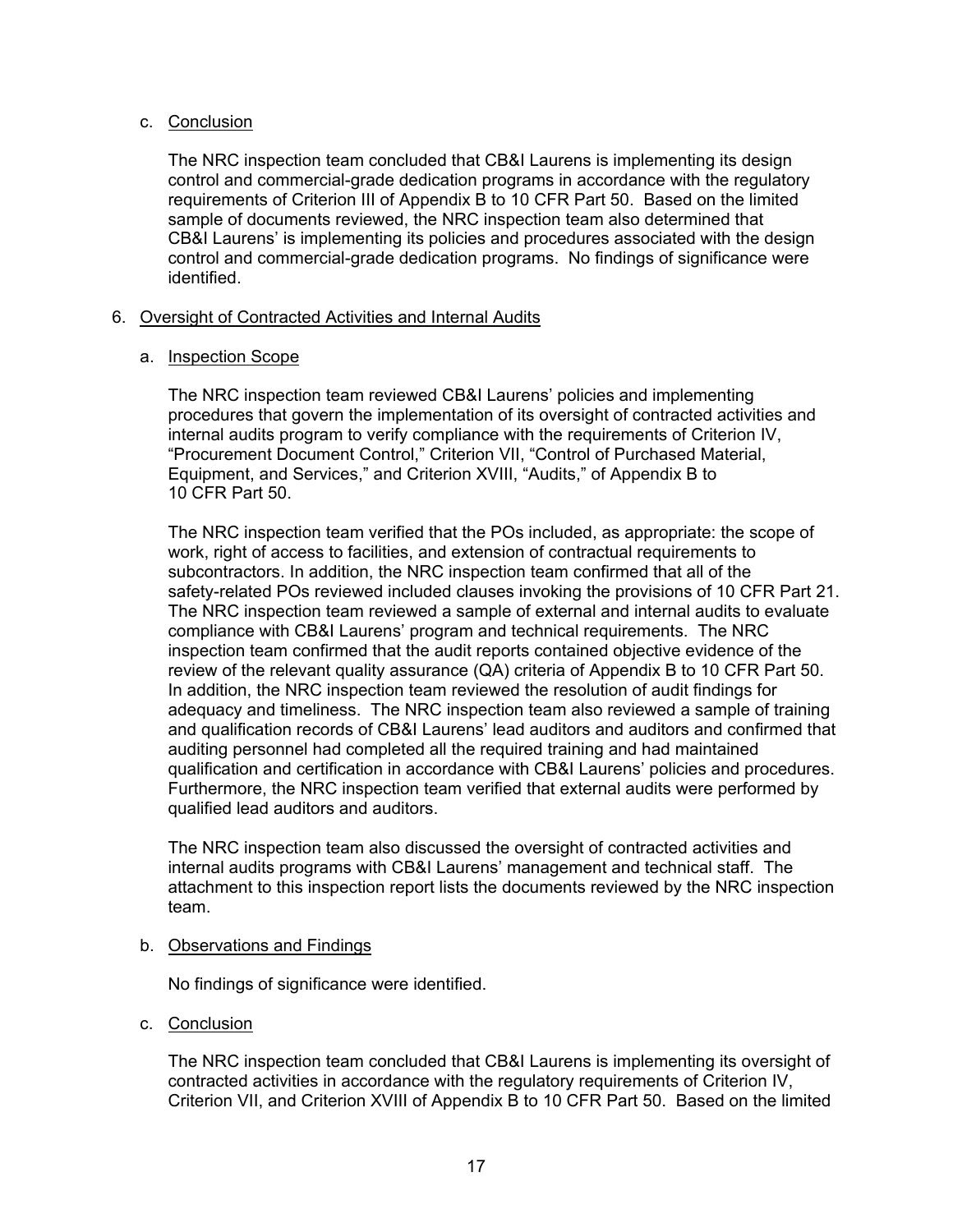## c. Conclusion

The NRC inspection team concluded that CB&I Laurens is implementing its design control and commercial-grade dedication programs in accordance with the regulatory requirements of Criterion III of Appendix B to 10 CFR Part 50. Based on the limited sample of documents reviewed, the NRC inspection team also determined that CB&I Laurens' is implementing its policies and procedures associated with the design control and commercial-grade dedication programs. No findings of significance were identified.

## 6. Oversight of Contracted Activities and Internal Audits

# a. Inspection Scope

The NRC inspection team reviewed CB&I Laurens' policies and implementing procedures that govern the implementation of its oversight of contracted activities and internal audits program to verify compliance with the requirements of Criterion IV, "Procurement Document Control," Criterion VII, "Control of Purchased Material, Equipment, and Services," and Criterion XVIII, "Audits," of Appendix B to 10 CFR Part 50.

The NRC inspection team verified that the POs included, as appropriate: the scope of work, right of access to facilities, and extension of contractual requirements to subcontractors. In addition, the NRC inspection team confirmed that all of the safety-related POs reviewed included clauses invoking the provisions of 10 CFR Part 21. The NRC inspection team reviewed a sample of external and internal audits to evaluate compliance with CB&I Laurens' program and technical requirements. The NRC inspection team confirmed that the audit reports contained objective evidence of the review of the relevant quality assurance (QA) criteria of Appendix B to 10 CFR Part 50. In addition, the NRC inspection team reviewed the resolution of audit findings for adequacy and timeliness. The NRC inspection team also reviewed a sample of training and qualification records of CB&I Laurens' lead auditors and auditors and confirmed that auditing personnel had completed all the required training and had maintained qualification and certification in accordance with CB&I Laurens' policies and procedures. Furthermore, the NRC inspection team verified that external audits were performed by qualified lead auditors and auditors.

The NRC inspection team also discussed the oversight of contracted activities and internal audits programs with CB&I Laurens' management and technical staff. The attachment to this inspection report lists the documents reviewed by the NRC inspection team.

# b. Observations and Findings

No findings of significance were identified.

c. Conclusion

The NRC inspection team concluded that CB&I Laurens is implementing its oversight of contracted activities in accordance with the regulatory requirements of Criterion IV, Criterion VII, and Criterion XVIII of Appendix B to 10 CFR Part 50. Based on the limited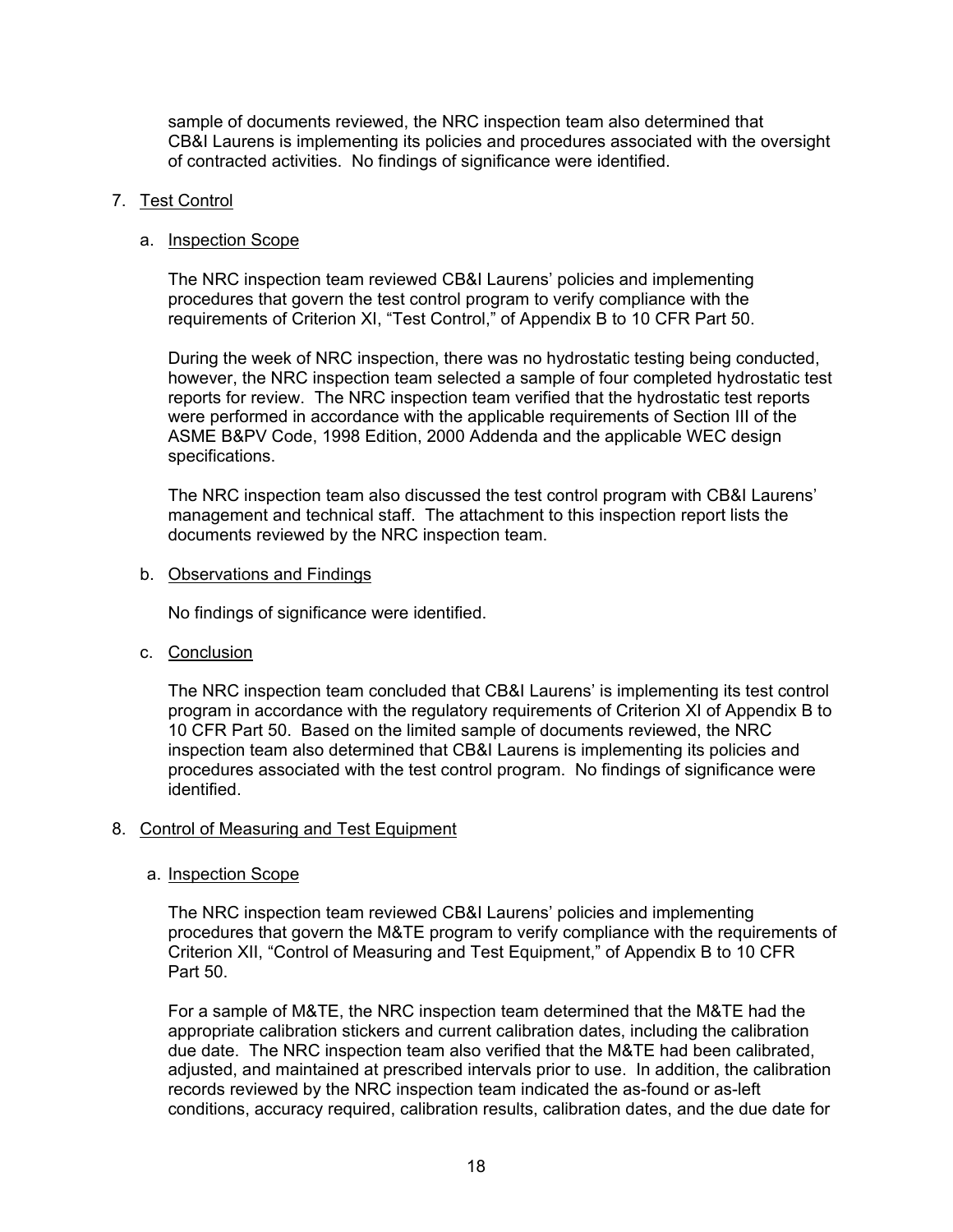sample of documents reviewed, the NRC inspection team also determined that CB&I Laurens is implementing its policies and procedures associated with the oversight of contracted activities. No findings of significance were identified.

## 7. Test Control

## a. Inspection Scope

The NRC inspection team reviewed CB&I Laurens' policies and implementing procedures that govern the test control program to verify compliance with the requirements of Criterion XI, "Test Control," of Appendix B to 10 CFR Part 50.

During the week of NRC inspection, there was no hydrostatic testing being conducted, however, the NRC inspection team selected a sample of four completed hydrostatic test reports for review. The NRC inspection team verified that the hydrostatic test reports were performed in accordance with the applicable requirements of Section III of the ASME B&PV Code, 1998 Edition, 2000 Addenda and the applicable WEC design specifications.

The NRC inspection team also discussed the test control program with CB&I Laurens' management and technical staff. The attachment to this inspection report lists the documents reviewed by the NRC inspection team.

b. Observations and Findings

No findings of significance were identified.

c. Conclusion

The NRC inspection team concluded that CB&I Laurens' is implementing its test control program in accordance with the regulatory requirements of Criterion XI of Appendix B to 10 CFR Part 50. Based on the limited sample of documents reviewed, the NRC inspection team also determined that CB&I Laurens is implementing its policies and procedures associated with the test control program. No findings of significance were identified.

# 8. Control of Measuring and Test Equipment

#### a. Inspection Scope

The NRC inspection team reviewed CB&I Laurens' policies and implementing procedures that govern the M&TE program to verify compliance with the requirements of Criterion XII, "Control of Measuring and Test Equipment," of Appendix B to 10 CFR Part 50.

For a sample of M&TE, the NRC inspection team determined that the M&TE had the appropriate calibration stickers and current calibration dates, including the calibration due date. The NRC inspection team also verified that the M&TE had been calibrated, adjusted, and maintained at prescribed intervals prior to use. In addition, the calibration records reviewed by the NRC inspection team indicated the as-found or as-left conditions, accuracy required, calibration results, calibration dates, and the due date for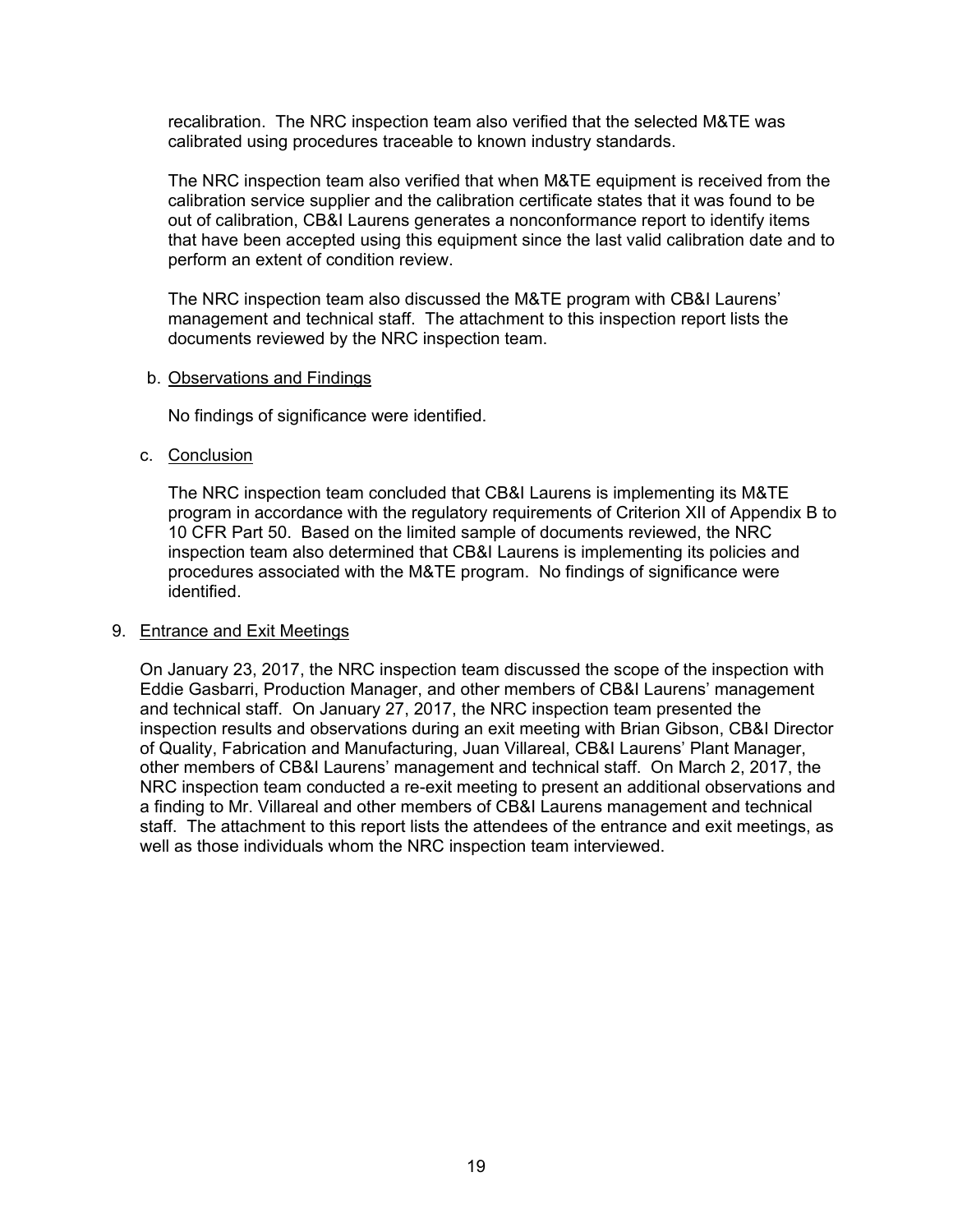recalibration. The NRC inspection team also verified that the selected M&TE was calibrated using procedures traceable to known industry standards.

The NRC inspection team also verified that when M&TE equipment is received from the calibration service supplier and the calibration certificate states that it was found to be out of calibration, CB&I Laurens generates a nonconformance report to identify items that have been accepted using this equipment since the last valid calibration date and to perform an extent of condition review.

The NRC inspection team also discussed the M&TE program with CB&I Laurens' management and technical staff. The attachment to this inspection report lists the documents reviewed by the NRC inspection team.

#### b. Observations and Findings

No findings of significance were identified.

#### c. Conclusion

The NRC inspection team concluded that CB&I Laurens is implementing its M&TE program in accordance with the regulatory requirements of Criterion XII of Appendix B to 10 CFR Part 50. Based on the limited sample of documents reviewed, the NRC inspection team also determined that CB&I Laurens is implementing its policies and procedures associated with the M&TE program. No findings of significance were identified.

#### 9. Entrance and Exit Meetings

On January 23, 2017, the NRC inspection team discussed the scope of the inspection with Eddie Gasbarri, Production Manager, and other members of CB&I Laurens' management and technical staff. On January 27, 2017, the NRC inspection team presented the inspection results and observations during an exit meeting with Brian Gibson, CB&I Director of Quality, Fabrication and Manufacturing, Juan Villareal, CB&I Laurens' Plant Manager, other members of CB&I Laurens' management and technical staff. On March 2, 2017, the NRC inspection team conducted a re-exit meeting to present an additional observations and a finding to Mr. Villareal and other members of CB&I Laurens management and technical staff. The attachment to this report lists the attendees of the entrance and exit meetings, as well as those individuals whom the NRC inspection team interviewed.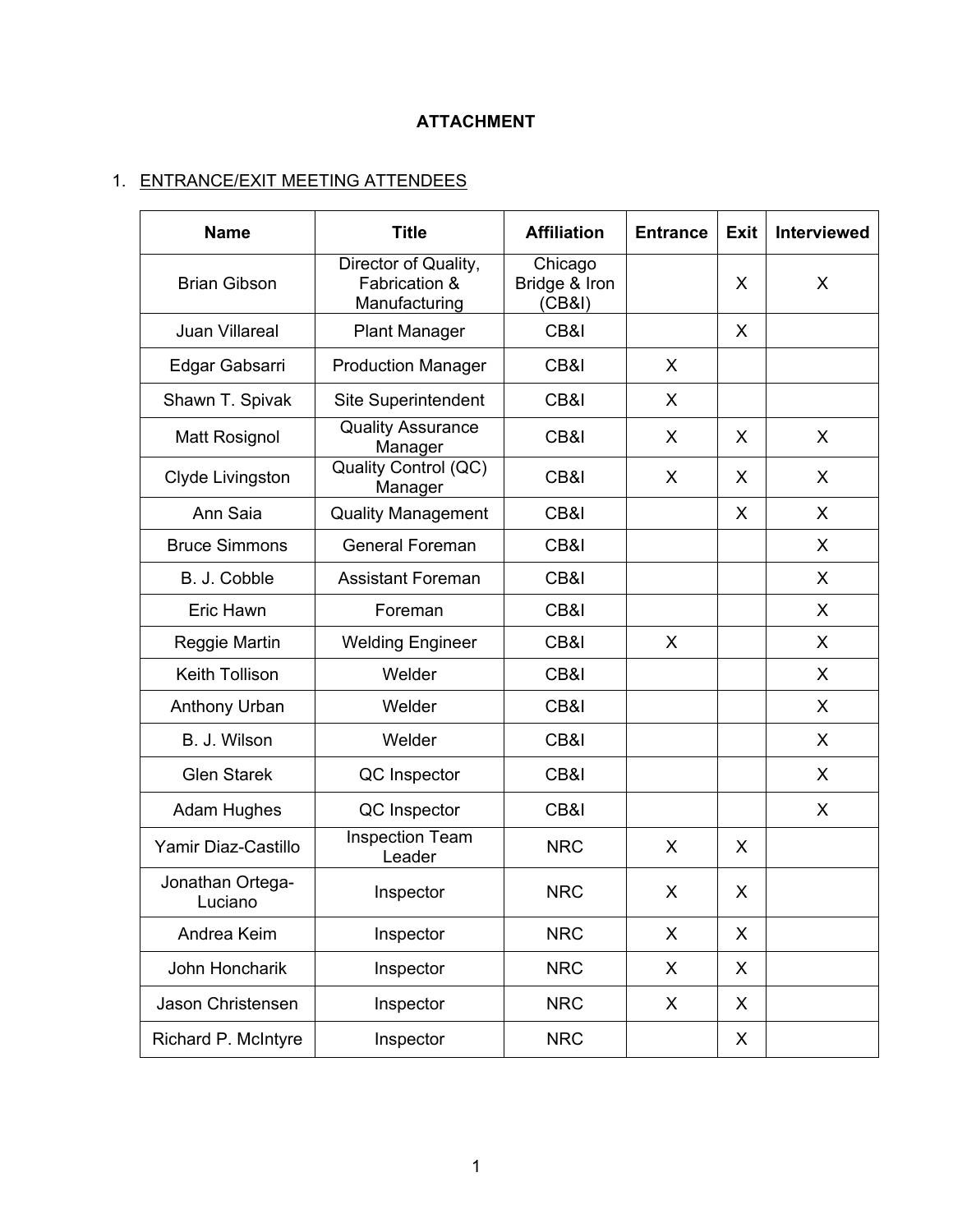# **ATTACHMENT**

# 1. ENTRANCE/EXIT MEETING ATTENDEES

| <b>Name</b>                 | <b>Title</b>                                           | <b>Affiliation</b>                 | <b>Entrance</b> | <b>Exit</b> | <b>Interviewed</b> |
|-----------------------------|--------------------------------------------------------|------------------------------------|-----------------|-------------|--------------------|
| <b>Brian Gibson</b>         | Director of Quality,<br>Fabrication &<br>Manufacturing | Chicago<br>Bridge & Iron<br>(CB&I) |                 | X           | X                  |
| Juan Villareal              | <b>Plant Manager</b>                                   | CB&I                               |                 | X           |                    |
| Edgar Gabsarri              | <b>Production Manager</b>                              | CB&I                               | X               |             |                    |
| Shawn T. Spivak             | Site Superintendent                                    | CB&I                               | X               |             |                    |
| <b>Matt Rosignol</b>        | <b>Quality Assurance</b><br>Manager                    | CB&I                               | X               | X           | X                  |
| Clyde Livingston            | Quality Control (QC)<br>Manager                        | CB&I                               | X               | X           | $\mathsf{X}$       |
| Ann Saia                    | <b>Quality Management</b>                              | CB&I                               |                 | X           | X                  |
| <b>Bruce Simmons</b>        | <b>General Foreman</b>                                 | CB&I                               |                 |             | X                  |
| B. J. Cobble                | <b>Assistant Foreman</b>                               | CB&I                               |                 |             | X                  |
| Eric Hawn                   | Foreman                                                | CB&I                               |                 |             | X                  |
| Reggie Martin               | <b>Welding Engineer</b>                                | CB&I                               | X               |             | X                  |
| Keith Tollison              | Welder                                                 | CB&I                               |                 |             | X                  |
| Anthony Urban               | Welder                                                 | CB&I                               |                 |             | X                  |
| B. J. Wilson                | Welder                                                 | CB&I                               |                 |             | X                  |
| <b>Glen Starek</b>          | QC Inspector                                           | CB&I                               |                 |             | X                  |
| <b>Adam Hughes</b>          | QC Inspector                                           | CB&I                               |                 |             | X                  |
| Yamir Diaz-Castillo         | <b>Inspection Team</b><br>Leader                       | <b>NRC</b>                         | X               | X           |                    |
| Jonathan Ortega-<br>Luciano | Inspector                                              | <b>NRC</b>                         | X               | X           |                    |
| Andrea Keim                 | Inspector                                              | <b>NRC</b>                         | X               | X           |                    |
| John Honcharik              | Inspector                                              | <b>NRC</b>                         | X               | X           |                    |
| Jason Christensen           | Inspector                                              | <b>NRC</b>                         | X               | X           |                    |
| Richard P. McIntyre         | Inspector                                              | <b>NRC</b>                         |                 | X           |                    |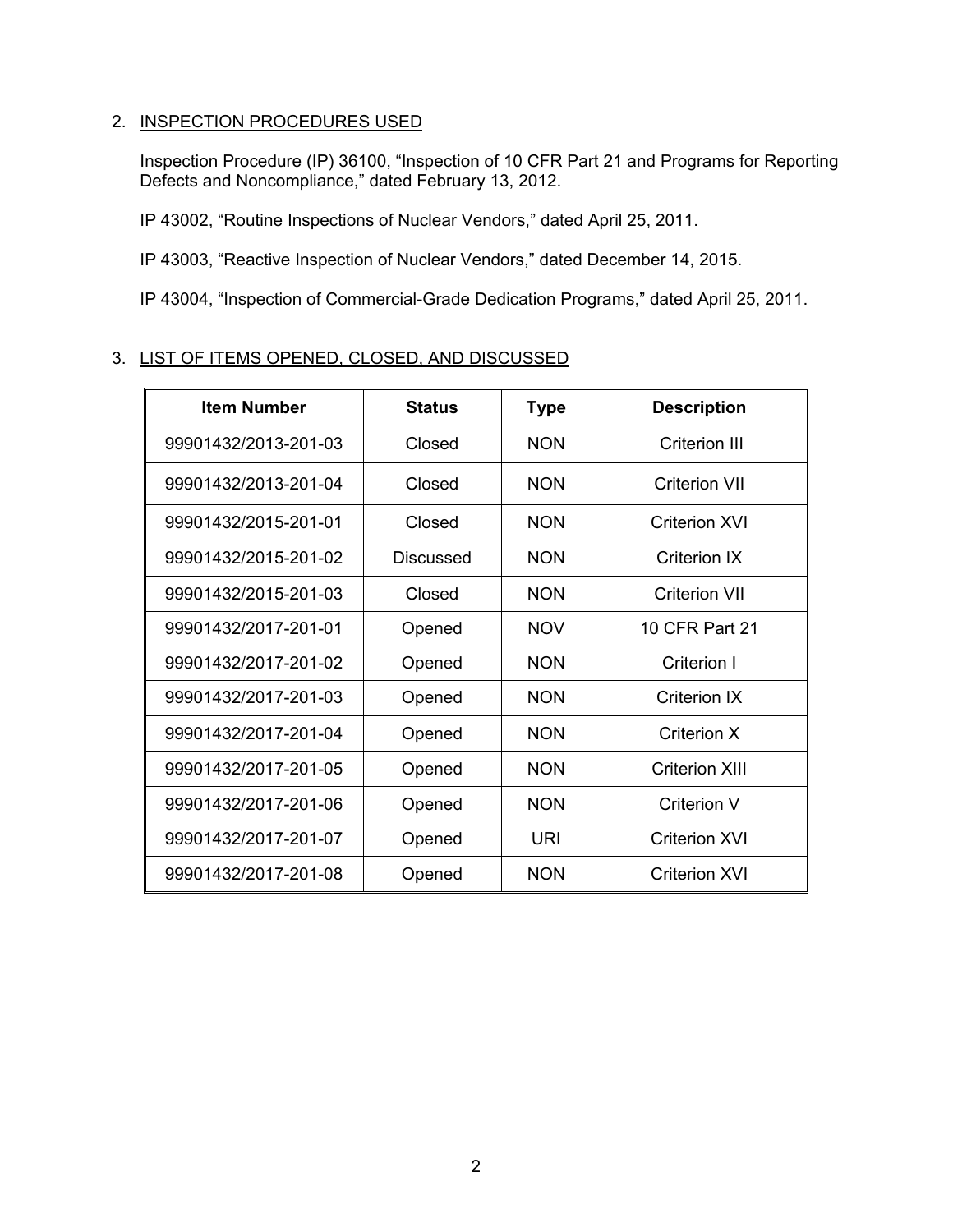# 2. INSPECTION PROCEDURES USED

Inspection Procedure (IP) 36100, "Inspection of 10 CFR Part 21 and Programs for Reporting Defects and Noncompliance," dated February 13, 2012.

IP 43002, "Routine Inspections of Nuclear Vendors," dated April 25, 2011.

IP 43003, "Reactive Inspection of Nuclear Vendors," dated December 14, 2015.

IP 43004, "Inspection of Commercial-Grade Dedication Programs," dated April 25, 2011.

# 3. LIST OF ITEMS OPENED, CLOSED, AND DISCUSSED

| <b>Item Number</b>   | <b>Status</b> | <b>Type</b> | <b>Description</b>   |  |
|----------------------|---------------|-------------|----------------------|--|
| 99901432/2013-201-03 | Closed        | <b>NON</b>  | <b>Criterion III</b> |  |
| 99901432/2013-201-04 | Closed        | <b>NON</b>  | Criterion VII        |  |
| 99901432/2015-201-01 | Closed        | <b>NON</b>  | Criterion XVI        |  |
| 99901432/2015-201-02 | Discussed     | <b>NON</b>  | Criterion IX         |  |
| 99901432/2015-201-03 | Closed        | <b>NON</b>  | Criterion VII        |  |
| 99901432/2017-201-01 | Opened        | <b>NOV</b>  | 10 CFR Part 21       |  |
| 99901432/2017-201-02 | Opened        | <b>NON</b>  | Criterion I          |  |
| 99901432/2017-201-03 | Opened        | <b>NON</b>  | <b>Criterion IX</b>  |  |
| 99901432/2017-201-04 | Opened        | <b>NON</b>  | Criterion X          |  |
| 99901432/2017-201-05 | Opened        | <b>NON</b>  | Criterion XIII       |  |
| 99901432/2017-201-06 | Opened        | <b>NON</b>  | Criterion V          |  |
| 99901432/2017-201-07 | Opened        | URI         | Criterion XVI        |  |
| 99901432/2017-201-08 | Opened        | <b>NON</b>  | <b>Criterion XVI</b> |  |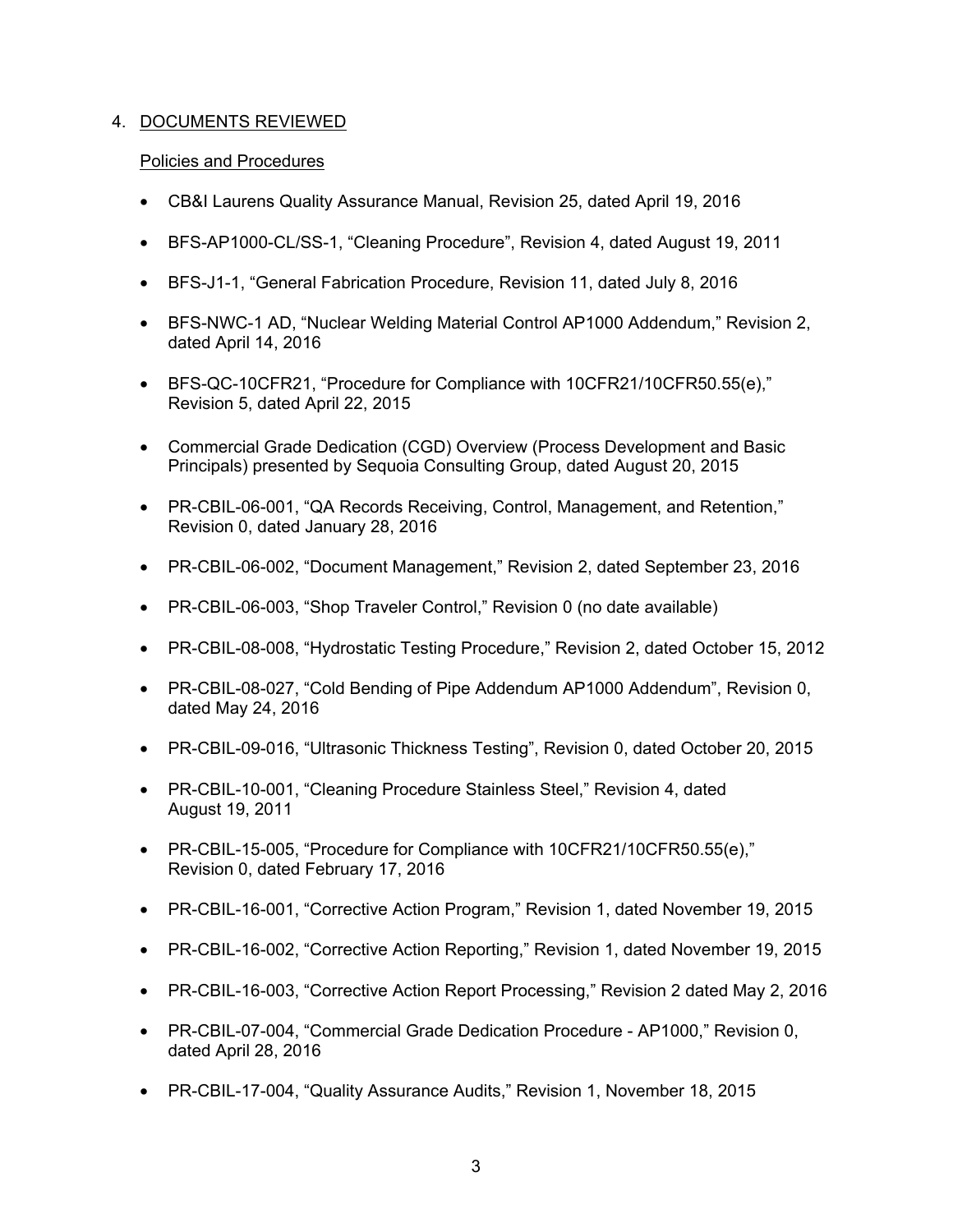# 4. DOCUMENTS REVIEWED

#### Policies and Procedures

- CB&I Laurens Quality Assurance Manual, Revision 25, dated April 19, 2016
- BFS-AP1000-CL/SS-1, "Cleaning Procedure", Revision 4, dated August 19, 2011
- BFS-J1-1, "General Fabrication Procedure, Revision 11, dated July 8, 2016
- BFS-NWC-1 AD, "Nuclear Welding Material Control AP1000 Addendum," Revision 2, dated April 14, 2016
- BFS-QC-10CFR21, "Procedure for Compliance with 10CFR21/10CFR50.55(e)," Revision 5, dated April 22, 2015
- Commercial Grade Dedication (CGD) Overview (Process Development and Basic Principals) presented by Sequoia Consulting Group, dated August 20, 2015
- PR-CBIL-06-001, "QA Records Receiving, Control, Management, and Retention," Revision 0, dated January 28, 2016
- PR-CBIL-06-002, "Document Management," Revision 2, dated September 23, 2016
- PR-CBIL-06-003, "Shop Traveler Control," Revision 0 (no date available)
- PR-CBIL-08-008, "Hydrostatic Testing Procedure," Revision 2, dated October 15, 2012
- PR-CBIL-08-027, "Cold Bending of Pipe Addendum AP1000 Addendum", Revision 0, dated May 24, 2016
- PR-CBIL-09-016, "Ultrasonic Thickness Testing", Revision 0, dated October 20, 2015
- PR-CBIL-10-001, "Cleaning Procedure Stainless Steel," Revision 4, dated August 19, 2011
- PR-CBIL-15-005, "Procedure for Compliance with 10CFR21/10CFR50.55(e)," Revision 0, dated February 17, 2016
- PR-CBIL-16-001, "Corrective Action Program," Revision 1, dated November 19, 2015
- PR-CBIL-16-002, "Corrective Action Reporting," Revision 1, dated November 19, 2015
- PR-CBIL-16-003, "Corrective Action Report Processing," Revision 2 dated May 2, 2016
- PR-CBIL-07-004, "Commercial Grade Dedication Procedure AP1000," Revision 0, dated April 28, 2016
- PR-CBIL-17-004, "Quality Assurance Audits," Revision 1, November 18, 2015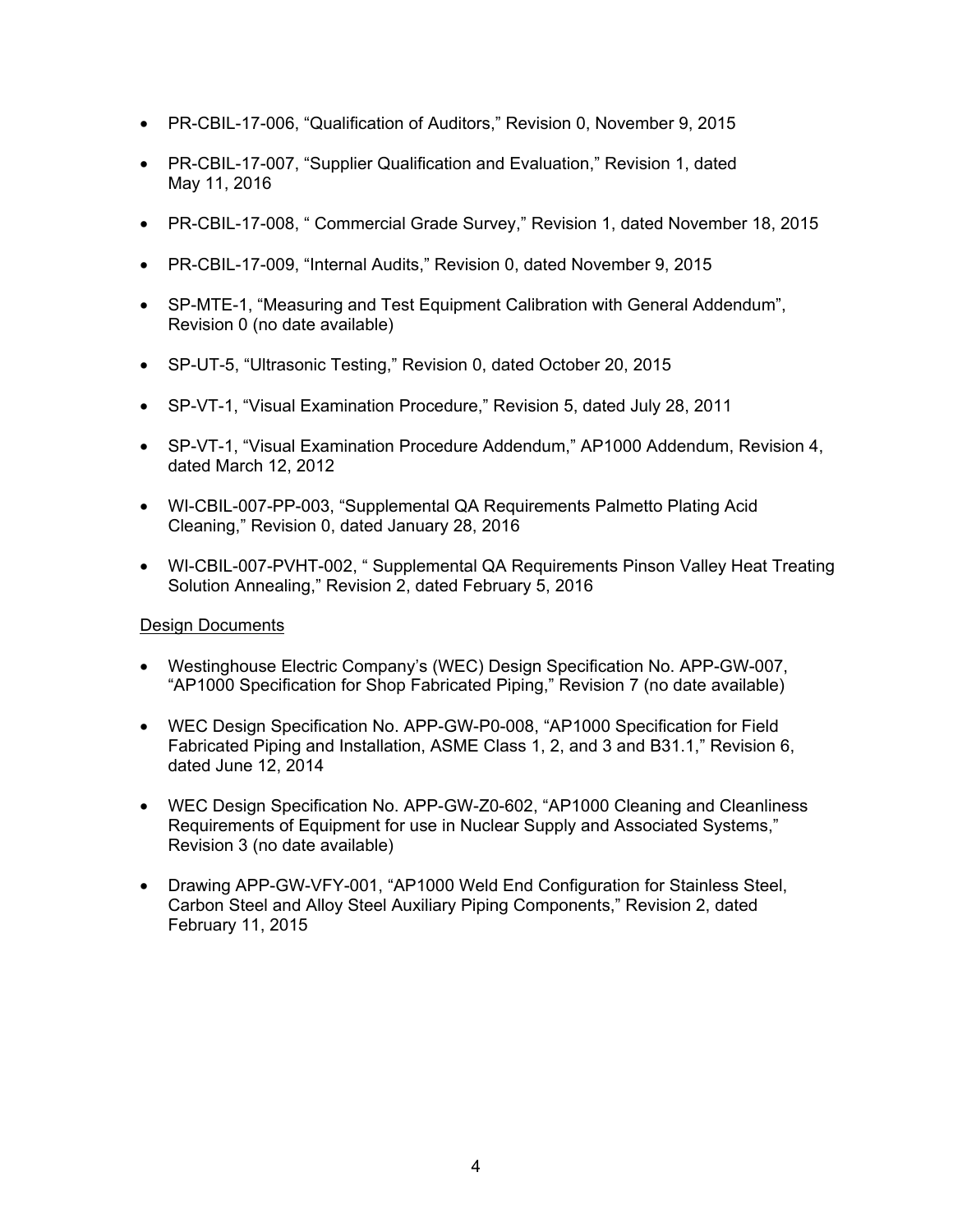- PR-CBIL-17-006, "Qualification of Auditors," Revision 0, November 9, 2015
- PR-CBIL-17-007, "Supplier Qualification and Evaluation," Revision 1, dated May 11, 2016
- PR-CBIL-17-008, " Commercial Grade Survey," Revision 1, dated November 18, 2015
- PR-CBIL-17-009, "Internal Audits," Revision 0, dated November 9, 2015
- SP-MTE-1, "Measuring and Test Equipment Calibration with General Addendum", Revision 0 (no date available)
- SP-UT-5, "Ultrasonic Testing," Revision 0, dated October 20, 2015
- SP-VT-1, "Visual Examination Procedure," Revision 5, dated July 28, 2011
- SP-VT-1, "Visual Examination Procedure Addendum," AP1000 Addendum, Revision 4, dated March 12, 2012
- WI-CBIL-007-PP-003, "Supplemental QA Requirements Palmetto Plating Acid Cleaning," Revision 0, dated January 28, 2016
- WI-CBIL-007-PVHT-002, "Supplemental QA Requirements Pinson Valley Heat Treating Solution Annealing," Revision 2, dated February 5, 2016

## Design Documents

- Westinghouse Electric Company's (WEC) Design Specification No. APP-GW-007, "AP1000 Specification for Shop Fabricated Piping," Revision 7 (no date available)
- WEC Design Specification No. APP-GW-P0-008, "AP1000 Specification for Field Fabricated Piping and Installation, ASME Class 1, 2, and 3 and B31.1," Revision 6, dated June 12, 2014
- WEC Design Specification No. APP-GW-Z0-602, "AP1000 Cleaning and Cleanliness Requirements of Equipment for use in Nuclear Supply and Associated Systems," Revision 3 (no date available)
- Drawing APP-GW-VFY-001, "AP1000 Weld End Configuration for Stainless Steel, Carbon Steel and Alloy Steel Auxiliary Piping Components," Revision 2, dated February 11, 2015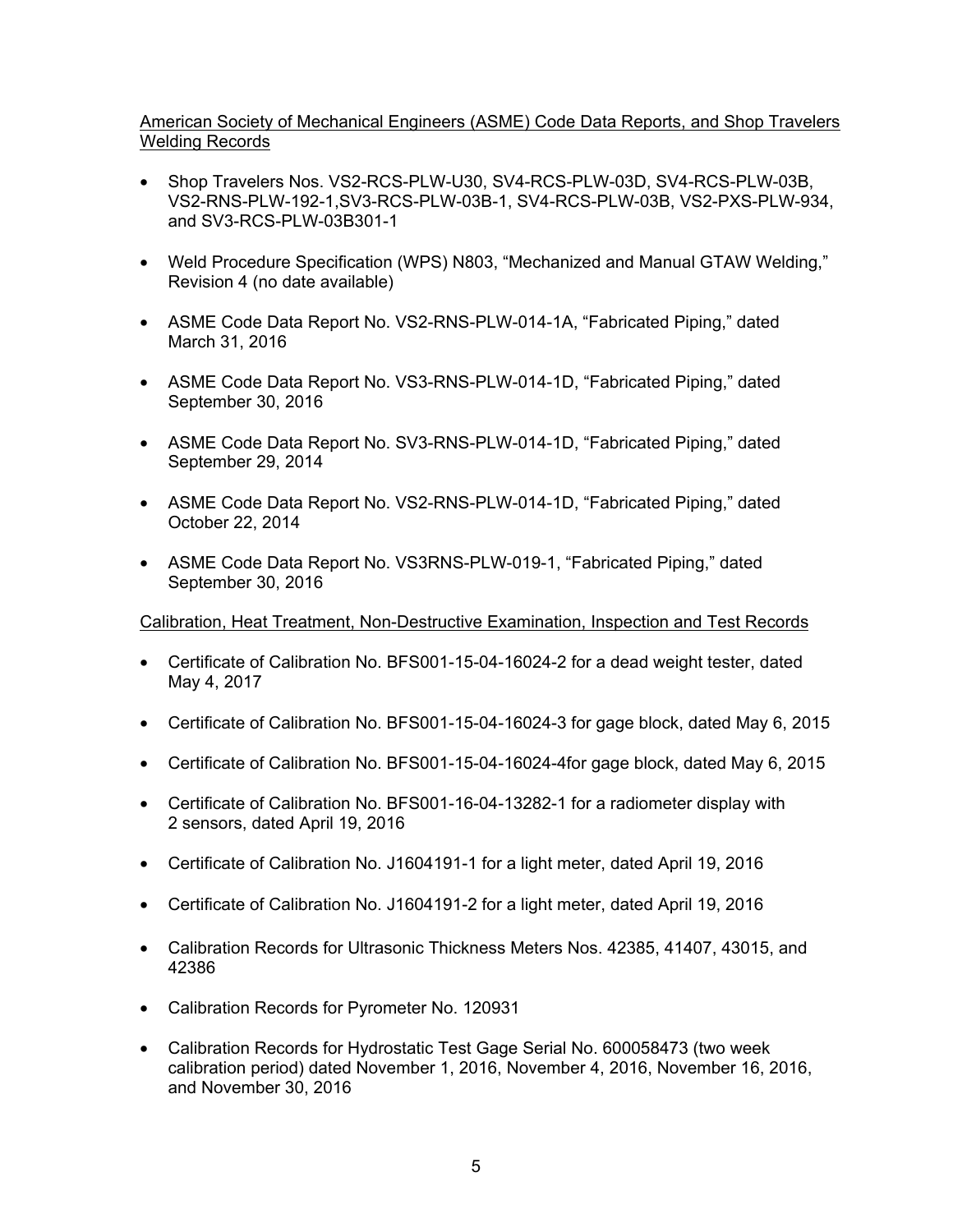# American Society of Mechanical Engineers (ASME) Code Data Reports, and Shop Travelers Welding Records

- Shop Travelers Nos. VS2-RCS-PLW-U30, SV4-RCS-PLW-03D, SV4-RCS-PLW-03B, VS2-RNS-PLW-192-1,SV3-RCS-PLW-03B-1, SV4-RCS-PLW-03B, VS2-PXS-PLW-934, and SV3-RCS-PLW-03B301-1
- Weld Procedure Specification (WPS) N803, "Mechanized and Manual GTAW Welding," Revision 4 (no date available)
- ASME Code Data Report No. VS2-RNS-PLW-014-1A, "Fabricated Piping," dated March 31, 2016
- ASME Code Data Report No. VS3-RNS-PLW-014-1D, "Fabricated Piping," dated September 30, 2016
- ASME Code Data Report No. SV3-RNS-PLW-014-1D, "Fabricated Piping," dated September 29, 2014
- ASME Code Data Report No. VS2-RNS-PLW-014-1D, "Fabricated Piping," dated October 22, 2014
- ASME Code Data Report No. VS3RNS-PLW-019-1, "Fabricated Piping," dated September 30, 2016

## Calibration, Heat Treatment, Non-Destructive Examination, Inspection and Test Records

- Certificate of Calibration No. BFS001-15-04-16024-2 for a dead weight tester, dated May 4, 2017
- Certificate of Calibration No. BFS001-15-04-16024-3 for gage block, dated May 6, 2015
- Certificate of Calibration No. BFS001-15-04-16024-4for gage block, dated May 6, 2015
- Certificate of Calibration No. BFS001-16-04-13282-1 for a radiometer display with 2 sensors, dated April 19, 2016
- Certificate of Calibration No. J1604191-1 for a light meter, dated April 19, 2016
- Certificate of Calibration No. J1604191-2 for a light meter, dated April 19, 2016
- Calibration Records for Ultrasonic Thickness Meters Nos. 42385, 41407, 43015, and 42386
- Calibration Records for Pyrometer No. 120931
- Calibration Records for Hydrostatic Test Gage Serial No. 600058473 (two week calibration period) dated November 1, 2016, November 4, 2016, November 16, 2016, and November 30, 2016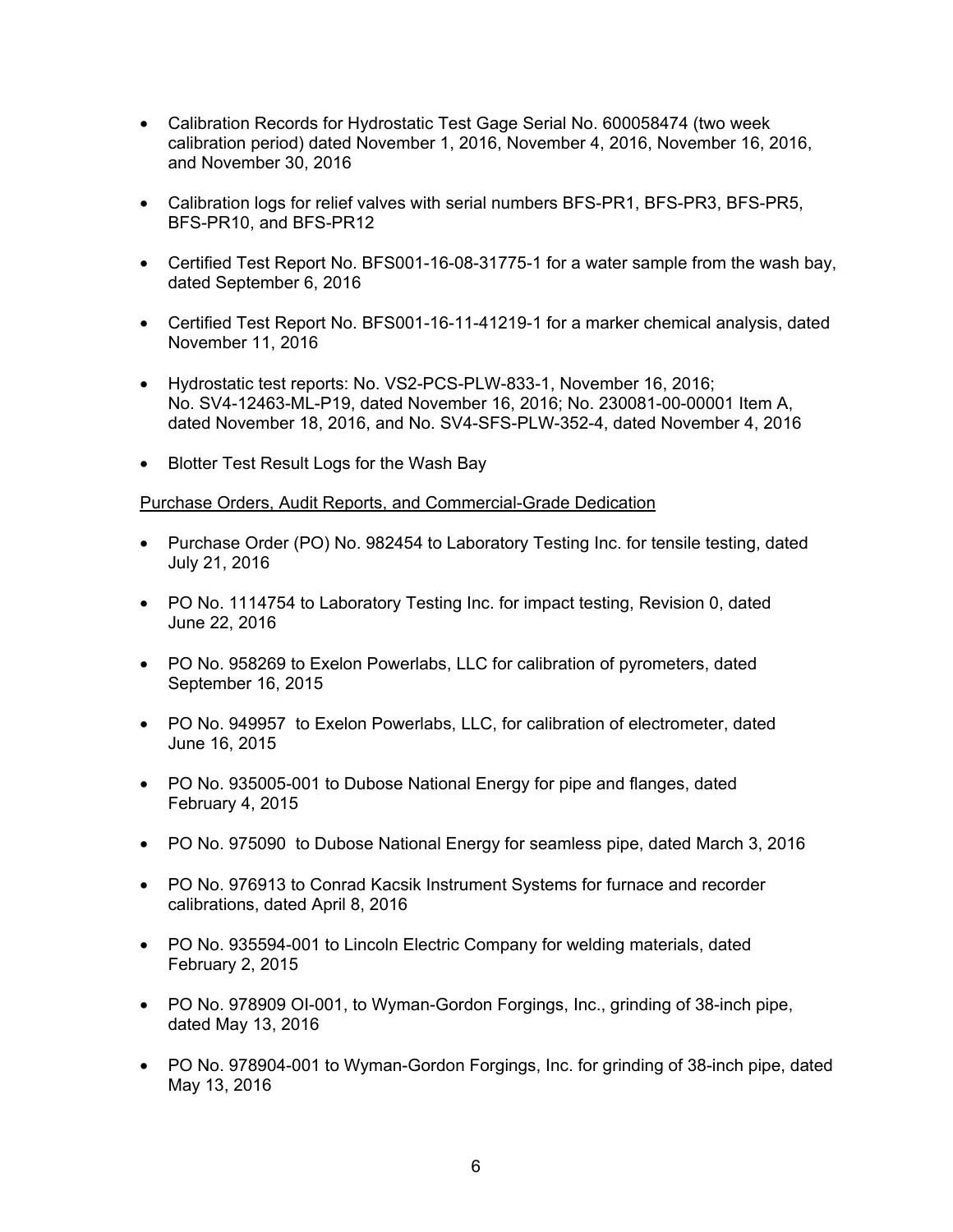- Calibration Records for Hydrostatic Test Gage Serial No. 600058474 (two week calibration period) dated November 1, 2016, November 4, 2016, November 16, 2016, and November 30, 2016
- Calibration logs for relief valves with serial numbers BFS-PR1, BFS-PR3, BFS-PR5, BFS-PR10, and BFS-PR12
- Certified Test Report No. BFS001-16-08-31775-1 for a water sample from the wash bay, dated September 6, 2016
- Certified Test Report No. BFS001-16-11-41219-1 for a marker chemical analysis, dated November 11, 2016
- Hydrostatic test reports: No. VS2-PCS-PLW-833-1, November 16, 2016; No. SV4-12463-ML-P19, dated November 16, 2016; No. 230081-00-00001 Item A, dated November 18, 2016, and No. SV4-SFS-PLW-352-4, dated November 4, 2016
- Blotter Test Result Logs for the Wash Bay

## Purchase Orders, Audit Reports, and Commercial-Grade Dedication

- Purchase Order (PO) No. 982454 to Laboratory Testing Inc. for tensile testing, dated July 21, 2016
- PO No. 1114754 to Laboratory Testing Inc. for impact testing, Revision 0, dated June 22, 2016
- PO No. 958269 to Exelon Powerlabs, LLC for calibration of pyrometers, dated September 16, 2015
- PO No. 949957 to Exelon Powerlabs, LLC, for calibration of electrometer, dated June 16, 2015
- PO No. 935005-001 to Dubose National Energy for pipe and flanges, dated February 4, 2015
- PO No. 975090 to Dubose National Energy for seamless pipe, dated March 3, 2016
- PO No. 976913 to Conrad Kacsik Instrument Systems for furnace and recorder calibrations, dated April 8, 2016
- PO No. 935594-001 to Lincoln Electric Company for welding materials, dated February 2, 2015
- PO No. 978909 OI-001, to Wyman-Gordon Forgings, Inc., grinding of 38-inch pipe, dated May 13, 2016
- PO No. 978904-001 to Wyman-Gordon Forgings, Inc. for grinding of 38-inch pipe, dated May 13, 2016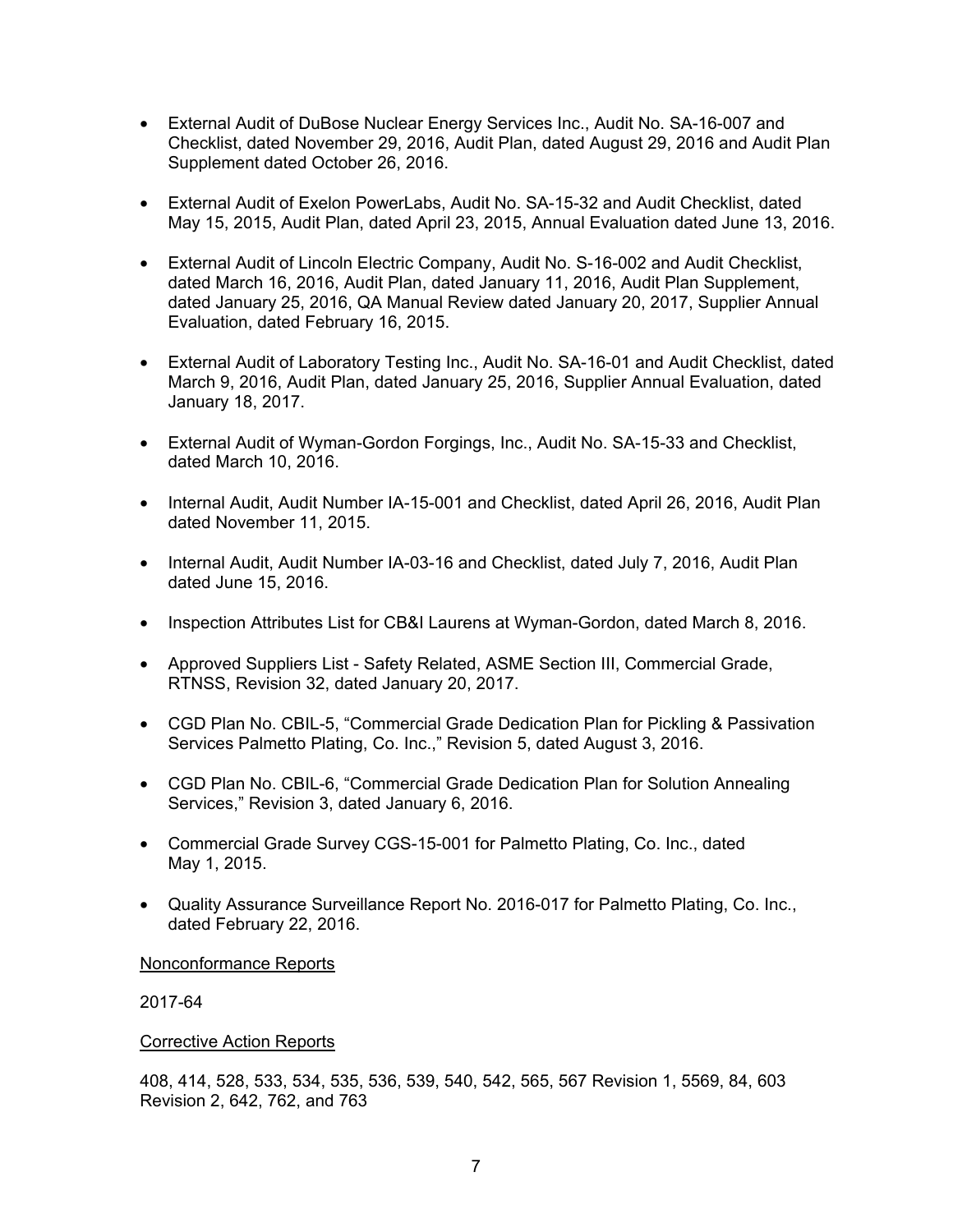- External Audit of DuBose Nuclear Energy Services Inc., Audit No. SA-16-007 and Checklist, dated November 29, 2016, Audit Plan, dated August 29, 2016 and Audit Plan Supplement dated October 26, 2016.
- External Audit of Exelon PowerLabs, Audit No. SA-15-32 and Audit Checklist, dated May 15, 2015, Audit Plan, dated April 23, 2015, Annual Evaluation dated June 13, 2016.
- External Audit of Lincoln Electric Company, Audit No. S-16-002 and Audit Checklist, dated March 16, 2016, Audit Plan, dated January 11, 2016, Audit Plan Supplement, dated January 25, 2016, QA Manual Review dated January 20, 2017, Supplier Annual Evaluation, dated February 16, 2015.
- External Audit of Laboratory Testing Inc., Audit No. SA-16-01 and Audit Checklist, dated March 9, 2016, Audit Plan, dated January 25, 2016, Supplier Annual Evaluation, dated January 18, 2017.
- External Audit of Wyman-Gordon Forgings, Inc., Audit No. SA-15-33 and Checklist, dated March 10, 2016.
- Internal Audit, Audit Number IA-15-001 and Checklist, dated April 26, 2016, Audit Plan dated November 11, 2015.
- Internal Audit, Audit Number IA-03-16 and Checklist, dated July 7, 2016, Audit Plan dated June 15, 2016.
- Inspection Attributes List for CB&I Laurens at Wyman-Gordon, dated March 8, 2016.
- Approved Suppliers List Safety Related, ASME Section III, Commercial Grade, RTNSS, Revision 32, dated January 20, 2017.
- CGD Plan No. CBIL-5, "Commercial Grade Dedication Plan for Pickling & Passivation Services Palmetto Plating, Co. Inc.," Revision 5, dated August 3, 2016.
- CGD Plan No. CBIL-6, "Commercial Grade Dedication Plan for Solution Annealing Services," Revision 3, dated January 6, 2016.
- Commercial Grade Survey CGS-15-001 for Palmetto Plating, Co. Inc., dated May 1, 2015.
- Quality Assurance Surveillance Report No. 2016-017 for Palmetto Plating, Co. Inc., dated February 22, 2016.

#### Nonconformance Reports

2017-64

#### Corrective Action Reports

408, 414, 528, 533, 534, 535, 536, 539, 540, 542, 565, 567 Revision 1, 5569, 84, 603 Revision 2, 642, 762, and 763